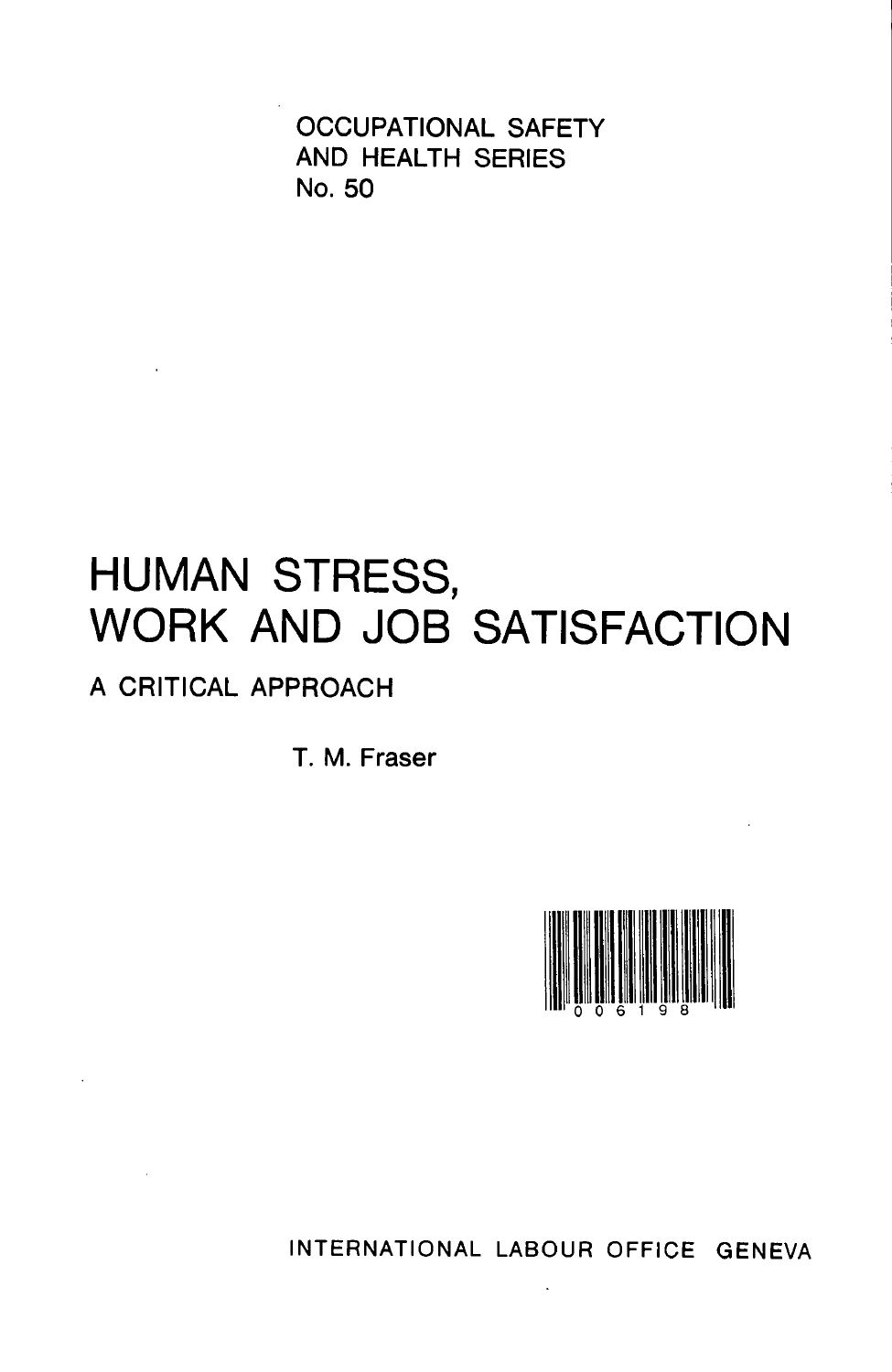OCCUPATIONAL SAFETY AND HEALTH SERIES No. 50

# HUMAN STRESS, WORK AND JOB SATISFACTION

# A CRITICAL APPROACH

T. M. Fraser



INTERNATIONAL LABOUR OFFICE GENEVA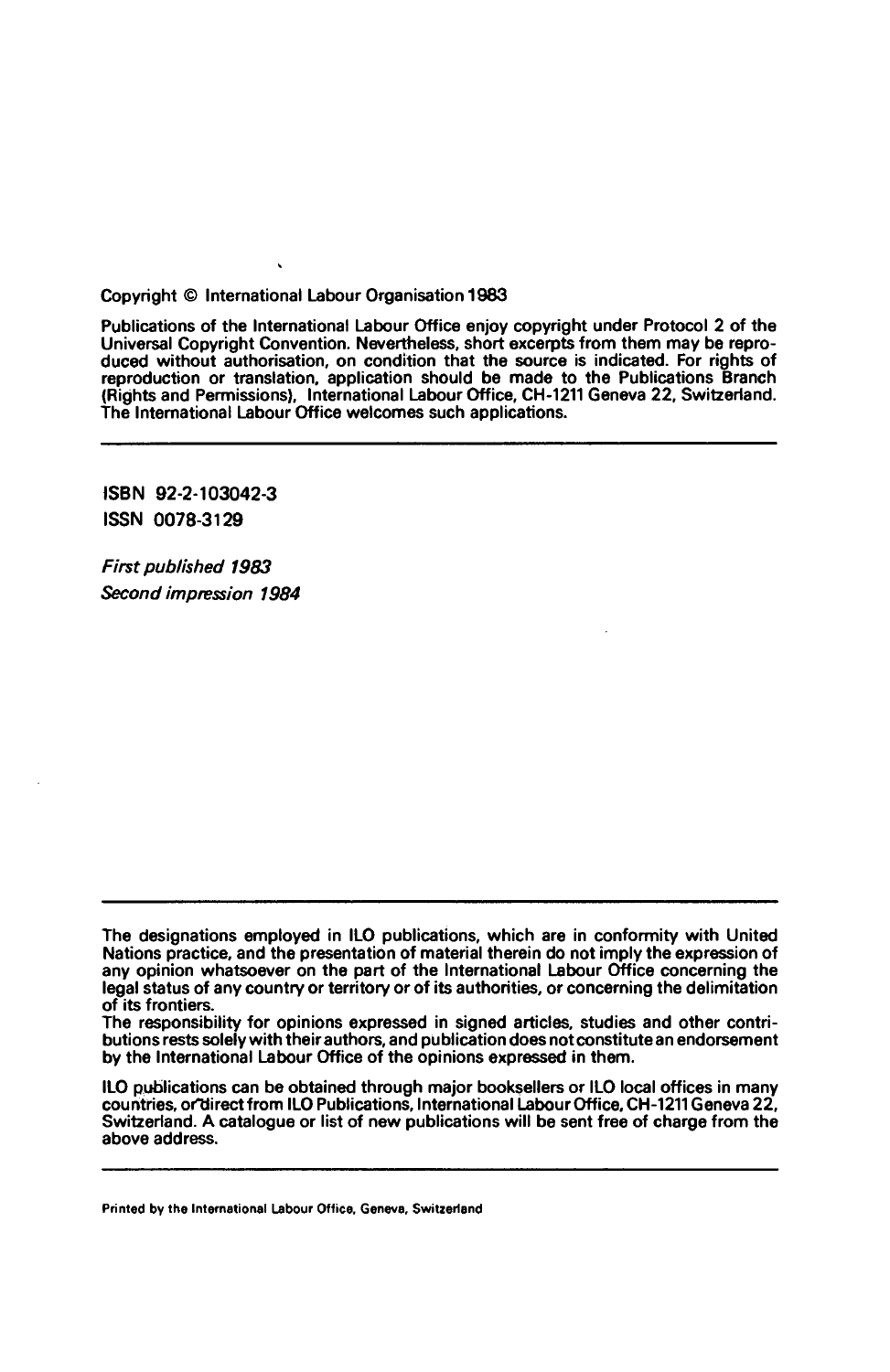**Copyright © International Labour Organisation 1983** 

**Publications of the International Labour Office enjoy copyright under Protocol 2 of the Universal Copyright Convention. Nevertheless, short excerpts from them may be reproduced without authorisation, on condition that the source is indicated. For rights of reproduction or translation, application should be made to the Publications Branch (Rights and Permissions). International Labour Office, CH-1211 Geneva 22, Switzerland. The International Labour Office welcomes such applications.** 

**ISBN 92-2-103042-3 ISSN 0078-3129** 

**First published 1983 Second impression 1984** 

**ILO publications can be obtained through major booksellers or ILO local offices in many countries, ortlirectfrom ILO Publications, International LabourOffice, CH-1211 Geneva 22, Switzerland. A catalogue or list of new publications will be sent free of charge from the above address.** 

**Printed by the International Labour Office, Geneva, Switzerland** 

**The designations employed in ILO publications, which are in conformity with United Nations practice, and the presentation of material therein do not imply the expression of any opinion whatsoever on the part of the International Labour Office concerning the legal status of any country or territory or of its authorities, or concerning the delimitation of its frontiers.** 

**The responsibility for opinions expressed in signed articles, studies and other contributions rests solely with their authors, and publication does not constitute an endorsement by the International Labour Office of the opinions expressed in them.**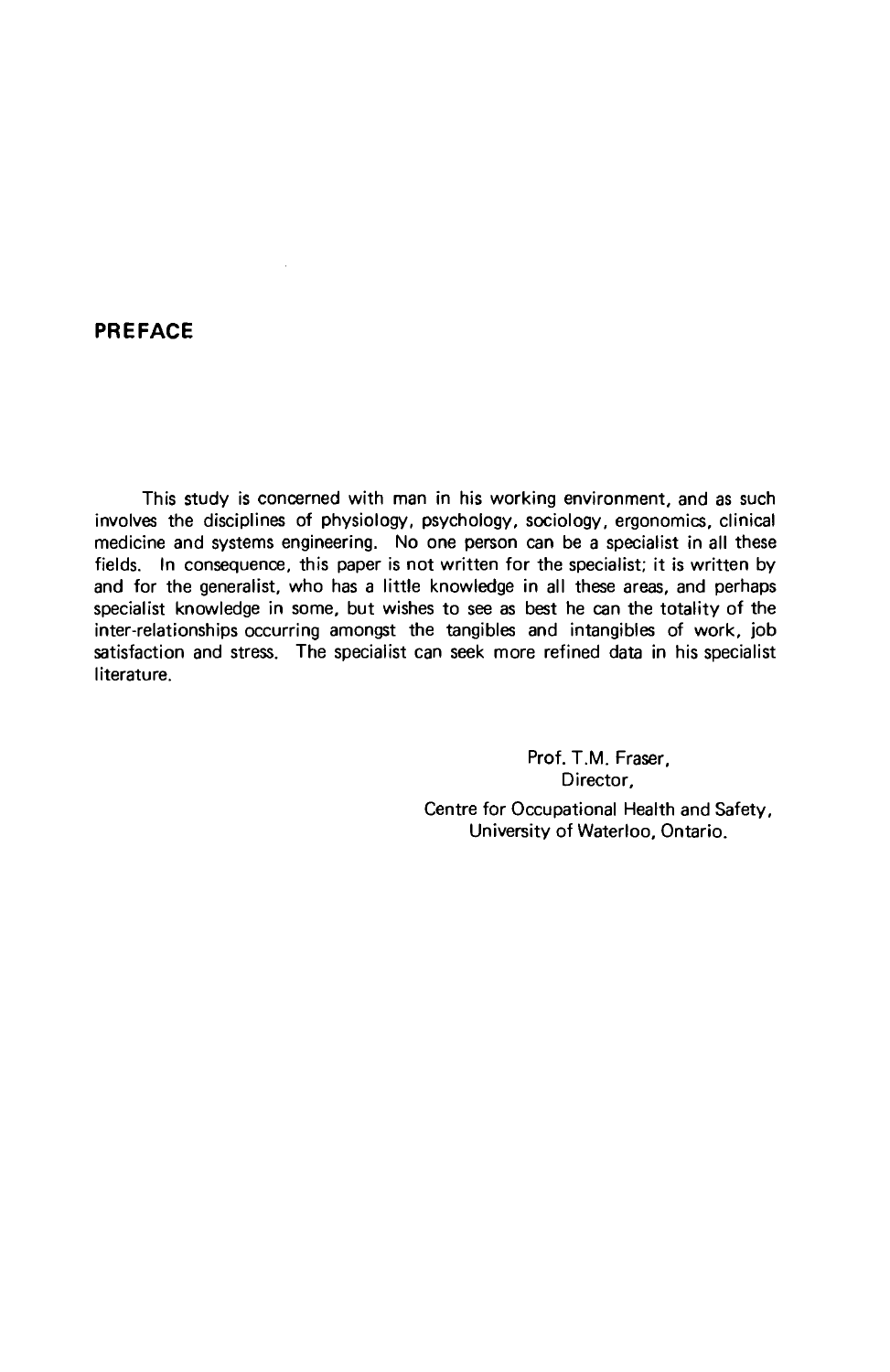### **PREFACE**

This study is concerned with man in his working environment, and as such involves the disciplines of physiology, psychology, sociology, ergonomics, clinical medicine and systems engineering. No one person can be a specialist in all these fields. In consequence, this paper is not written for the specialist; it is written by and for the generalist, who has a little knowledge in all these areas, and perhaps specialist knowledge in some, but wishes to see as best he can the totality of the inter-relationships occurring amongst the tangibles and intangibles of work, job satisfaction and stress. The specialist can seek more refined data in his specialist literature.

> Prof. T.M. Fraser, Director, Centre for Occupational Health and Safety, University of Waterloo, Ontario.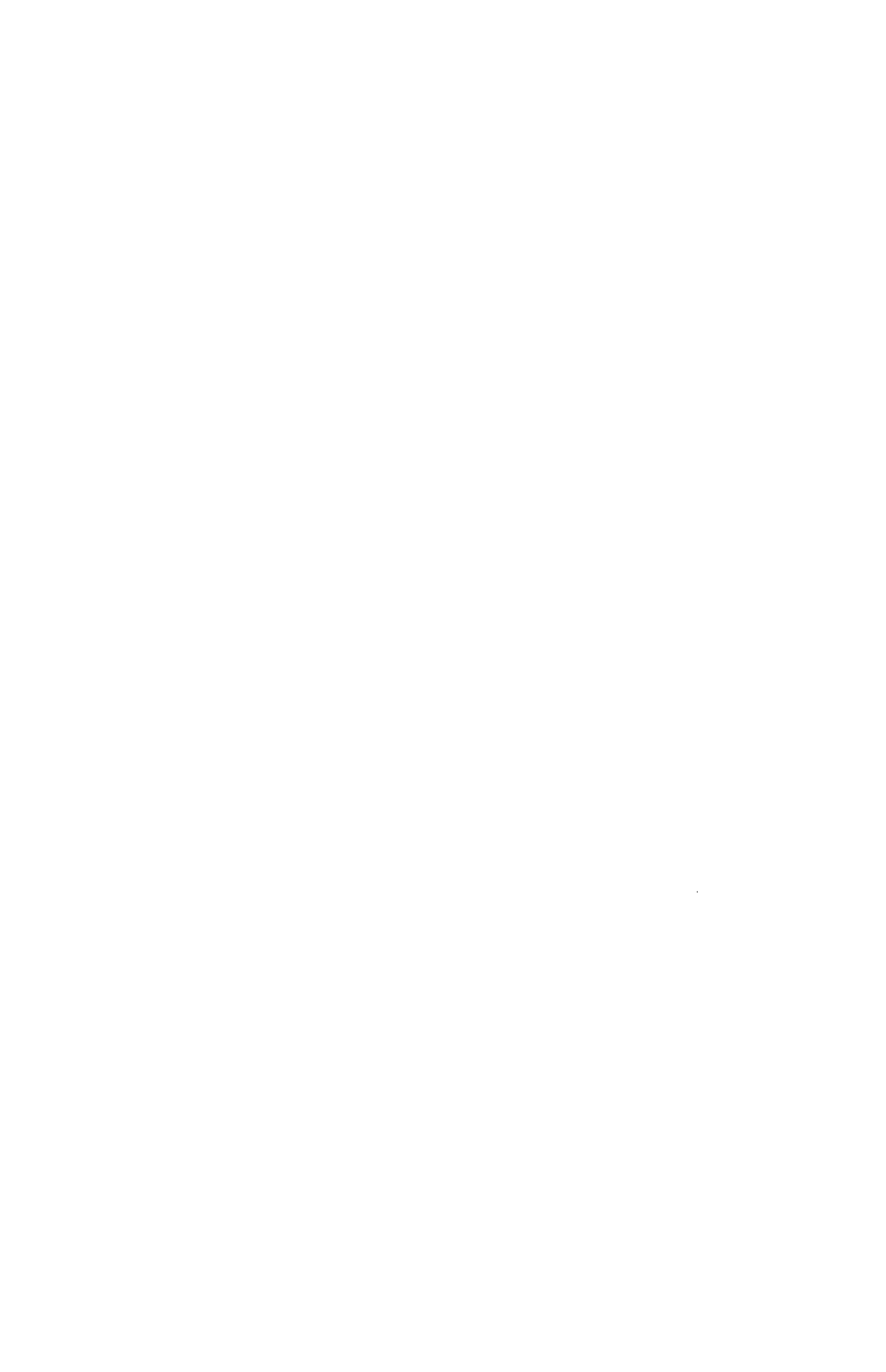$\label{eq:2.1} \frac{1}{\sqrt{2}}\int_{\mathbb{R}^3} \frac{1}{\sqrt{2}}\left(\frac{1}{\sqrt{2}}\right)^2\frac{1}{\sqrt{2}}\left(\frac{1}{\sqrt{2}}\right)^2\frac{1}{\sqrt{2}}\left(\frac{1}{\sqrt{2}}\right)^2.$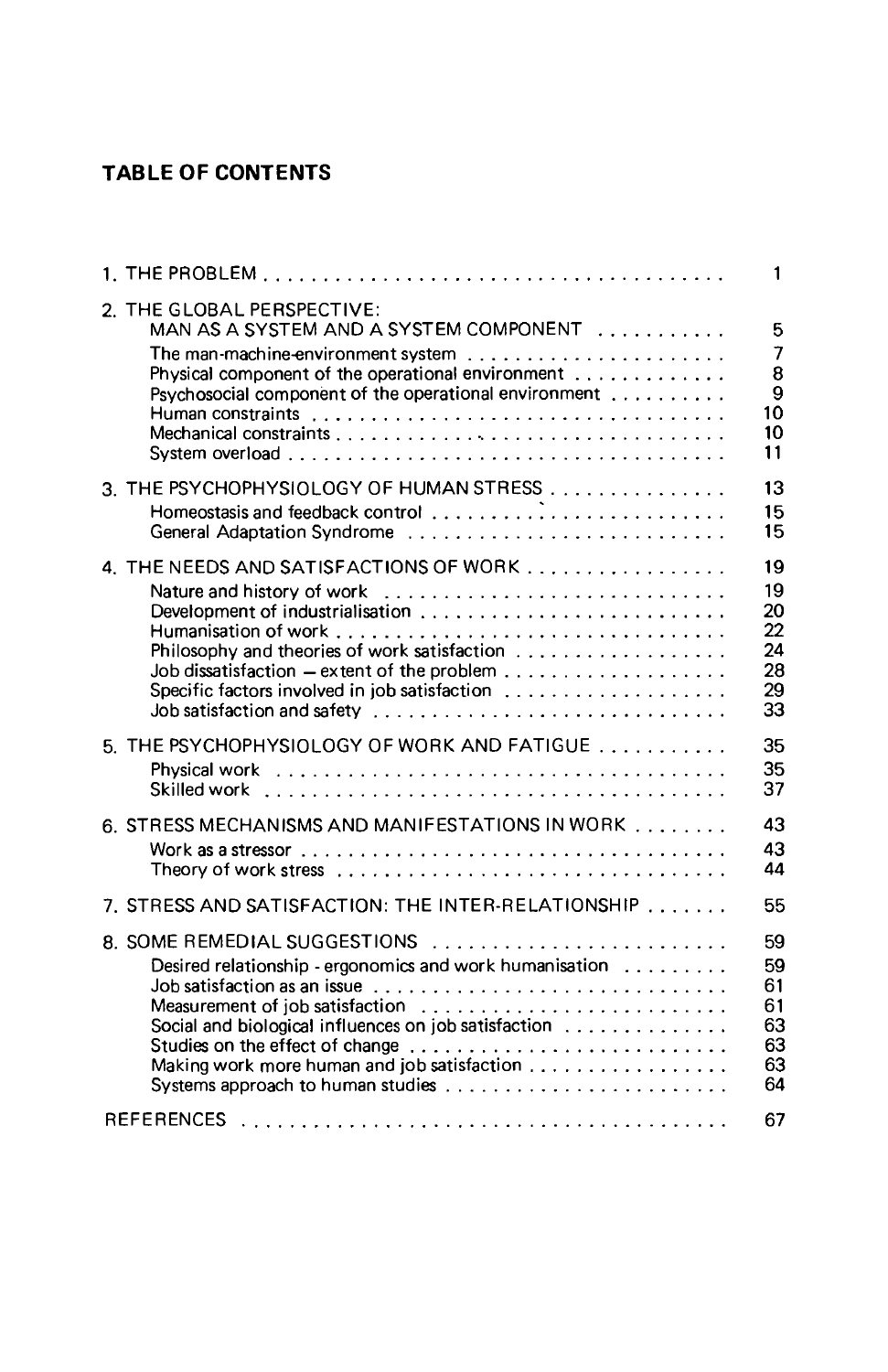# **TABLE OF CONTENTS**

|                                                                                                                                                                                                                                          | 1                                            |
|------------------------------------------------------------------------------------------------------------------------------------------------------------------------------------------------------------------------------------------|----------------------------------------------|
| 2. THE GLOBAL PERSPECTIVE:<br>MAN AS A SYSTEM AND A SYSTEM COMPONENT<br>Physical component of the operational environment $\dots\dots\dots\dots$<br>Psychosocial component of the operational environment $\dots\dots\dots$              | 5<br>7<br>8<br>9<br>10<br>10<br>11           |
| 3. THE PSYCHOPHYSIOLOGY OF HUMAN STRESS                                                                                                                                                                                                  | 13<br>15<br>15                               |
| 4. THE NEEDS AND SATISFACTIONS OF WORK<br>Nature and history of work<br>Development of industrialisation<br>Philosophy and theories of work satisfaction<br>Specific factors involved in job satisfaction<br>Job satisfaction and safety | 19<br>19<br>20<br>22<br>24<br>28<br>29<br>33 |
| 5. THE PSYCHOPHYSIOLOGY OF WORK AND FATIGUE                                                                                                                                                                                              | 35<br>35<br>37                               |
| 6 STRESS MECHANISMS AND MANIFESTATIONS IN WORK                                                                                                                                                                                           | 43<br>43<br>44                               |
| 7. STRESS AND SATISFACTION: THE INTER-RELATIONSHIP                                                                                                                                                                                       | 55                                           |
| 8. SOME REMEDIAL SUGGESTIONS<br>Desired relationship - ergonomics and work humanisation<br>Social and biological influences on job satisfaction<br>Studies on the effect of change<br>Making work more human and job satisfaction        | 59<br>59<br>61<br>61<br>63<br>63<br>63<br>64 |
|                                                                                                                                                                                                                                          | 67                                           |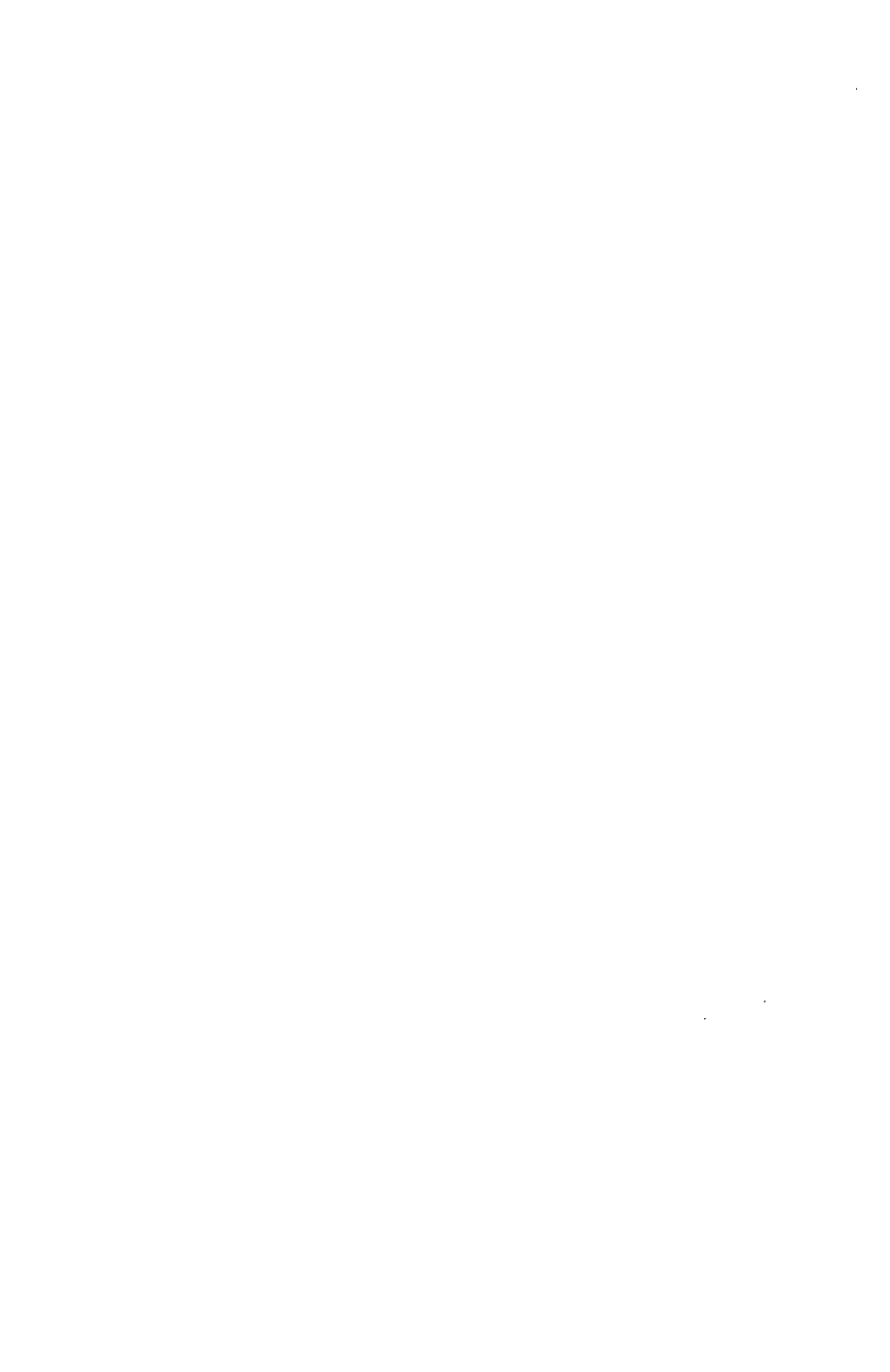$\epsilon$ 

 $\label{eq:2.1} \frac{1}{\sqrt{2}}\left(\frac{1}{\sqrt{2}}\right)^{2} \left(\frac{1}{\sqrt{2}}\right)^{2} \left(\frac{1}{\sqrt{2}}\right)^{2} \left(\frac{1}{\sqrt{2}}\right)^{2} \left(\frac{1}{\sqrt{2}}\right)^{2} \left(\frac{1}{\sqrt{2}}\right)^{2} \left(\frac{1}{\sqrt{2}}\right)^{2} \left(\frac{1}{\sqrt{2}}\right)^{2} \left(\frac{1}{\sqrt{2}}\right)^{2} \left(\frac{1}{\sqrt{2}}\right)^{2} \left(\frac{1}{\sqrt{2}}\right)^{2} \left(\$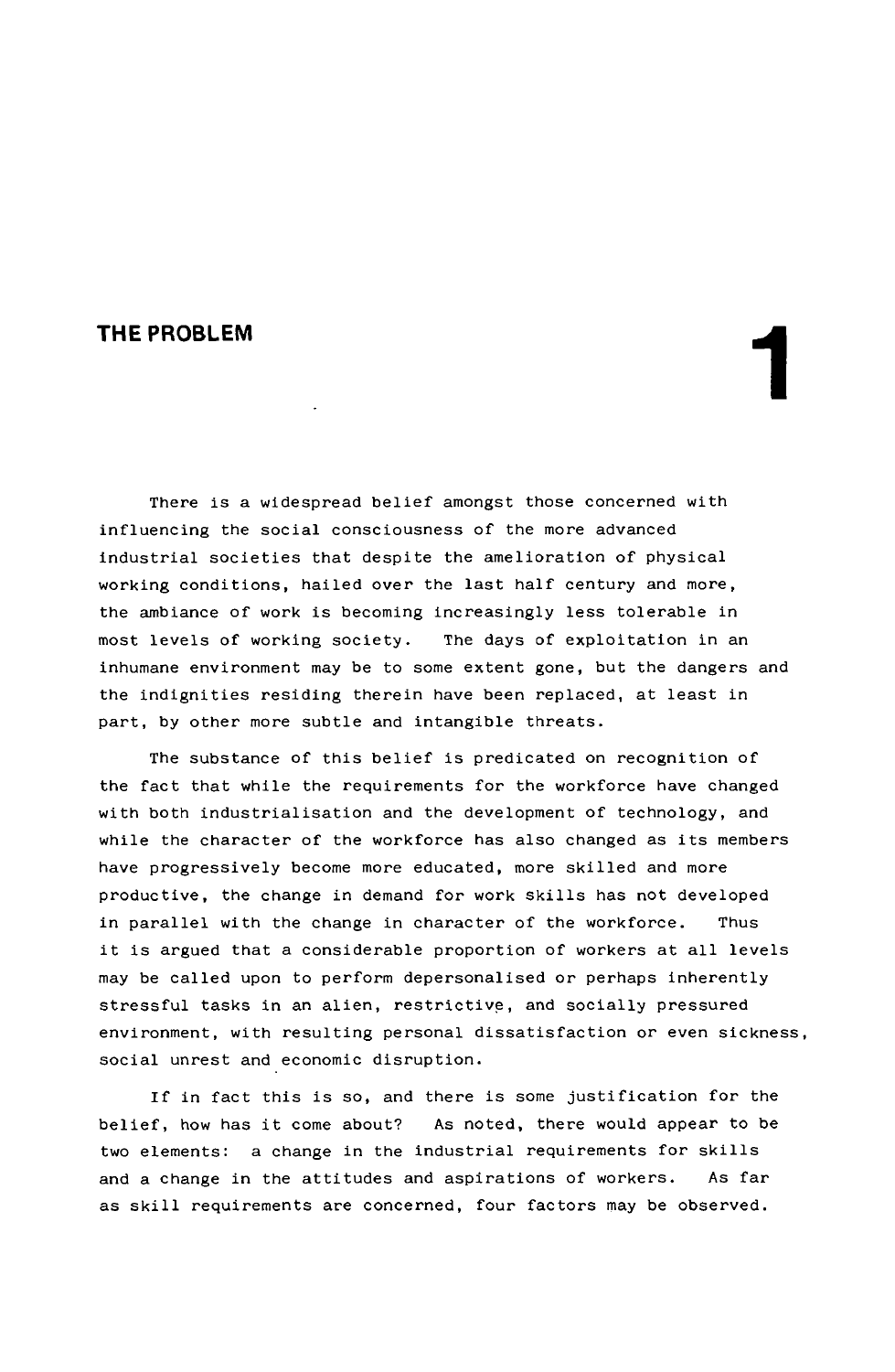## **THE PROBLEM**

There is a widespread belief amongst those concerned with influencing the social consciousness of the more advanced industrial societies that despite the amelioration of physical working conditions, hailed over the last half century and more, the ambiance of work is becoming increasingly less tolerable in most levels of working society. The days of exploitation in an inhumane environment may be to some extent gone, but the dangers and the indignities residing therein have been replaced, at least in part, by other more subtle and intangible threats.

**1** 

The substance of this belief is predicated on recognition of the fact that while the requirements for the workforce have changed with both industrialisation and the development of technology, and while the character of the workforce has also changed as its members have progressively become more educated, more skilled and more productive, the change in demand for work skills has not developed in parallel with the change in character of the workforce. Thus it is argued that a considerable proportion of workers at all levels may be called upon to perform depersonalised or perhaps inherently stressful tasks in an alien, restrictive, and socially pressured environment, with resulting personal dissatisfaction or even sickness, social unrest and economic disruption.

If in fact this is so, and there is some justification for the belief, how has it come about? As noted, there would appear to be two elements: a change in the industrial requirements for skills and a change in the attitudes and aspirations of workers. As far as skill requirements are concerned, four factors may be observed.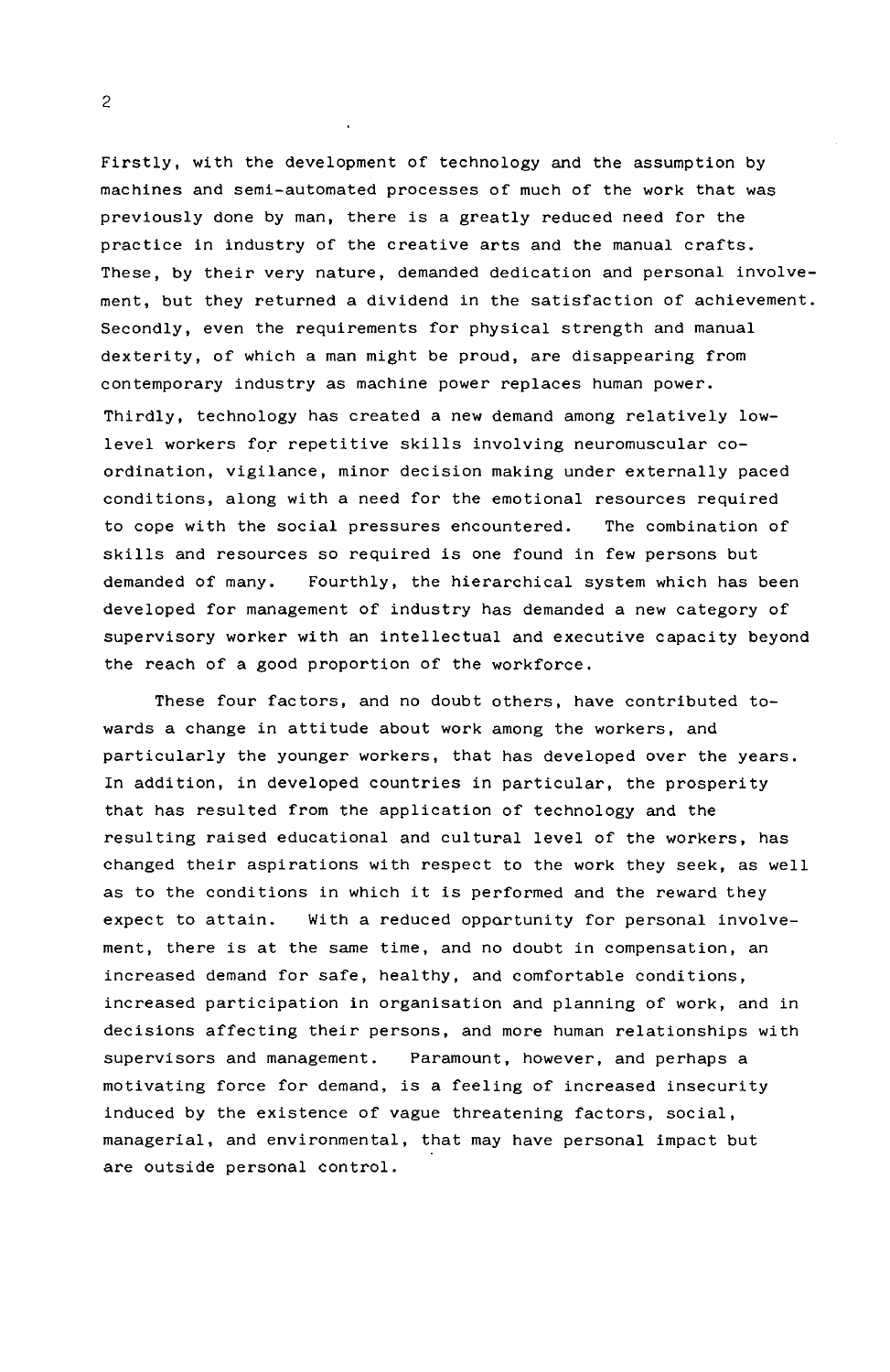Firstly, with the development of technology and the assumption by machines and semi-automated processes of much of the work that was previously done by man, there is a greatly reduced need for the practice in industry of the creative arts and the manual crafts. These, by their very nature, demanded dedication and personal involvement, but they returned a dividend in the satisfaction of achievement. Secondly, even the requirements for physical strength and manual dexterity, of which a man might be proud, are disappearing from contemporary industry as machine power replaces human power. Thirdly, technology has created a new demand among relatively lowlevel workers for repetitive skills involving neuromuscular coordination, vigilance, minor decision making under externally paced conditions, along with a need for the emotional resources required to cope with the social pressures encountered. The combination of skills and resources so required is one found in few persons but demanded of many. Fourthly, the hierarchical system which has been developed for management of industry has demanded a new category of supervisory worker with an intellectual and executive capacity beyond the reach of a good proportion of the workforce.

These four factors, and no doubt others, have contributed towards a change in attitude about work among the workers, and particularly the younger workers, that has developed over the years. In addition, in developed countries in particular, the prosperity that has resulted from the application of technology and the resulting raised educational and cultural level of the workers, has changed their aspirations with respect to the work they seek, as well as to the conditions in which it is performed and the reward they expect to attain. With a reduced opportunity for personal involvement, there is at the same time, and no doubt in compensation, an increased demand for safe, healthy, and comfortable conditions, increased participation in organisation and planning of work, and in decisions affecting their persons, and more human relationships with supervisors and management. Paramount, however, and perhaps a motivating force for demand, is a feeling of increased insecurity induced by the existence of vague threatening factors, social, managerial, and environmental, that may have personal impact but are outside personal control.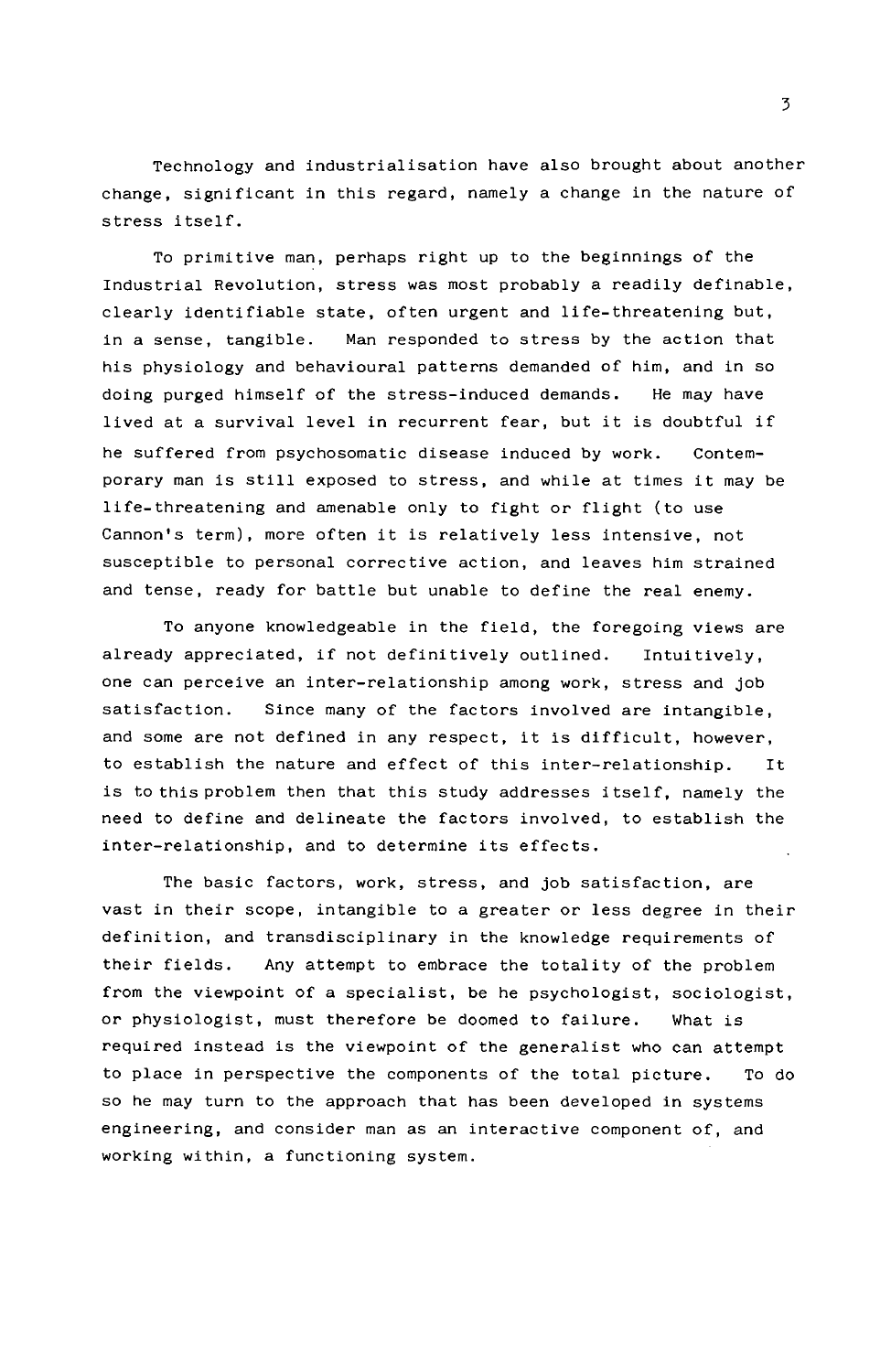Technology and industrialisation have also brought about another change, significant in this regard, namely a change in the nature of stress itself.

To primitive man, perhaps right up to the beginnings of the Industrial Revolution, stress was most probably a readily definable, clearly identifiable state, often urgent and life-threatening but, in a sense, tangible. Man responded to stress by the action that his physiology and behavioural patterns demanded of him, and in so doing purged himself of the stress-induced demands. He may have lived at a survival level in recurrent fear, but it is doubtful if he suffered from psychosomatic disease induced by work. Contemporary man is still exposed to stress, and while at times it may be life-threatening and amenable only to fight or flight (to use Cannon's term), more often it is relatively less intensive, not susceptible to personal corrective action, and leaves him strained and tense, ready for battle but unable to define the real enemy.

To anyone knowledgeable in the field, the foregoing views are already appreciated, if not definitively outlined. Intuitively, one can perceive an inter-relationship among work, stress and job satisfaction. Since many of the factors involved are intangible, and some are not defined in any respect, it is difficult, however, to establish the nature and effect of this inter-relationship. It is to this problem then that this study addresses itself, namely the need to define and delineate the factors involved, to establish the inter-relationship, and to determine its effects.

The basic factors, work, stress, and job satisfaction, are vast in their scope, intangible to a greater or less degree in their definition, and transdisciplinary in the knowledge requirements of their fields. Any attempt to embrace the totality of the problem from the viewpoint of a specialist, be he psychologist, sociologist, or physiologist, must therefore be doomed to failure. What is required instead is the viewpoint of the generalist who can attempt to place in perspective the components of the total picture. To do so he may turn to the approach that has been developed in systems engineering, and consider man as an interactive component of, and working within, a functioning system.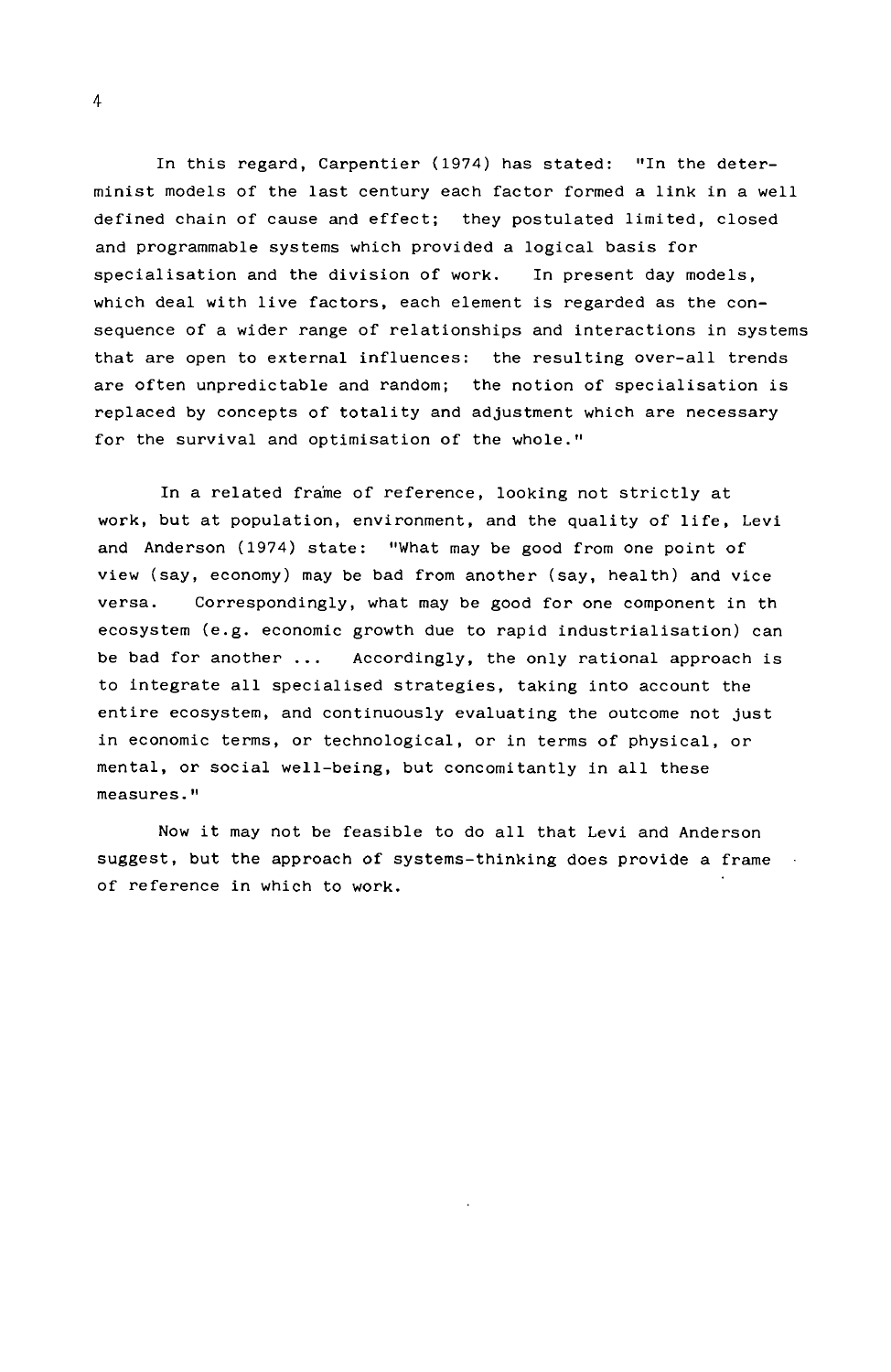In this regard, Carpentier (1974) has stated: "In the determinisi models of the last century each factor formed a link in a well defined chain of cause and effect; they postulated limited, closed and programmable systems which provided a logical basis for specialisation and the division of work. In present day models, which deal with live factors, each element is regarded as the consequence of a wider range of relationships and interactions in systems that are open to external influences: the resulting over-all trends are often unpredictable and random; the notion of specialisation is replaced by concepts of totality and adjustment which are necessary for the survival and optimisation of the whole."

In a related frame of reference, looking not strictly at work, but at population, environment, and the quality of life, Levi and Anderson (1974) state: "What may be good from one point of view (say, economy) may be bad from another (say, health) and vice versa. Correspondingly, what may be good for one component in th ecosystem (e.g. economic growth due to rapid industrialisation) can be bad for another ... Accordingly, the only rational approach is to integrate all specialised strategies, taking into account the entire ecosystem, and continuously evaluating the outcome not just in economic terms, or technological, or in terms of physical, or mental, or social well-being, but concomitantly in all these measures."

Now it may not be feasible to do all that Levi and Anderson suggest, but the approach of systems-thinking does provide a frame of reference in which to work.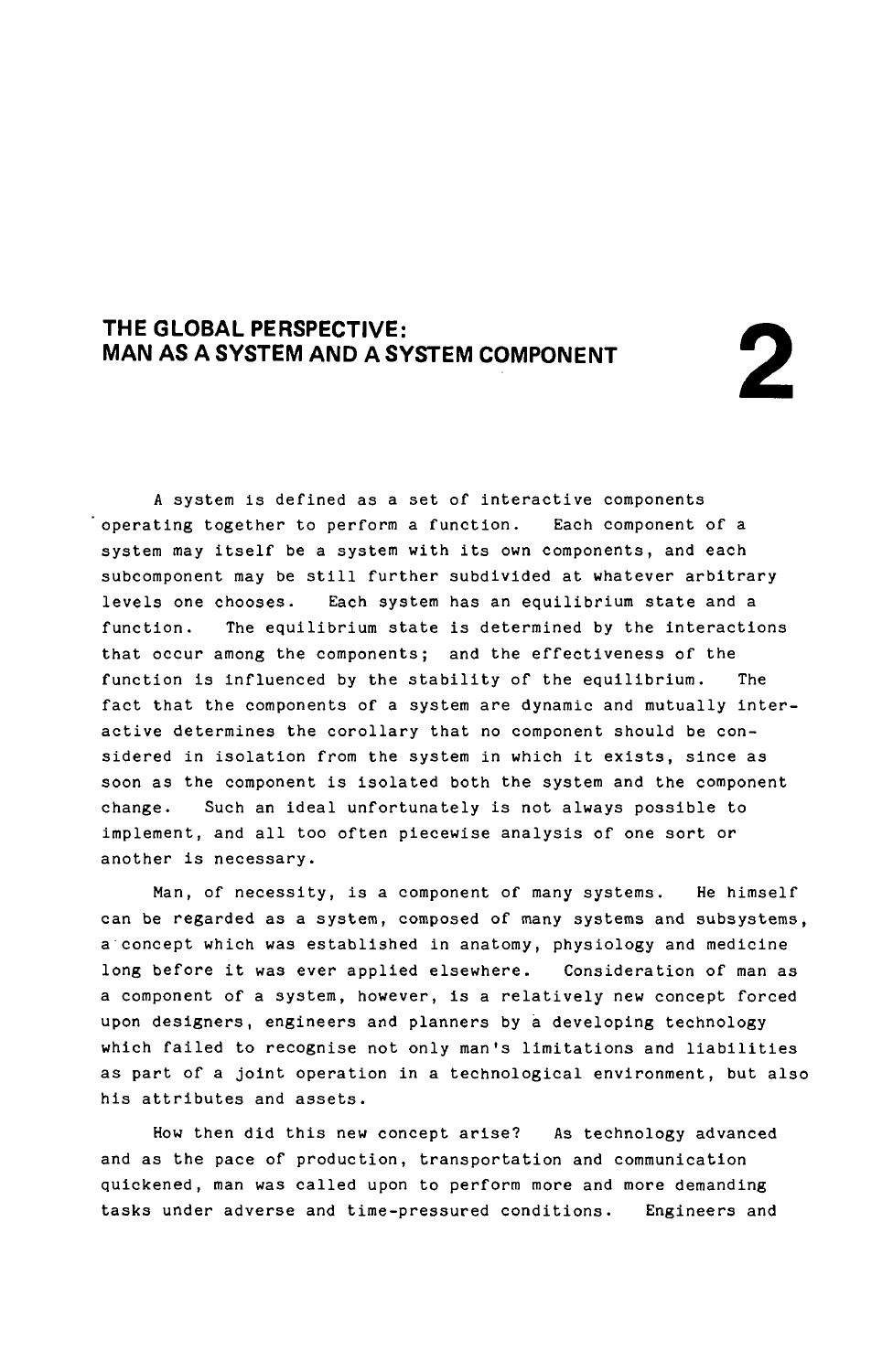# **THE GLOBAL PERSPECTIVE: MAN AS A SYSTEM AND A SYSTEM COMPONENT**

# **2**

A system is defined as a set of interactive components operating together to perform a function. Each component of a system may itself be a system with its own components, and each subcomponent may be still further subdivided at whatever arbitrary levels one chooses. Each system has an equilibrium state and a function. The equilibrium state is determined by the interactions that occur among the components; and the effectiveness of the function is influenced by the stability of the equilibrium. The fact that the components of a system are dynamic and mutually interactive determines the corollary that no component should be considered in isolation from the system in which it exists, since as soon as the component is isolated both the system and the component change. Such an ideal unfortunately is not always possible to implement, and all too often piecewise analysis of one sort or another is necessary.

Man, of necessity, is a component of many systems. He himself can be regarded as a system, composed of many systems and subsystems, a concept which was established in anatomy, physiology and medicine long before it was ever applied elsewhere. Consideration of man as a component of a system, however, is a relatively new concept forced upon designers, engineers and planners by à developing technology which failed to recognise not only man's limitations and liabilities as part of a joint operation in a technological environment, but also his attributes and assets.

How then did this new concept arise? As technology advanced and as the pace of production, transportation and communication quickened, man was called upon to perform more and more demanding tasks under adverse and time-pressured conditions. Engineers and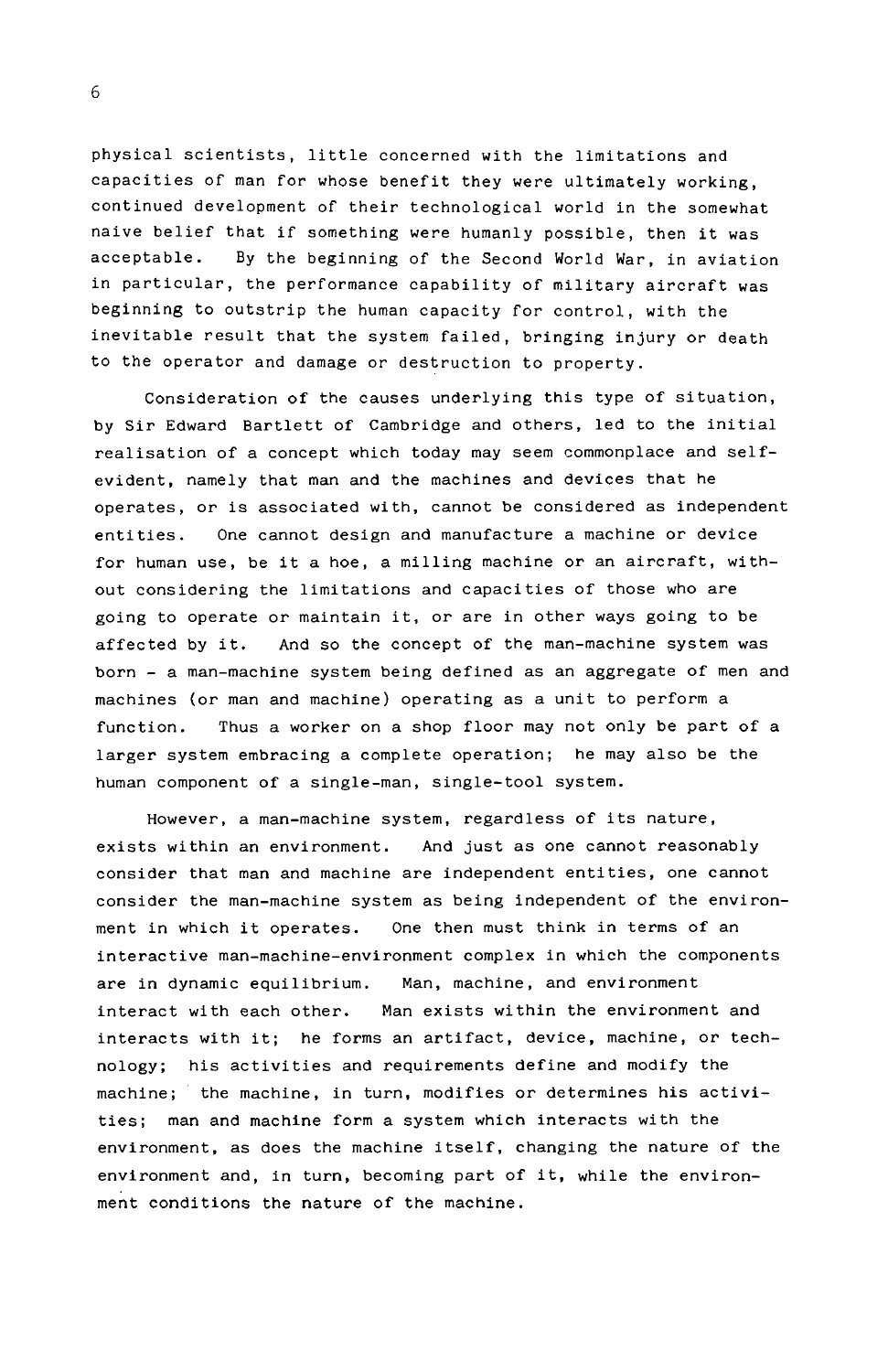physical scientists, little concerned with the limitations and capacities of man for whose benefit they were ultimately working, continued development of their technological world in the somewhat naive belief that if something were humanly possible, then it was acceptable. By the beginning of the Second World War, in aviation in particular, the performance capability of military aircraft was beginning to outstrip the human capacity for control, with the inevitable result that the system failed, bringing injury or death to the operator and damage or destruction to property.

Consideration of the causes underlying this type of situation, by Sir Edward Bartlett of Cambridge and others, led to the initial realisation of a concept which today may seem commonplace and selfevident, namely that man and the machines and devices that he operates, or is associated with, cannot be considered as independent entities. One cannot design and manufacture a machine or device for human use, be it a hoe, a milling machine or an aircraft, without considering the limitations and capacities of those who are going to operate or maintain it, or are in other ways going to be affected by it. And so the concept of the man-machine system was born - a man-machine system being defined as an aggregate of men and machines (or man and machine) operating as a unit to perform a function. Thus a worker on a shop floor may not only be part of a larger system embracing a complete operation; he may also be the human component of a single-man, single-tool system.

However, a man-machine system, regardless of its nature, exists within an environment. And just as one cannot reasonably consider that man and machine are independent entities, one cannot consider the man-machine system as being independent of the environment in which it operates. One then must think in terms of an interactive man-machine-environment complex in which the components are in dynamic equilibrium. Man, machine, and environment interact with each other. Man exists within the environment and interacts with it; he forms an artifact, device, machine, or technology; his activities and requirements define and modify the machine; the machine, in turn, modifies or determines his activities; man and machine form a system which interacts with the environment, as does the machine itself, changing the nature of the environment and, in turn, becoming part of it, while the environment conditions the nature of the machine.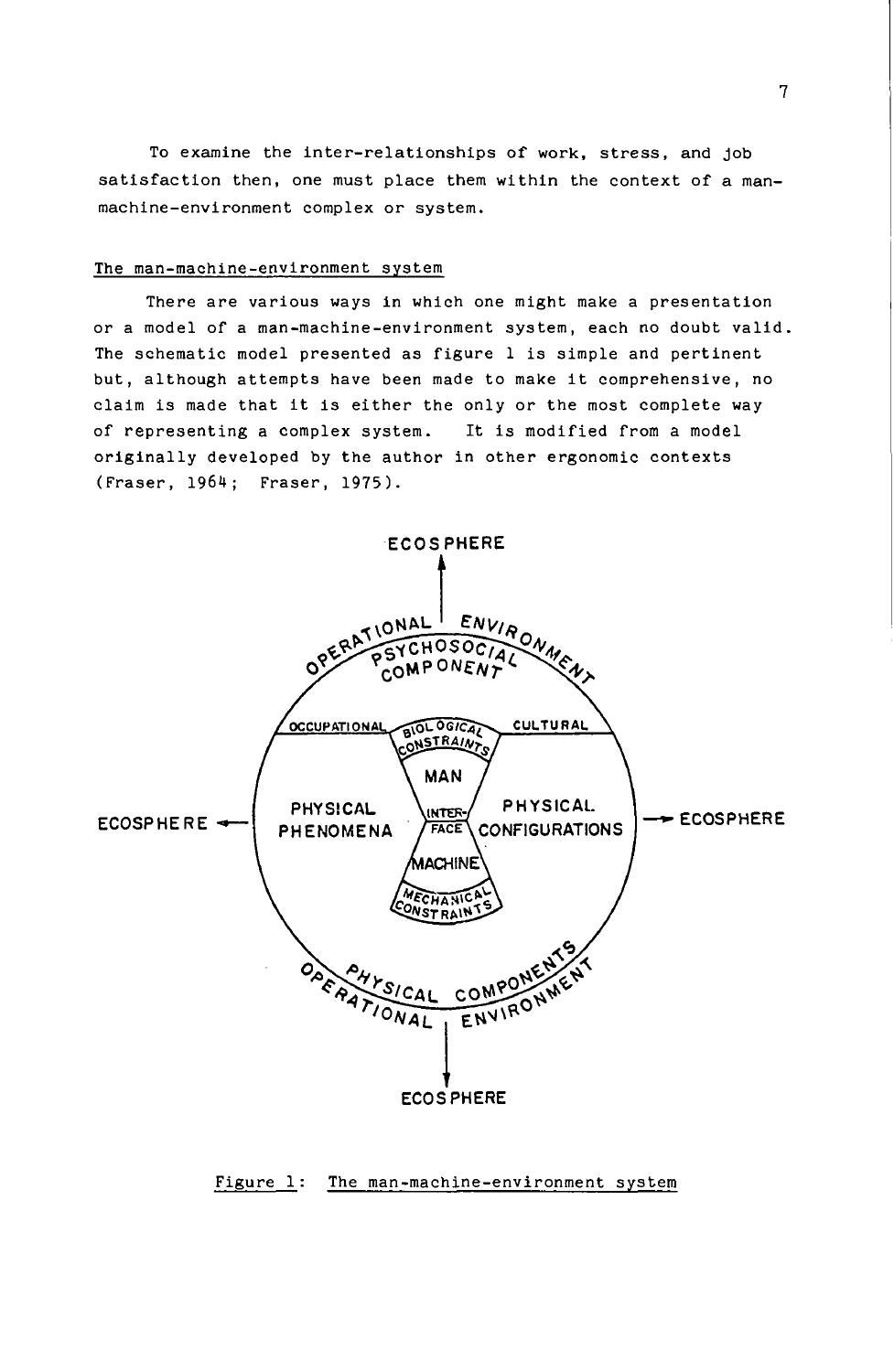To examine the inter-relationships of work, stress, and Job satisfaction then, one must place them within the context of a manmachine-environment complex or system.

#### The man-machine-environment system

There are various ways in which one might make a presentation or a model of a man-machine-environment system, each no doubt valid. The schematic model presented as figure 1 is simple and pertinent but, although attempts have been made to make it comprehensive, no claim is made that it is either the only or the most complete way of representing a complex system. It is modified from a model originally developed by the author in other ergonomie contexts (Fraser, 1964; Fraser, 1975).



#### Figure 1: The man-machine-environment system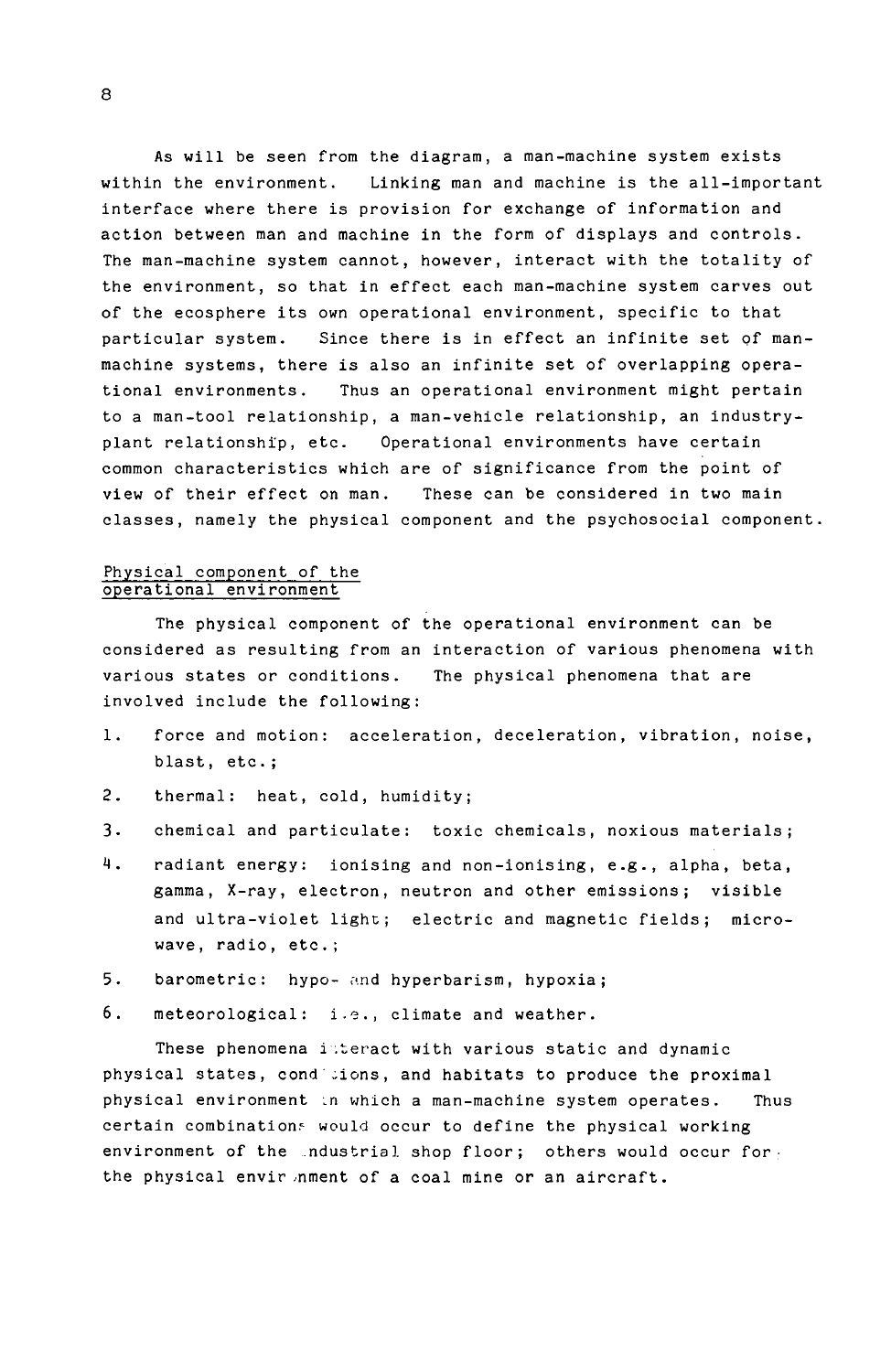As will be seen from the diagram, a man-machine system exists within the environment. Linking man and machine is the all-important interface where there is provision for exchange of information and action between man and machine in the form of displays and controls. The man-machine system cannot, however, interact with the totality of the environment, so that in effect each man-machine system carves out of the ecosphere its own operational environment, specific to that particular system. Since there is in effect an infinite set of manmachine systems, there is also an infinite set of overlapping operational environments. Thus an operational environment might pertain to a man-tool relationship, a man-vehicle relationship, an industryplant relationship, etc. Operational environments have certain common characteristics which are of significance from the point of view of their effect on man. These can be considered in two main classes, namely the physical component and the psychosocial component.

#### Physical component of the operational environment

The physical component of the operational environment can be considered as resulting from an interaction of various phenomena with various states or conditions. The physical phenomena that are involved include the following:

- 1. force and motion: acceleration, deceleration, vibration, noise, blast, etc. ;
- 2. thermal: heat, cold, humidity;
- 3. chemical and particulate: toxic chemicals, noxious materials;
- 4. radiant energy: ionising and non-ionising, e.g., alpha, beta, gamma, X-ray, electron, neutron and other emissions; visible and ultra-violet light; electric and magnetic fields; microwave, radio, etc.;
- 5. barometric: hypo- and hyperbarism, hypoxia;
- 6. meteorological: i.e., climate and weather.

These phenomena interact with various static and dynamic physical states, cond .ions, and habitats to produce the proximal physical environment :n which a man-machine system operates. Thus certain combinations would occur to define the physical working environment of the ndustrial shop floor; others would occur for. the physical envir nment of a coal mine or an aircraft.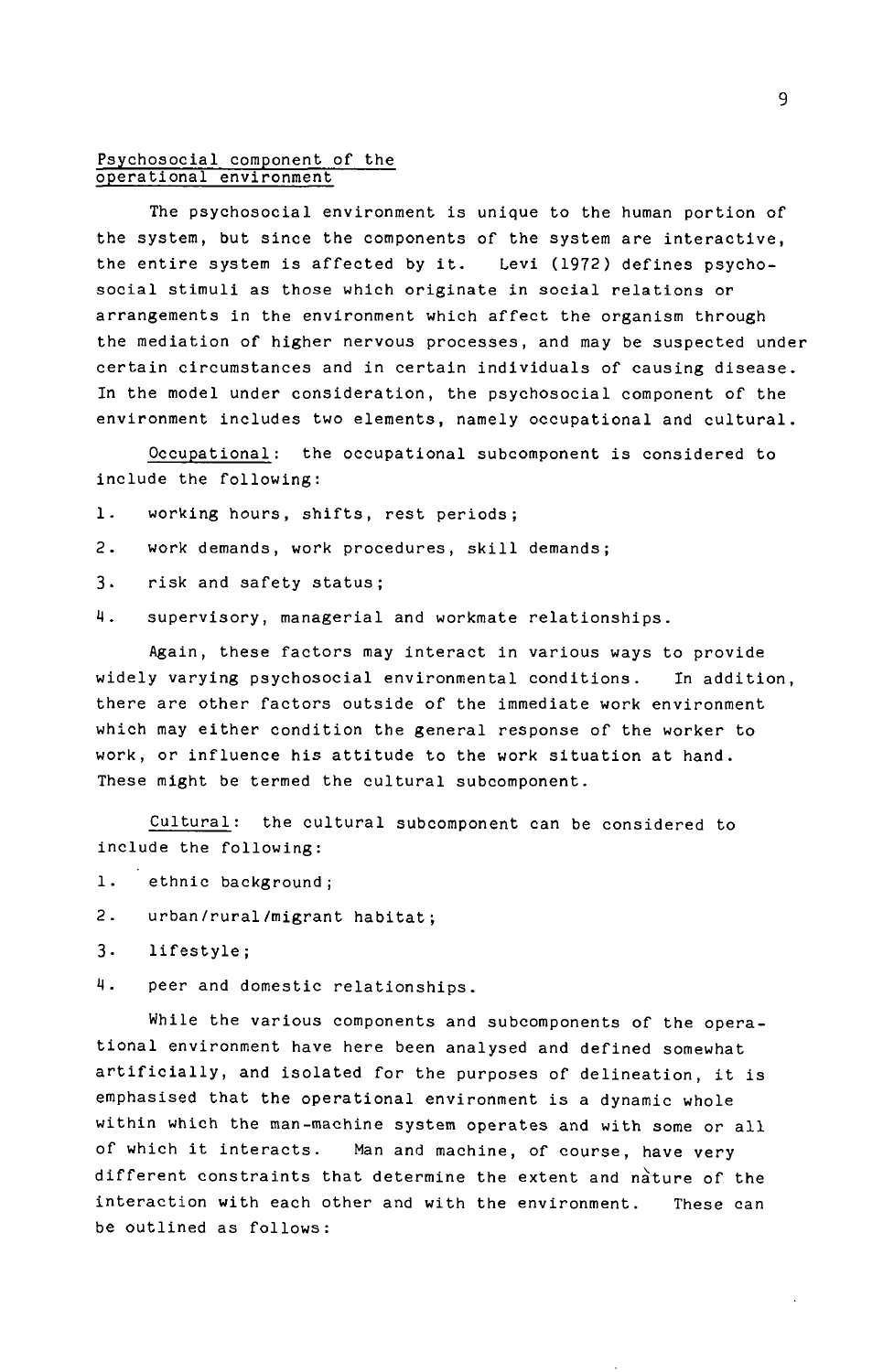#### Psychosocial component of the operational environment

The psychosocial environment is unique to the human portion of the system, but since the components of the system are interactive, the entire system is affected by it. Levi (1972) defines psychosocial stimuli as those which originate in social relations or arrangements in the environment which affect the organism through the mediation of higher nervous processes, and may be suspected under certain circumstances and in certain individuals of causing disease. In the model under consideration, the psychosocial component of the environment includes two elements, namely occupational and cultural.

Occupational : the occupational subcomponent is considered to include the following:

- 1. working hours, shifts, rest periods;
- 2. work demands, work procedures, skill demands;
- 3. risk and safety status;
- 4. supervisory, managerial and workmate relationships.

Again, these factors may interact in various ways to provide widely varying psychosocial environmental conditions. In addition, there are other factors outside of the immediate work environment which may either condition the general response of the worker to work, or influence his attitude to the work situation at hand. These might be termed the cultural subcomponent.

Cultural: the cultural subcomponent can be considered to include the following:

- 1. ethnic background;
- 2. urban/rural/migrant habitat;
- 3. lifestyle;
- 4. peer and domestic relationships.

While the various components and subcomponents of the operational environment have here been analysed and defined somewhat artificially, and isolated for the purposes of delineation, it is emphasised that the operational environment is a dynamic whole within which the man-machine system operates and with some or all of which it interacts. Man and machine, of course, have very different constraints that determine the extent and nature of the interaction with each other and with the environment. These can be outlined as follows: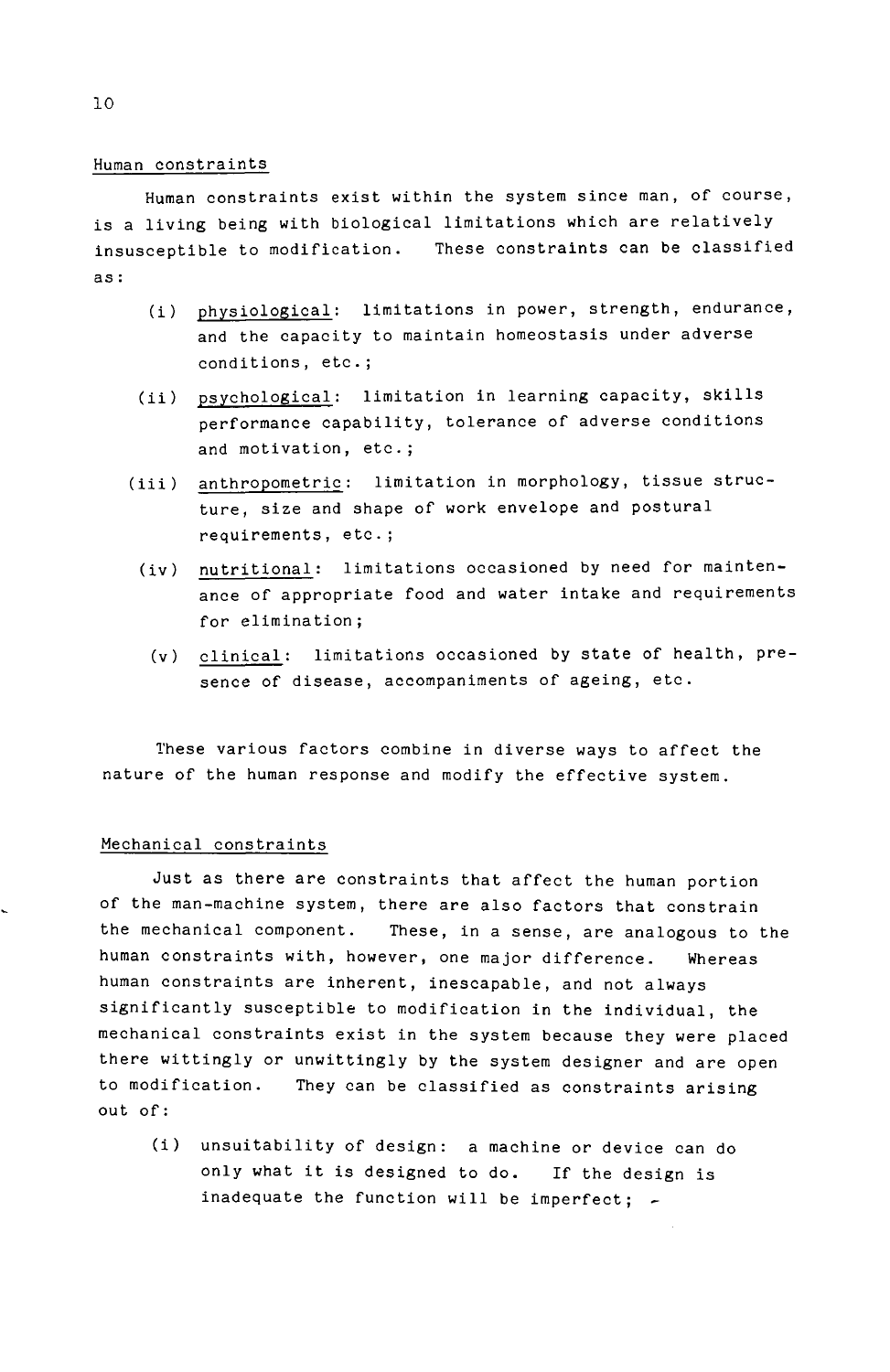#### Human constraints

Human constraints exist within the system since man, of course, is a living being with biological limitations which are relatively insusceptible to modification. These constraints can be classified as :

- (i) physiological: limitations in power, strength, endurance, and the capacity to maintain homeostasis under adverse conditions, etc.;
- (ii) psychological: limitation in learning capacity, skills performance capability, tolerance of adverse conditions and motivation, etc.;
- (iii) anthropometric: limitation in morphology, tissue structure, size and shape of work envelope and postural requirements, etc. ;
	- (iv) nutritional: limitations occasioned by need for maintenance of appropriate food and water intake and requirements for elimination ;
		- $(v)$  clinical: limitations occasioned by state of health, presence of disease, accompaniments of ageing, etc.

These various factors combine in diverse ways to affect the nature of the human response and modify the effective system.

#### Mechanical constraints

Just as there are constraints that affect the human portion of the man-machine system, there are also factors that constrain the mechanical component. These, in a sense, are analogous to the human constraints with, however, one major difference. Whereas human constraints are inherent, inescapable, and not always significantly susceptible to modification in the individual, the mechanical constraints exist in the system because they were placed there wittingly or unwittingly by the system designer and are open to modification. They can be classified as constraints arising out of:

(i) unsuitability of design: a machine or device can do only what it is designed to do. If the design is inadequate the function will be imperfect;  $\sim$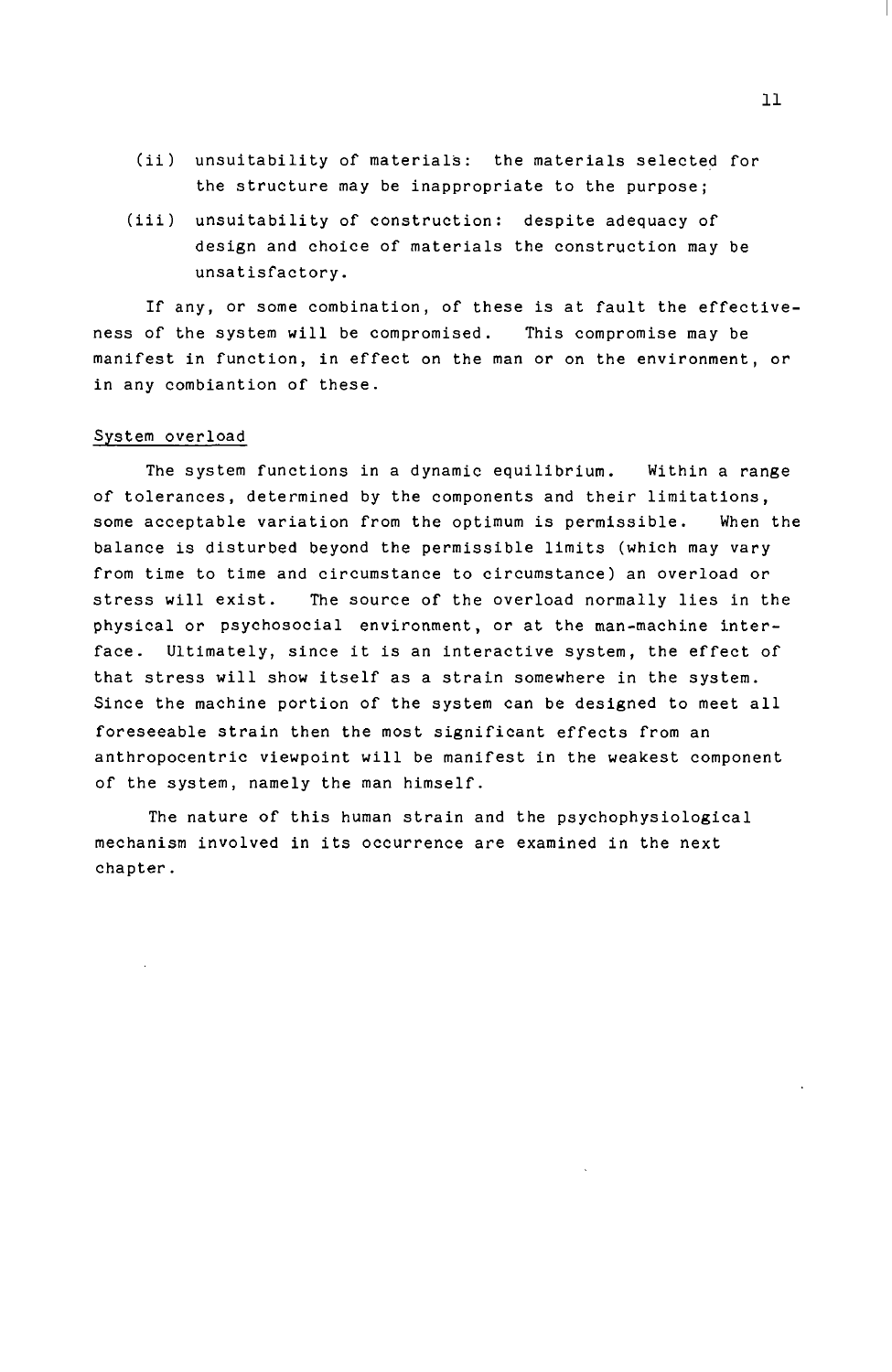- (ii) unsuitability of materials: the materials selected for the structure may be inappropriate to the purpose;
- (iii) unsuitability of construction: despite adequacy of design and choice of materials the construction may be unsatisfactory.

If any, or some combination, of these is at fault the effectiveness of the system will be compromised. This compromise may be manifest in function, in effect on the man or on the environment, or in any combiantion of these.

#### System overload

The system functions in a dynamic equilibrium. Within a range of tolerances, determined by the components and their limitations, some acceptable variation from the optimum is permissible. When the balance is disturbed beyond the permissible limits (which may vary from time to time and circumstance to circumstance) an overload or stress will exist. The source of the overload normally lies in the physical or psychosocial environment, or at the man-machine interface. Ultimately, since it is an interactive system, the effect of that stress will show itself as a strain somewhere in the system. Since the machine portion of the system can be designed to meet all foreseeable strain then the most significant effects from an anthropocentric viewpoint will be manifest in the weakest component of the system, namely the man himself.

The nature of this human strain and the psychophysiological mechanism involved in its occurrence are examined in the next chapter.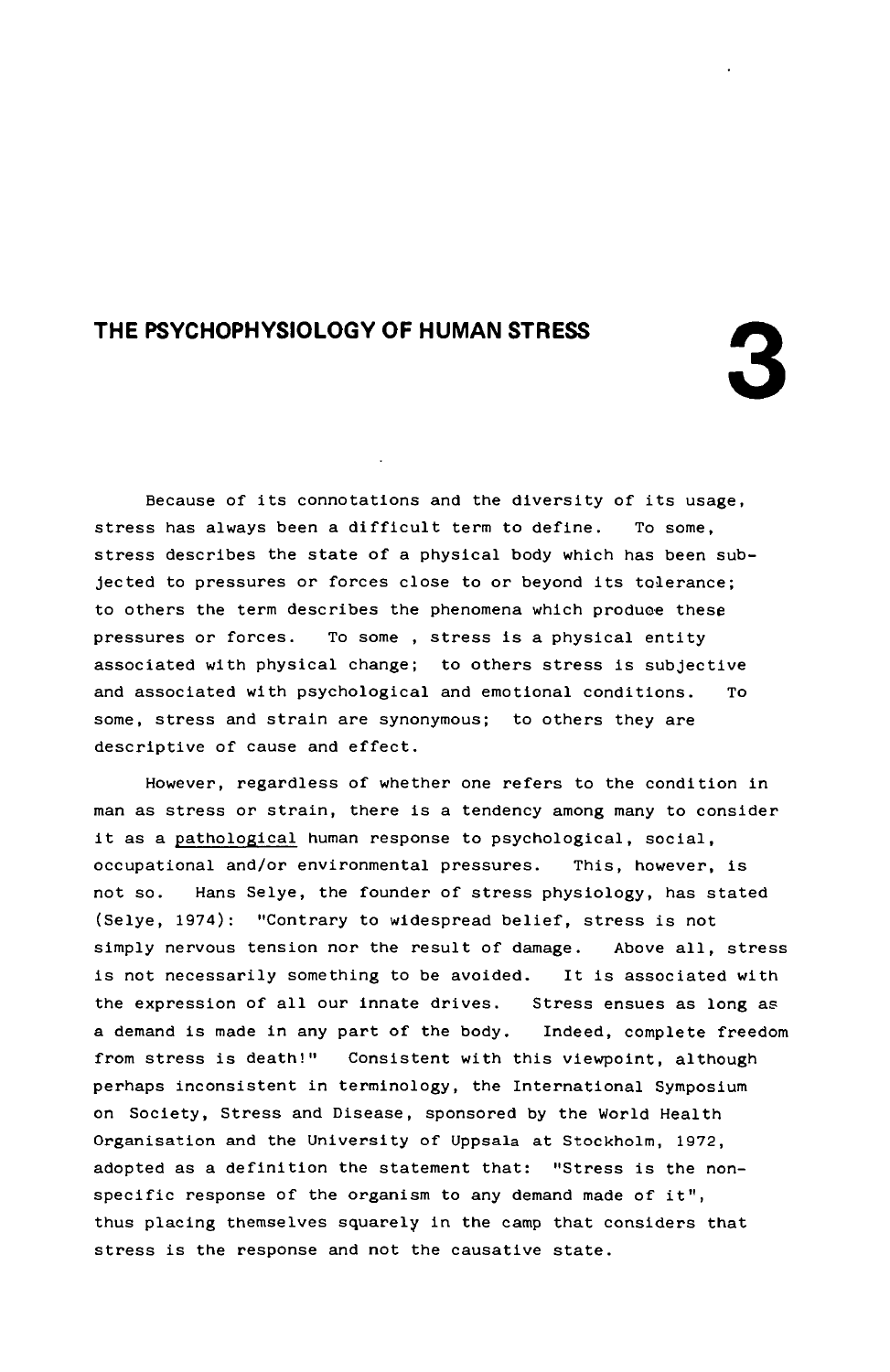# **THE PSYCHOPHYSIOLOGY OF HUMAN STRESS**

**3** 

Because of its connotations and the diversity of its usage, stress has always been a difficult term to define. To some, stress describes the state of a physical body which has been subjected to pressures or forces close to or beyond its tolerance; to others the term describes the phenomena which produce these pressures or forces. To some , stress is a physical entity associated with physical change; to others stress is subjective and associated with psychological and emotional conditions. To some, stress and strain are synonymous; to others they are descriptive of cause and effect.

However, regardless of whether one refers to the condition in man as stress or strain, there is a tendency among many to consider it as a pathological human response to psychological, social, occupational and/or environmental pressures. This, however, is not so. Hans Selye, the founder of stress physiology, has stated (Selye, 1974): "Contrary to widespread belief, stress is not simply nervous tension nor the result of damage. Above all, stress is not necessarily something to be avoided. It is associated with the expression of all our innate drives. Stress ensues as long as a demand is made in any part of the body. Indeed, complete freedom from stress is death!" Consistent with this viewpoint, although perhaps inconsistent in terminology, the International Symposium on Society, Stress and Disease, sponsored by the World Health Organisation and the University of Uppsala at Stockholm, 1972, adopted as a definition the statement that: "Stress is the nonspecific response of the organism to any demand made of it", thus placing themselves squarely in the camp that considers that stress is the response and not the causative state.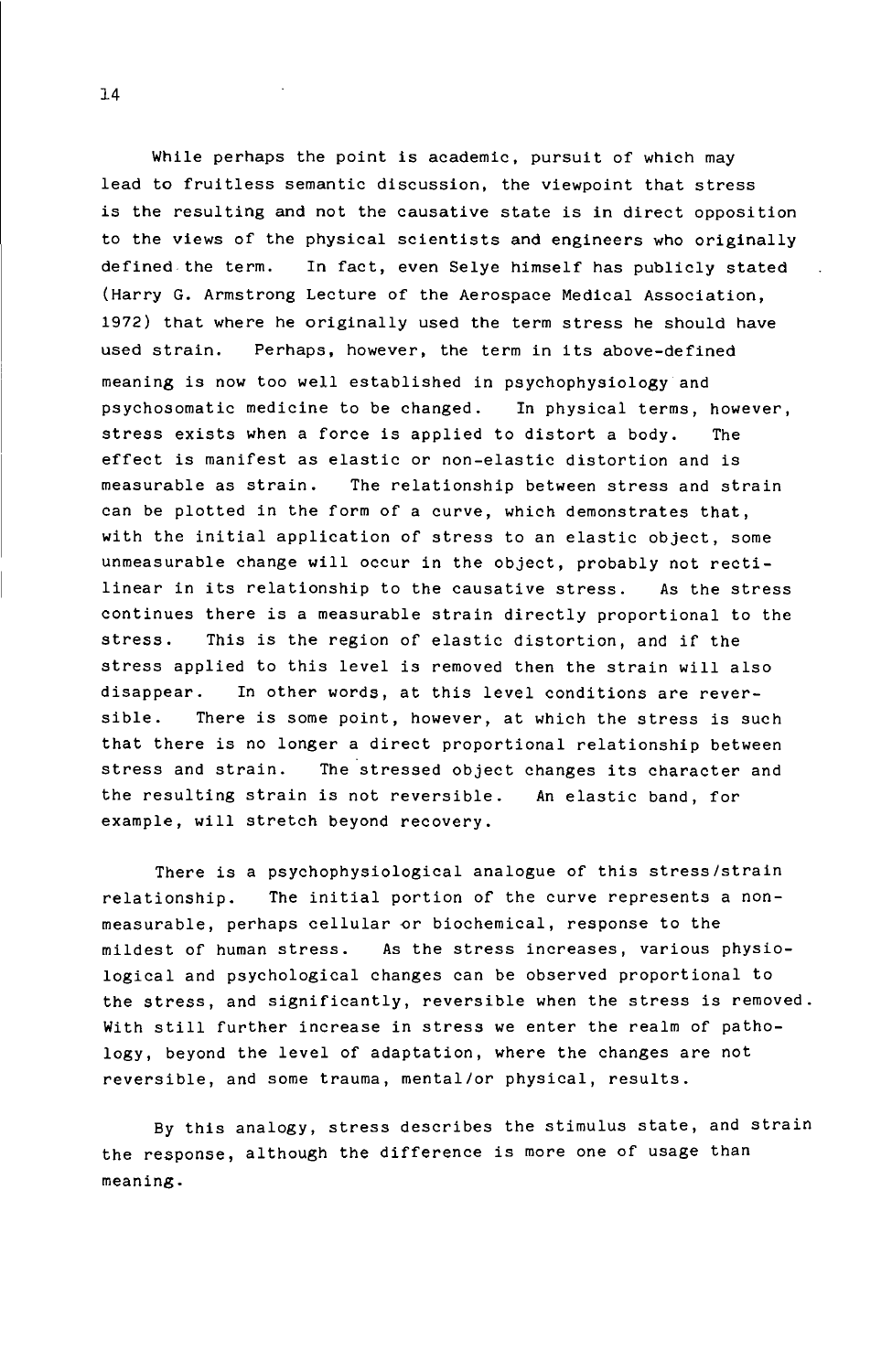While perhaps the point is academic, pursuit of which may lead to fruitless semantic discussion, the viewpoint that stress is the resulting and not the causative state is in direct opposition to the views of the physical scientists and engineers who originally defined the term. In fact, even Selye himself has publicly stated (Harry G. Armstrong Lecture of the Aerospace Medical Association, 1972) that where he originally used the term stress he should have used strain. Perhaps, however, the term in its above-defined meaning is now too well established in psychophysiology and psychosomatic medicine to be changed. In physical terms, however, stress exists when a force is applied to distort a body. The effect is manifest as elastic or non-elastic distortion and is measurable as strain. The relationship between stress and strain can be plotted in the form of a curve, which demonstrates that, with the initial application of stress to an elastic object, some unmeasurable change will occur in the object, probably not rectilinear in its relationship to the causative stress. As the stress continues there is a measurable strain directly proportional to the stress. This is the region of elastic distortion, and if the stress applied to this level is removed then the strain will also disappear. In other words, at this level conditions are reversible. There is some point, however, at which the stress is such that there is no longer a direct proportional relationship between stress and strain. The stressed object changes its character and the resulting strain is not reversible. An elastic band, for example, will stretch beyond recovery.

There is a psychophysiological analogue of this stress /strain relationship. The initial portion of the curve represents a nonmeasurable, perhaps cellular or biochemical, response to the mildest of human stress. As the stress increases, various physiological and psychological changes can be observed proportional to the stress, and significantly, reversible when the stress is removed. With still further increase in stress we enter the realm of pathology, beyond the level of adaptation, where the changes are not reversible, and some trauma, mental/or physical, results.

By this analogy, stress describes the stimulus state, and strain the response, although the difference is more one of usage than meaning.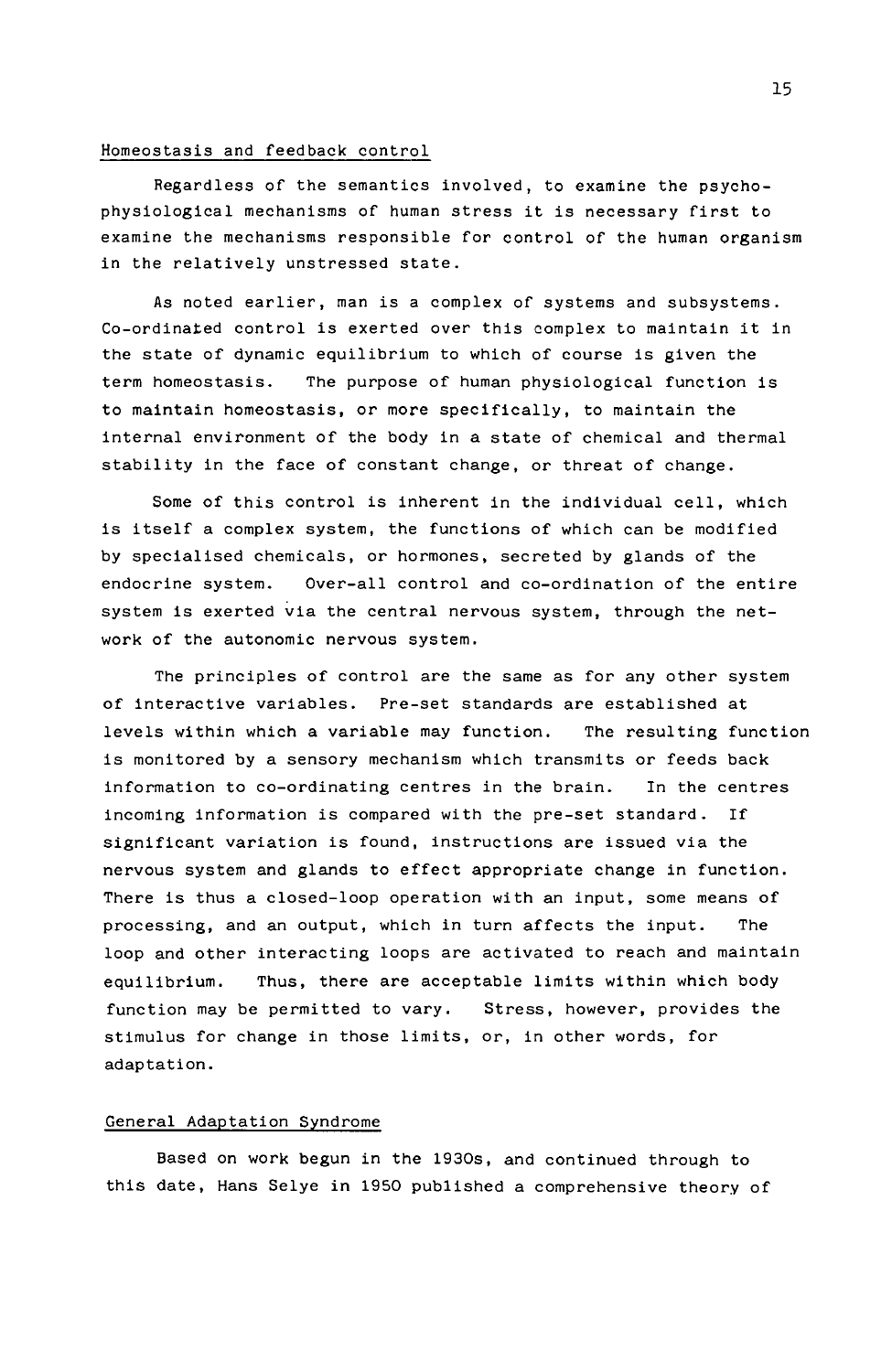#### Homeostasis and feedback control

Regardless of the semantics involved, to examine the psychophysiological mechanisms of human stress it is necessary first to examine the mechanisms responsible for control of the human organism in the relatively unstressed state.

As noted earlier, man is a complex of systems and subsystems. Co-ordinated control is exerted over this complex to maintain it in the state of dynamic equilibrium to which of course is given the term homeostasis. The purpose of human physiological function is to maintain homeostasis, or more specifically, to maintain the internal environment of the body in a state of chemical and thermal stability in the face of constant change, or threat of change.

Some of this control is inherent in the individual cell, which is itself a complex system, the functions of which can be modified by specialised chemicals, or hormones, secreted by glands of the endocrine system. Over-all control and co-ordination of the entire system is exerted via the central nervous system, through the network of the autonomic nervous system.

The principles of control are the same as for any other system of interactive variables. Pre-set standards are established at levels within which a variable may function. The resulting function is monitored by a sensory mechanism which transmits or feeds back information to co-ordinating centres in the brain. In the centres incoming information is compared with the pre-set standard. If significant variation is found, instructions are issued via the nervous system and glands to effect appropriate change in function. There is thus a closed-loop operation with an input, some means of processing, and an output, which in turn affects the input. The loop and other interacting loops are activated to reach and maintain equilibrium. Thus, there are acceptable limits within which body function may be permitted to vary. Stress, however, provides the stimulus for change in those limits, or, in other words, for adaptation.

#### General Adaptation Syndrome

Based on work begun in the 1930s, and continued through to this date, Hans Selye in 1950 published a comprehensive theory of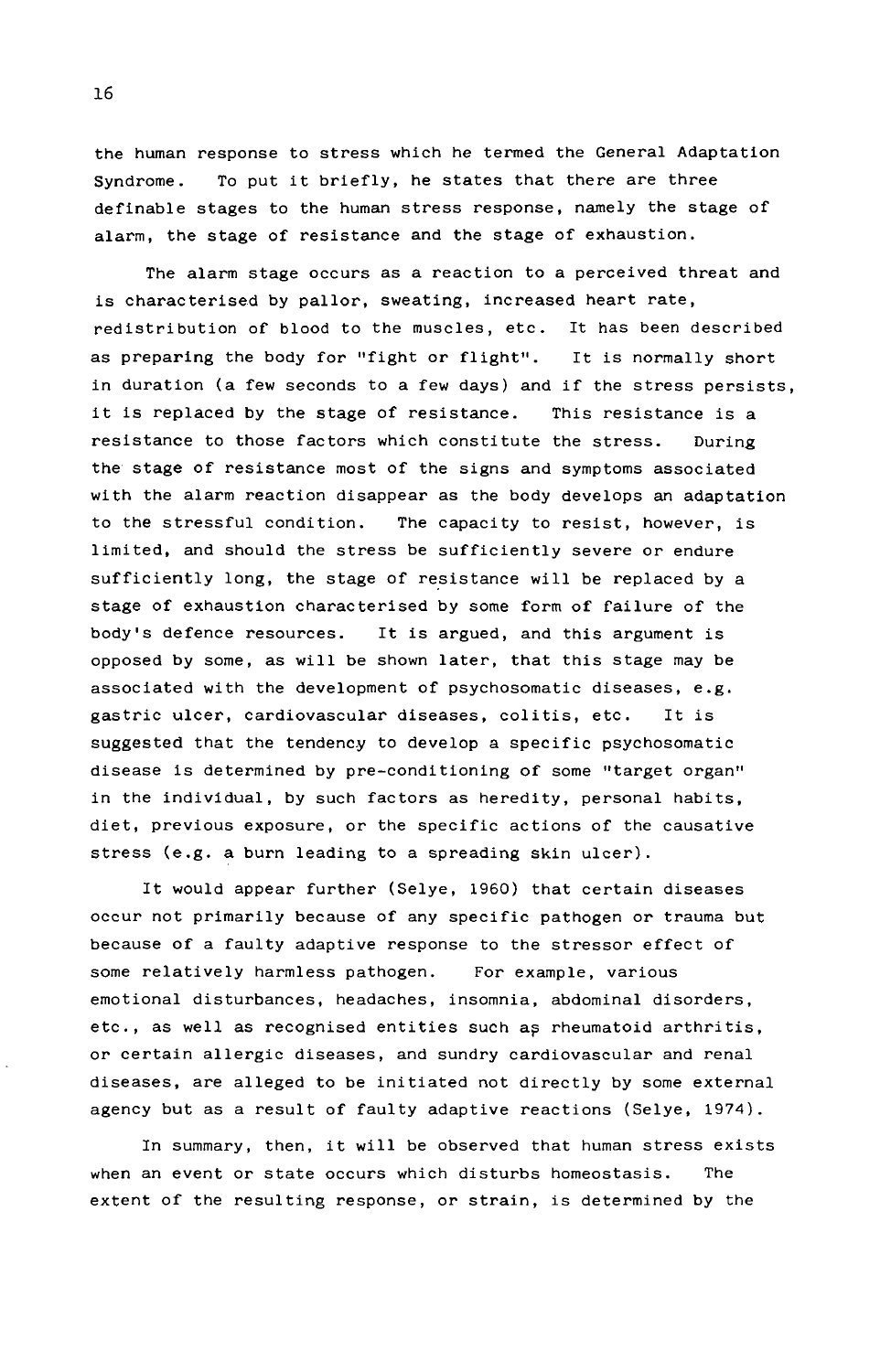the human response to stress which he termed the General Adaptation Syndrome. To put it briefly, he states that there are three definable stages to the human stress response, namely the stage of alarm, the stage of resistance and the stage of exhaustion.

The alarm stage occurs as a reaction to a perceived threat and is characterised by pallor, sweating, increased heart rate, redistribution of blood to the muscles, etc. It has been described as preparing the body for "fight or flight". It is normally short in duration (a few seconds to a few days) and if the stress persists, it is replaced by the stage of resistance. This resistance is a resistance to those factors which constitute the stress. During the stage of resistance most of the signs and symptoms associated with the alarm reaction disappear as the body develops an adaptation to the stressful condition. The capacity to resist, however, is limited, and should the stress be sufficiently severe or endure sufficiently long, the stage of resistance will be replaced by a stage of exhaustion characterised by some form of failure of the body's defence resources. It is argued, and this argument is opposed by some, as will be shown later, that this stage may be associated with the development of psychosomatic diseases, e.g. gastric ulcer, cardiovascular diseases, colitis, etc. It is suggested that the tendency to develop a specific psychosomatic disease is determined by pre-conditioning of some "target organ" in the individual, by such factors as heredity, personal habits, diet, previous exposure, or the specific actions of the causative stress (e.g. a burn leading to a spreading skin ulcer).

It would appear further (Selye, 1960) that certain diseases occur not primarily because of any specific pathogen or trauma but because of a faulty adaptive response to the stressor effect of some relatively harmless pathogen. For example, various emotional disturbances, headaches, insomnia, abdominal disorders, etc., as well as recognised entities such as rheumatoid arthritis, or certain allergic diseases, and sundry cardiovascular and renal diseases, are alleged to be initiated not directly by some external agency but as a result of faulty adaptive reactions (Selye, 1974).

In summary, then, it will be observed that human stress exists when an event or state occurs which disturbs homeostasis. The extent of the resulting response, or strain, is determined by the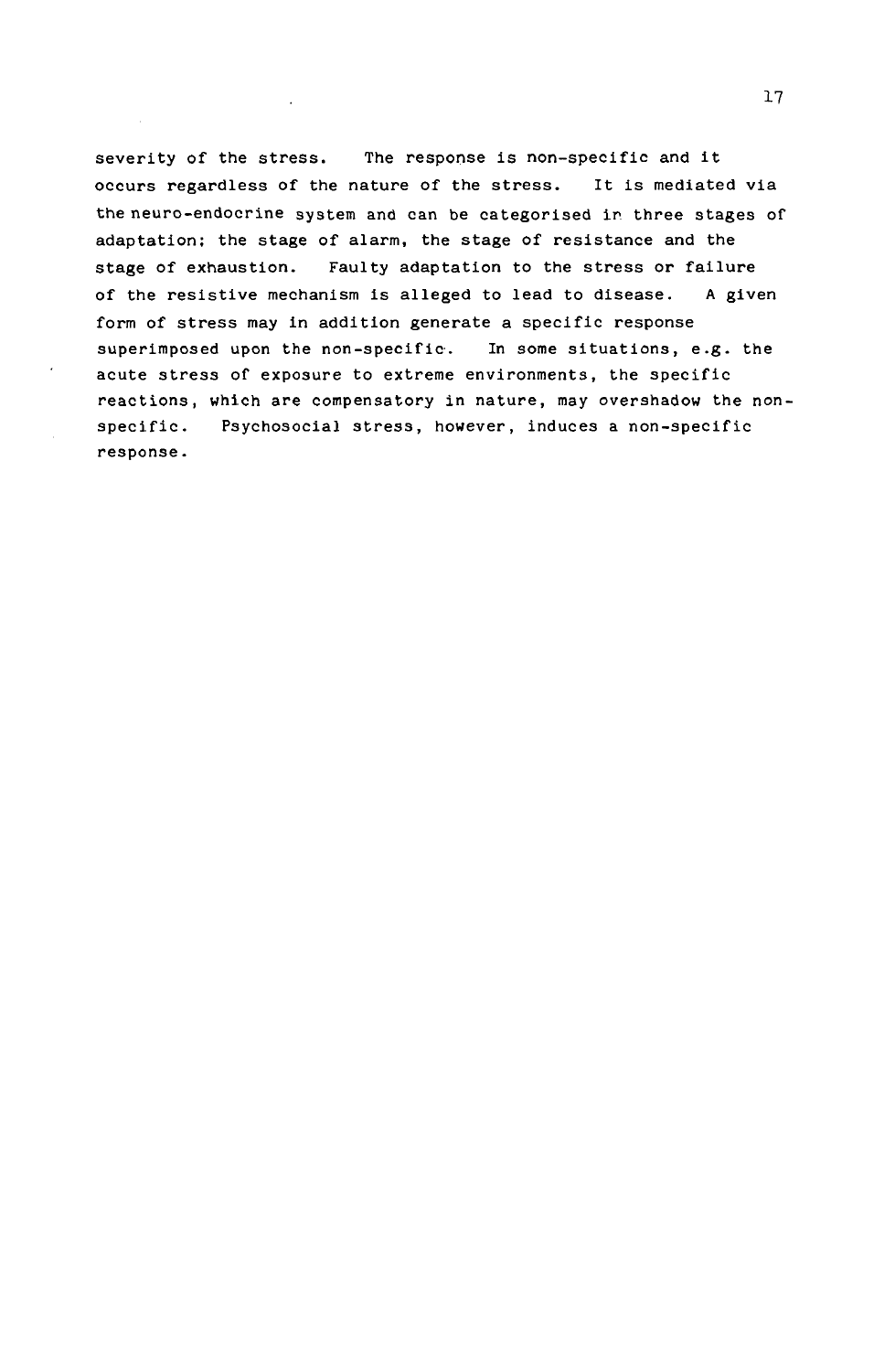severity of the stress. The response is non-specific and it occurs regardless of the nature of the stress. It is mediated via the neuro-endocrine system and can be categorised ir three stages of adaptation; the stage of alarm, the stage of resistance and the stage of exhaustion. Faulty adaptation to the stress or failure of the resistive mechanism is alleged to lead to disease. A given form of stress may in addition generate a specific response superimposed upon the non-specific. In some situations, e.g. the acute stress of exposure to extreme environments, the specific reactions, which are compensatory in nature, may overshadow the nonspecific. Psychosocial stress, however, induces a non-specific response.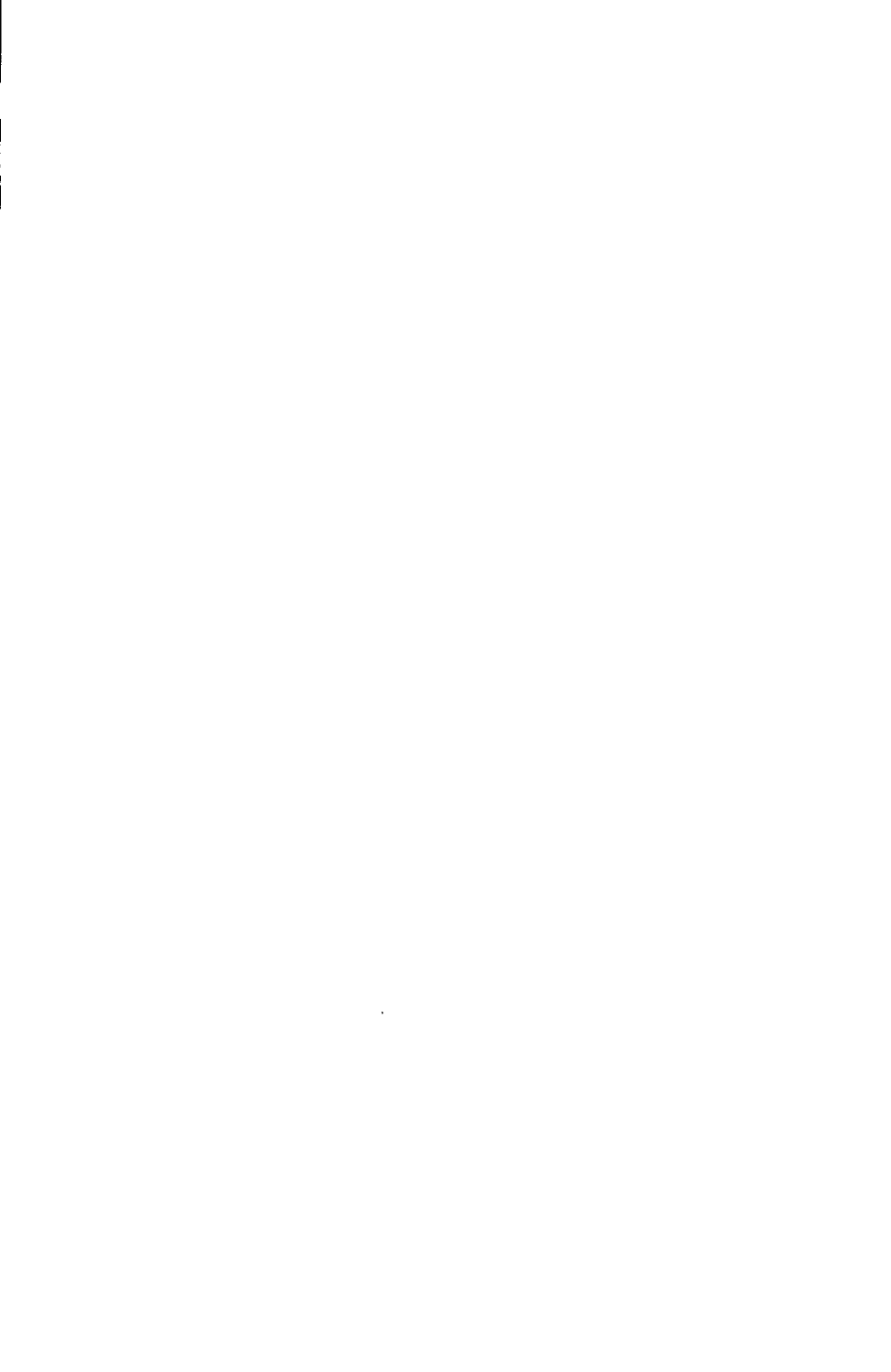$\mathcal{L}^{\text{max}}_{\text{max}}$  , where  $\mathcal{L}^{\text{max}}_{\text{max}}$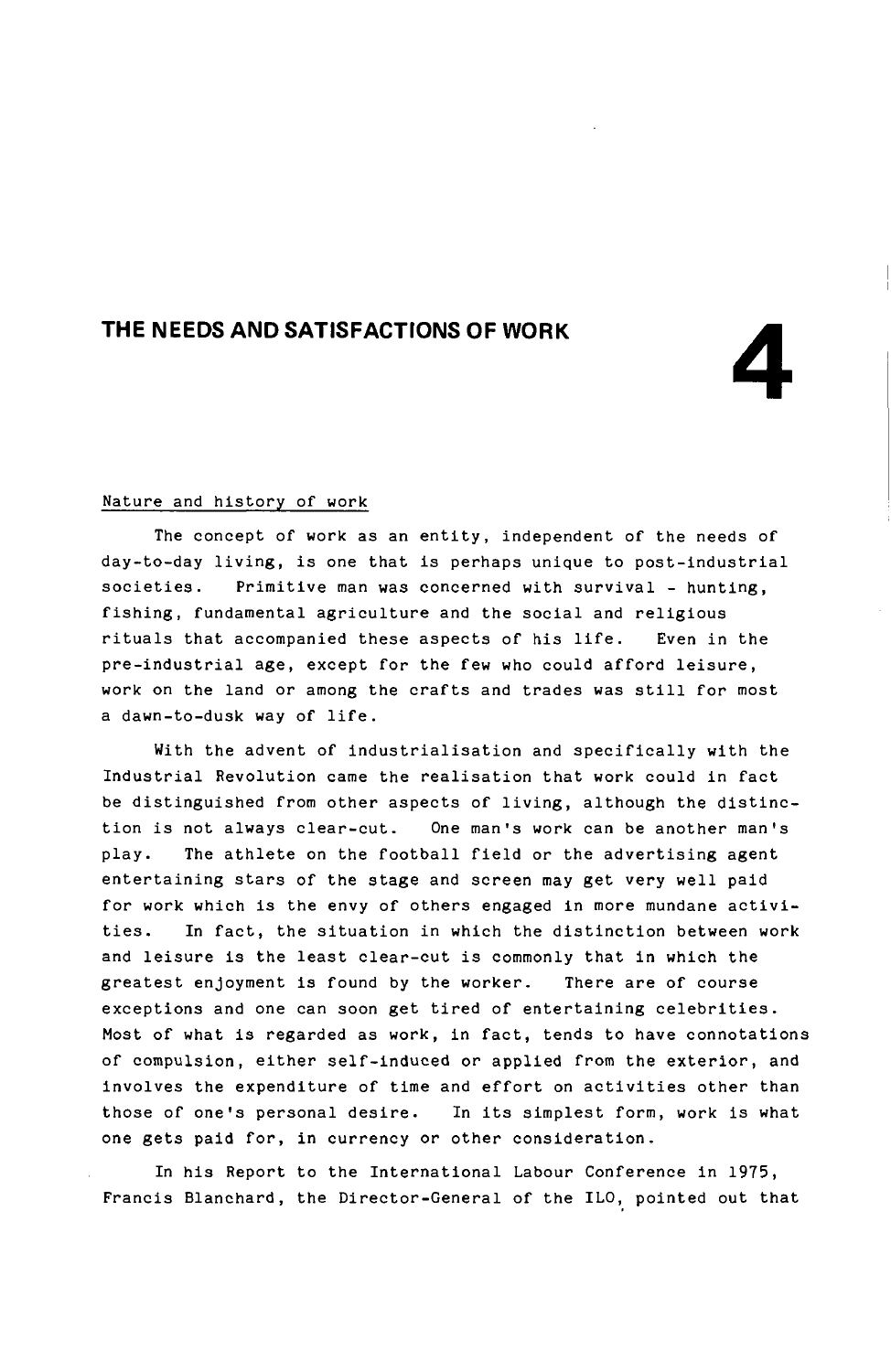# **THE NEEDS AND SATISFACTIONS OF WORK 4**

#### Nature and history of work

The concept of work as an entity, independent of the needs of day-to-day living, is one that is perhaps unique to post-industrial societies. Primitive man was concerned with survival - hunting, fishing, fundamental agriculture and the social and religious rituals that accompanied these aspects of his life. Even in the pre-industrial age, except for the few who could afford leisure, work on the land or among the crafts and trades was still for most a dawn-to-dusk way of life.

With the advent of industrialisation and specifically with the Industrial Revolution came the realisation that work could in fact be distinguished from other aspects of living, although the distinction is not always clear-cut. One man's work can be another man's play. The athlete on the football field or the advertising agent entertaining stars of the stage and screen may get very well paid for work which is the envy of others engaged in more mundane activities. In fact, the situation in which the distinction between work and leisure is the least clear-cut is commonly that in which the greatest enjoyment is found by the worker. There are of course exceptions and one can soon get tired of entertaining celebrities. Most of what is regarded as work, in fact, tends to have connotations of compulsion, either self-induced or applied from the exterior, and involves the expenditure of time and effort on activities other than those of one's personal desire. In its simplest form, work is what one gets paid for, in currency or other consideration.

In his Report to the International Labour Conference in 1975, Francis Blanchard, the Director-General of the ILO, pointed out that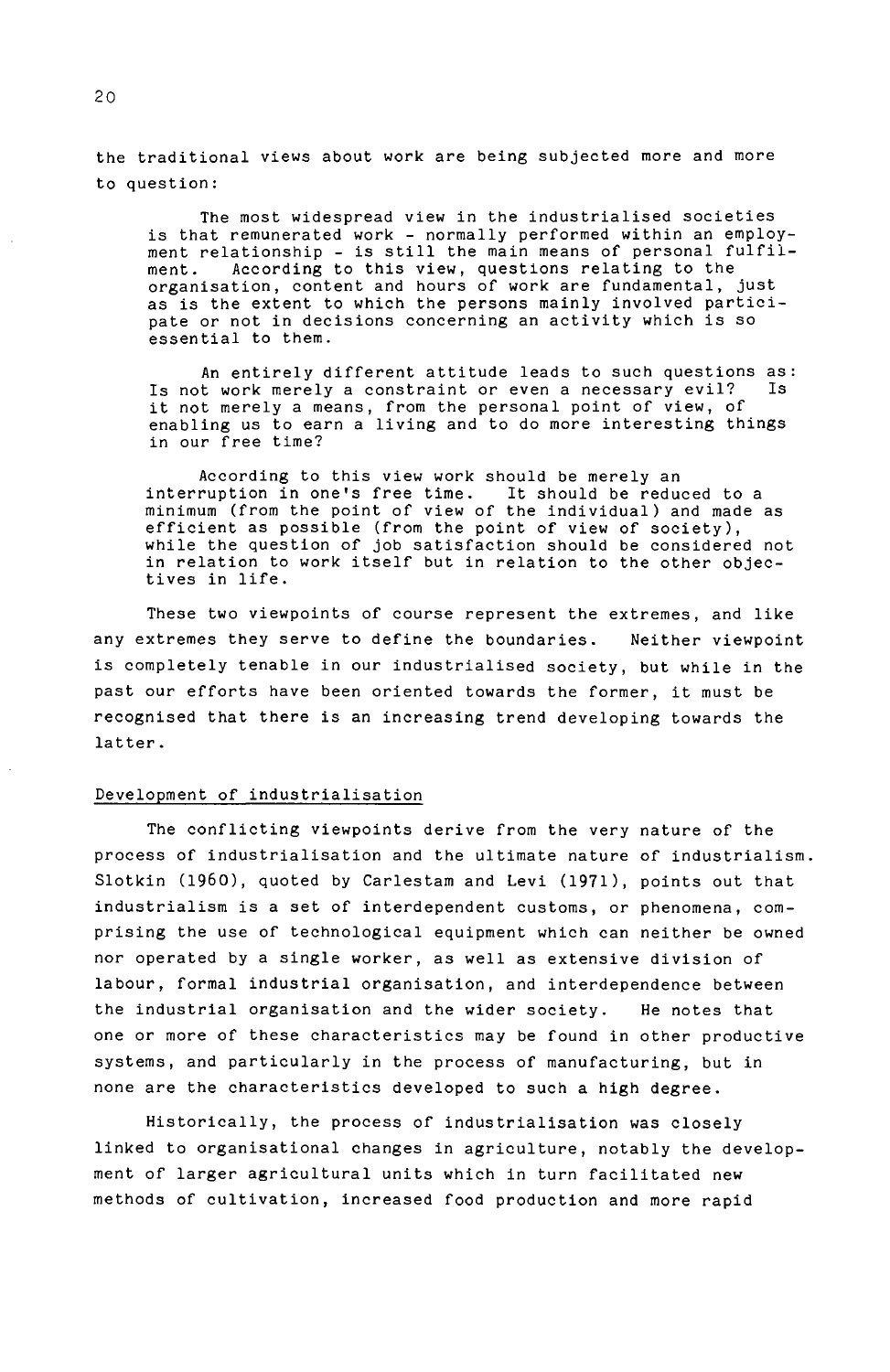the traditional views about work are being subjected more and more to question:

The most widespread view in the industrialised societies is that remunerated work - normally performed within an employment relationship - is still the main means of personal fulfilment. According to this view, questions relating to the organisation, content and hours of work are fundamental, just as is the extent to which the persons mainly involved participate or not in decisions concerning an activity which is so essential to them.

An entirely different attitude leads to such questions as: Is not work merely a constraint or even a necessary evil? it not merely a means, from the personal point of view, of enabling us to earn a living and to do more interesting things in our free time?

According to this view work should be merely an interruption in one's free time. It should be reduced to a minimum (from the point of view of the individual) and made as efficient as possible (from the point of view of society), while the question of job satisfaction should be considered not in relation to work itself but in relation to the other objectives in life.

These two viewpoints of course represent the extremes, and like any extremes they serve to define the boundaries. Neither viewpoint is completely tenable in our industrialised society, but while in the past our efforts have been oriented towards the former, it must be recognised that there is an increasing trend developing towards the latter.

#### Development of industrialisation

The conflicting viewpoints derive from the very nature of the process of industrialisation and the ultimate nature of industrialism. Slotkin (I960), quoted by Carlestam and Levi (1971), points out that industrialism is a set of interdependent customs, or phenomena, comprising the use of technological equipment which can neither be owned nor operated by a single worker, as well as extensive division of labour, formal industrial organisation, and interdependence between the industrial organisation and the wider society. He notes that one or more of these characteristics may be found in other productive systems, and particularly in the process of manufacturing, but in none are the characteristics developed to such a high degree.

Historically, the process of industrialisation was closely linked to organisational changes in agriculture, notably the development of larger agricultural units which in turn facilitated new methods of cultivation, increased food production and more rapid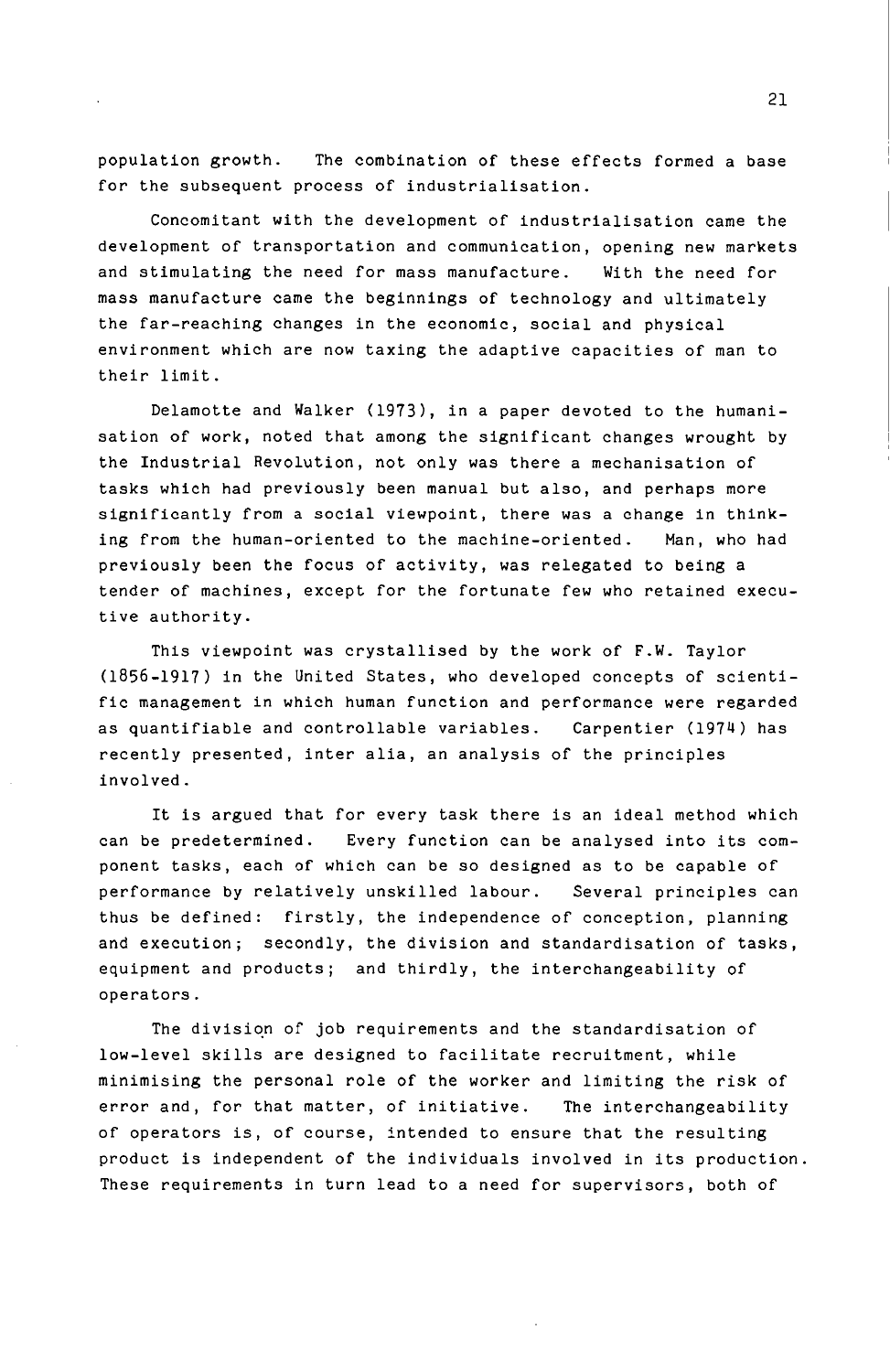population growth. The combination of these effects formed a base for the subsequent process of industrialisation.

Concomitant with the development of industrialisation came the development of transportation and communication, opening new markets and stimulating the need for mass manufacture. With the need for mass manufacture came the beginnings of technology and ultimately the far-reaching changes in the economic, social and physical environment which are now taxing the adaptive capacities of man to their limit.

Delamotte and Walker (1973), in a paper devoted to the humanisation of work, noted that among the significant changes wrought by the Industrial Revolution, not only was there a mechanisation of tasks which had previously been manual but also, and perhaps more significantly from a social viewpoint, there was a change in thinking from the human-oriented to the machine-oriented. Man, who had previously been the focus of activity, was relegated to being a tender of machines, except for the fortunate few who retained executive authority.

This viewpoint was crystallised by the work of F.W. Taylor (I856-I917) in the United States, who developed concepts of scientific management in which human function and performance were regarded as quantifiable and controllable variables. Carpentier (1971) has recently presented, inter alia, an analysis of the principles involved.

It is argued that for every task there is an ideal method which can be predetermined. Every function can be analysed into its component tasks, each of which can be so designed as to be capable of performance by relatively unskilled labour. Several principles can thus be defined: firstly, the independence of conception, planning and execution; secondly, the division and standardisation of tasks, equipment and products; and thirdly, the interchangeability of operators.

The division of job requirements and the standardisation of low-level skills are designed to facilitate recruitment, while minimising the personal role of the worker and limiting the risk of error and, for that matter, of initiative. The interchangeability of operators is, of course, intended to ensure that the resulting product is independent of the individuals involved in its production. These requirements in turn lead to a need for supervisors, both of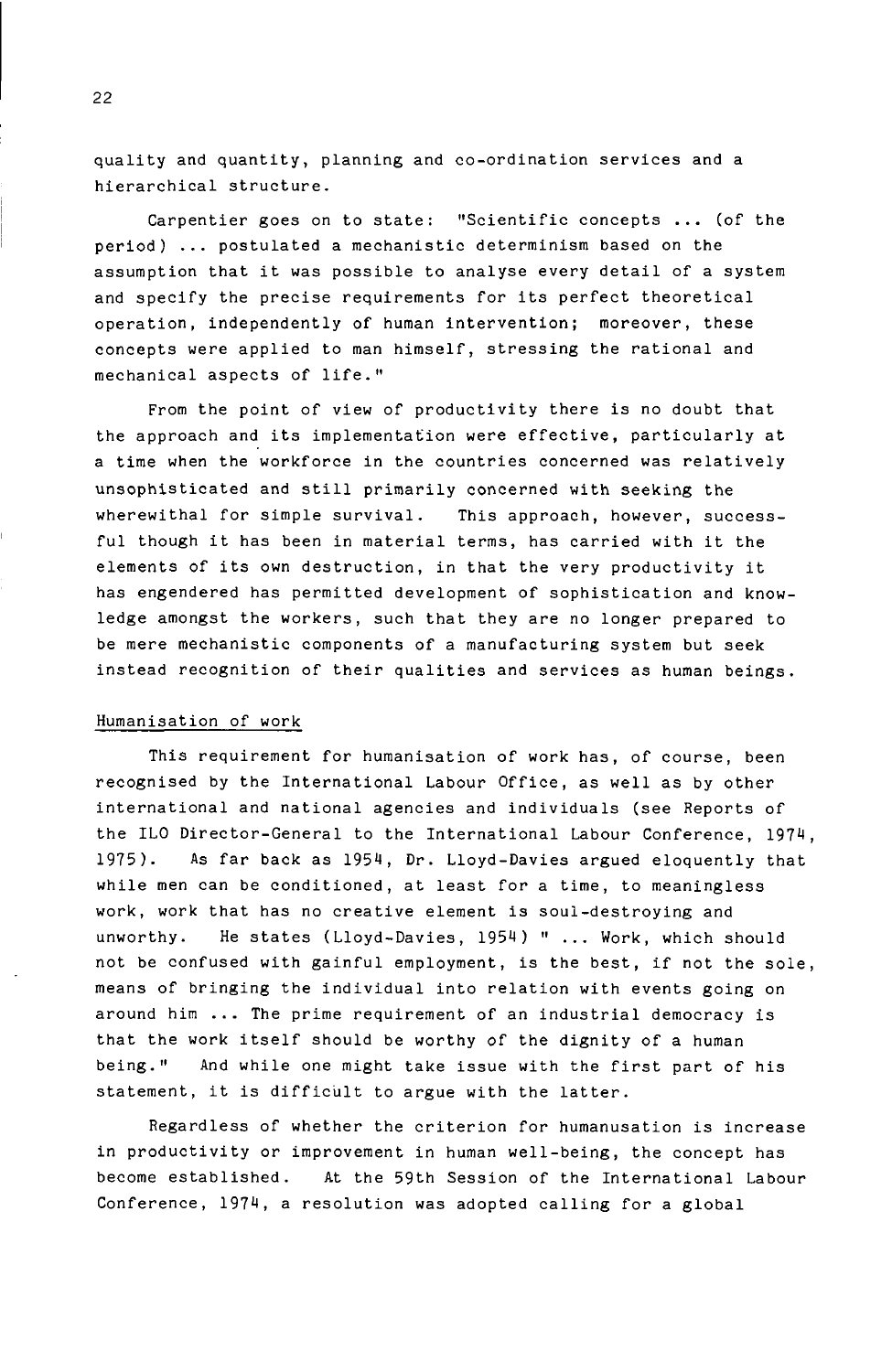quality and quantity, planning and co-ordination services and a hierarchical structure.

Carpentier goes on to state: "Scientific concepts ... (of the period) ... postulated a mechanistic determinism based on the assumption that it was possible to analyse every detail of a system and specify the precise requirements for its perfect theoretical operation, independently of human intervention; moreover, these concepts were applied to man himself, stressing the rational and mechanical aspects of life."

From the point of view of productivity there is no doubt that the approach and its implementation were effective, particularly at a time when the workforce in the countries concerned was relatively unsophisticated and still primarily concerned with seeking the wherewithal for simple survival. This approach, however, successful though it has been in material terms, has carried with it the elements of its own destruction, in that the very productivity it has engendered has permitted development of sophistication and knowledge amongst the workers, such that they are no longer prepared to be mere mechanistic components of a manufacturing system but seek instead recognition of their qualities and services as human beings.

#### Humanisation of work

This requirement for humanisation of work has, of course, been recognised by the International Labour Office, as well as by other international and national agencies and individuals (see Reports of the ILO Director-General to the International Labour Conference, 1974, 1975). As far back as 1954, Dr. Lloyd-Davies argued eloquently that while men can be conditioned, at least for a time, to meaningless work, work that has no creative element is soul-destroying and unworthy. He states (Lloyd-Davies, 1954) " ... Work, which should not be confused with gainful employment, is the best, if not the sole, means of bringing the individual into relation with events going on around him ... The prime requirement of an industrial democracy is that the work itself should be worthy of the dignity of a human being." And while one might take issue with the first part of his statement, it is difficult to argue with the latter.

Regardless of whether the criterion for humanusation is increase in productivity or improvement in human well-being, the concept has become established. At the 59th Session of the International Labour Conference, 1974, a resolution was adopted calling for a global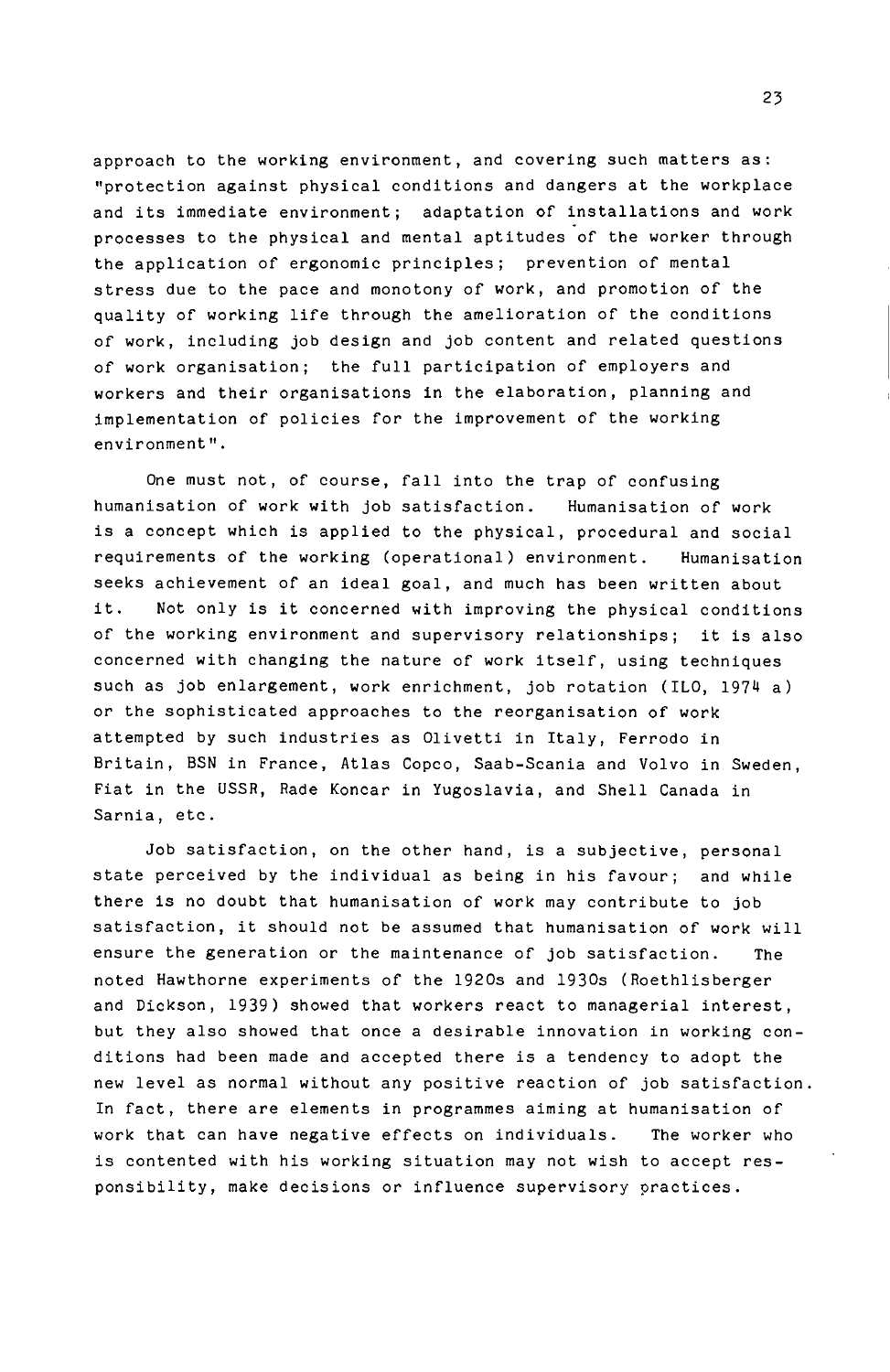approach to the working environment, and covering such matters as: "protection against physical conditions and dangers at the workplace and its immediate environment; adaptation of installations and work processes to the physical and mental aptitudes of the worker through the application of ergonomic principles; prevention of mental stress due to the pace and monotony of work, and promotion of the quality of working life through the amelioration of the conditions of work, including job design and job content and related questions of work organisation; the full participation of employers and workers and their organisations in the elaboration, planning and implementation of policies for the improvement of the working environment".

One must not, of course, fall into the trap of confusing humanisation of work with job satisfaction. Humanisation of work is a concept which is applied to the physical, procedural and social requirements of the working (operational) environment. Humanisation seeks achievement of an ideal goal, and much has been written about it. Not only is it concerned with improving the physical conditions of the working environment and supervisory relationships; it is also concerned with changing the nature of work itself, using techniques such as job enlargement, work enrichment, job rotation (ILO, 1971 a) or the sophisticated approaches to the reorganisation of work attempted by such industries as Olivetti in Italy, Ferrodo in Britain, BSN in France, Atlas Copeo, Saab-Scania and Volvo in Sweden, Fiat in the USSR, Rade Koncar in Yugoslavia, and Shell Canada in Sarnia, etc.

Job satisfaction, on the other hand, is a subjective, personal state perceived by the individual as being in his favour; and while there is no doubt that humanisation of work may contribute to job satisfaction, it should not be assumed that humanisation of work will ensure the generation or the maintenance of job satisfaction. The noted Hawthorne experiments of the 1920s and 1930s (Roethlisberger and Dickson, 1939) showed that workers react to managerial interest, but they also showed that once a desirable innovation in working conditions had been made and accepted there is a tendency to adopt the new level as normal without any positive reaction of job satisfaction. In fact, there are elements in programmes aiming at humanisation of work that can have negative effects on individuals. The worker who is contented with his working situation may not wish to accept responsibility, make decisions or influence supervisory practices.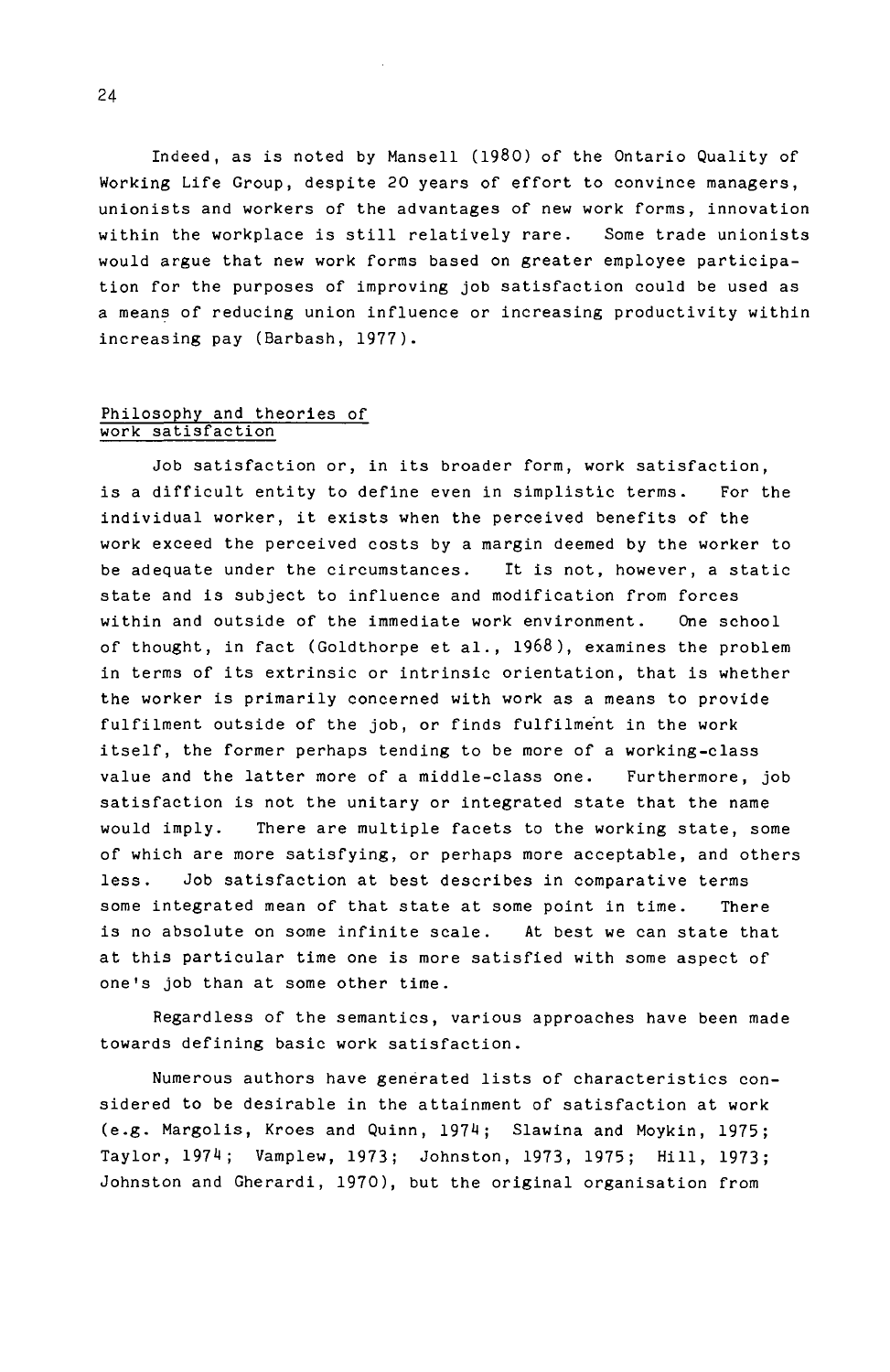Indeed, as is noted by Mansell (1980) of the Ontario Quality of Working Life Group, despite 20 years of effort to convince managers, unionists and workers of the advantages of new work forms, innovation within the workplace is still relatively rare. Some trade unionists would argue that new work forms based on greater employee participation for the purposes of improving job satisfaction could be used as a means of reducing union influence or increasing productivity within increasing pay (Barbash, 1977).

#### Philosophy and theories of work satisfaction

Job satisfaction or, in its broader form, work satisfaction, is a difficult entity to define even in simplistic terms. For the individual worker, it exists when the perceived benefits of the work exceed the perceived costs by a margin deemed by the worker to be adequate under the circumstances. It is not, however, a static state and is subject to influence and modification from forces within and outside of the immediate work environment. One school of thought, in fact (Goldthorpe et al., 1968), examines the problem in terms of its extrinsic or intrinsic orientation, that is whether the worker is primarily concerned with work as a means to provide fulfilment outside of the job, or finds fulfilment in the work itself, the former perhaps tending to be more of a working-class value and the latter more of a middle-class one. Furthermore, job satisfaction is not the unitary or integrated state that the name would imply. There are multiple facets to the working state, some of which are more satisfying, or perhaps more acceptable, and others less. Job satisfaction at best describes in comparative terms some integrated mean of that state at some point in time. There is no absolute on some infinite scale. At best we can state that at this particular time one is more satisfied with some aspect of one's job than at some other time.

Regardless of the semantics, various approaches have been made towards defining basic work satisfaction.

Numerous authors have generated lists of characteristics considered to be desirable in the attainment of satisfaction at work (e.g. Margolis, Kroes and Quinn, 1974; Slawina and Moykin, 1975; Taylor, 1974; Vamplew, 1973; Johnston, 1973, 1975; Hill, 1973; Johnston and Gherardi, 1970), but the original organisation from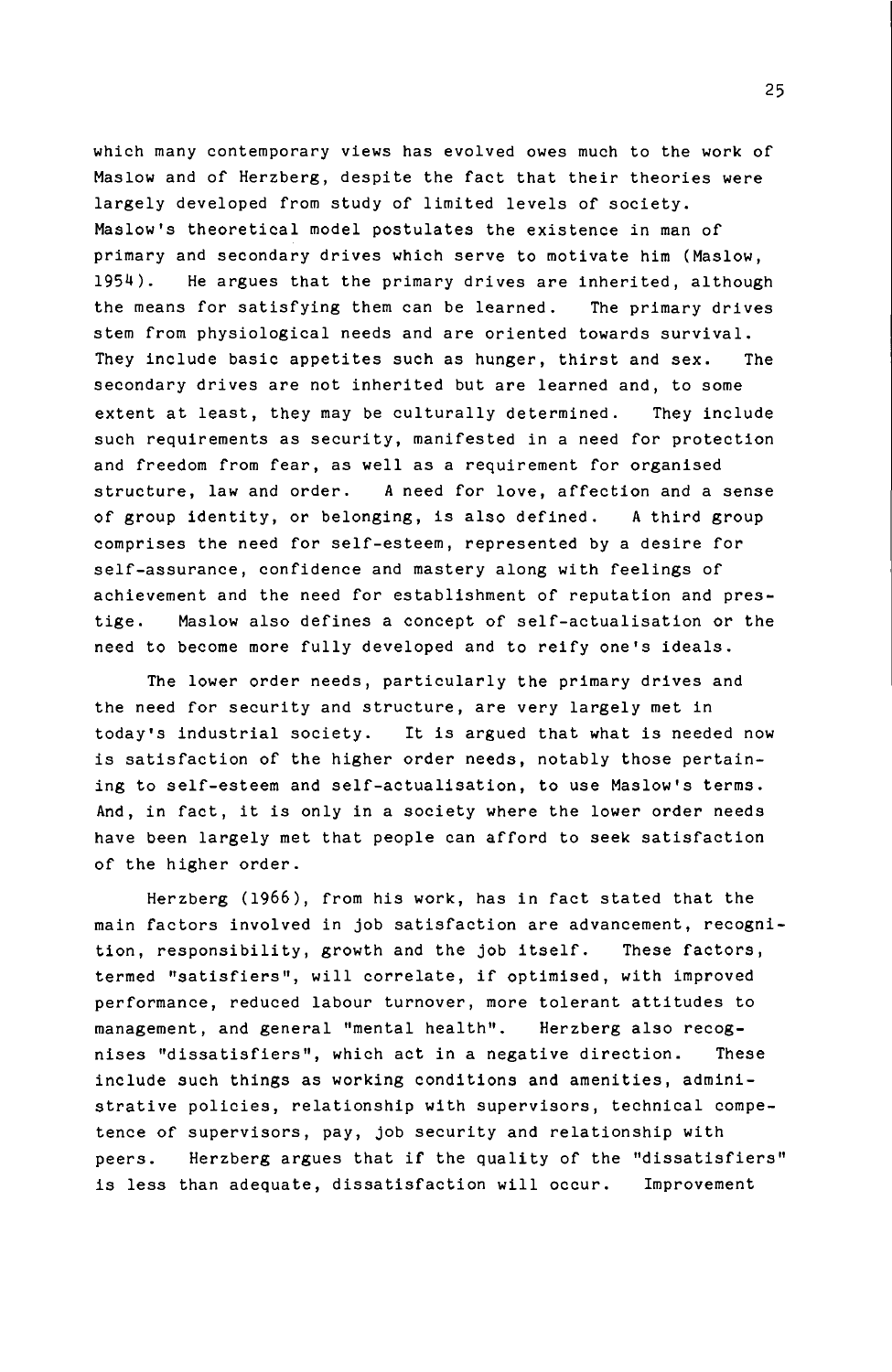which many contemporary views has evolved owes much to the work of Maslow and of Herzberg, despite the fact that their theories were largely developed from study of limited levels of society. Maslow's theoretical model postulates the existence in man of primary and secondary drives which serve to motivate him (Maslow, 1954). He argues that the primary drives are inherited, although the means for satisfying them can be learned. The primary drives stem from physiological needs and are oriented towards survival. They include basic appetites such as hunger, thirst and sex. The secondary drives are not inherited but are learned and, to some extent at least, they may be culturally determined. They include such requirements as security, manifested in a need for protection and freedom from fear, as well as a requirement for organised structure, law and order. A need for love, affection and a sense of group identity, or belonging, is also defined. A third group comprises the need for self-esteem, represented by a desire for self-assurance, confidence and mastery along with feelings of achievement and the need for establishment of reputation and prestige. Maslow also defines a concept of self-actualisation or the need to become more fully developed and to reify one's ideals.

The lower order needs, particularly the primary drives and the need for security and structure, are very largely met in today's industrial society. It is argued that what is needed now is satisfaction of the higher order needs, notably those pertaining to self-esteem and self-actualisation, to use Maslow's terms. And, in fact, it is only in a society where the lower order needs have been largely met that people can afford to seek satisfaction of the higher order.

Herzberg (1966), from his work, has in fact stated that the main factors involved in job satisfaction are advancement, recognition, responsibility, growth and the job itself. These factors, termed "satisfiers", will correlate, if optimised, with improved performance, reduced labour turnover, more tolerant attitudes to management, and general "mental health". Herzberg also recognises "dissatisfiers", which act in a negative direction. These include such things as working conditions and amenities, administrative policies, relationship with supervisors, technical competence of supervisors, pay, job security and relationship with peers. Herzberg argues that if the quality of the "dissatisfiers" is less than adequate, dissatisfaction will occur. Improvement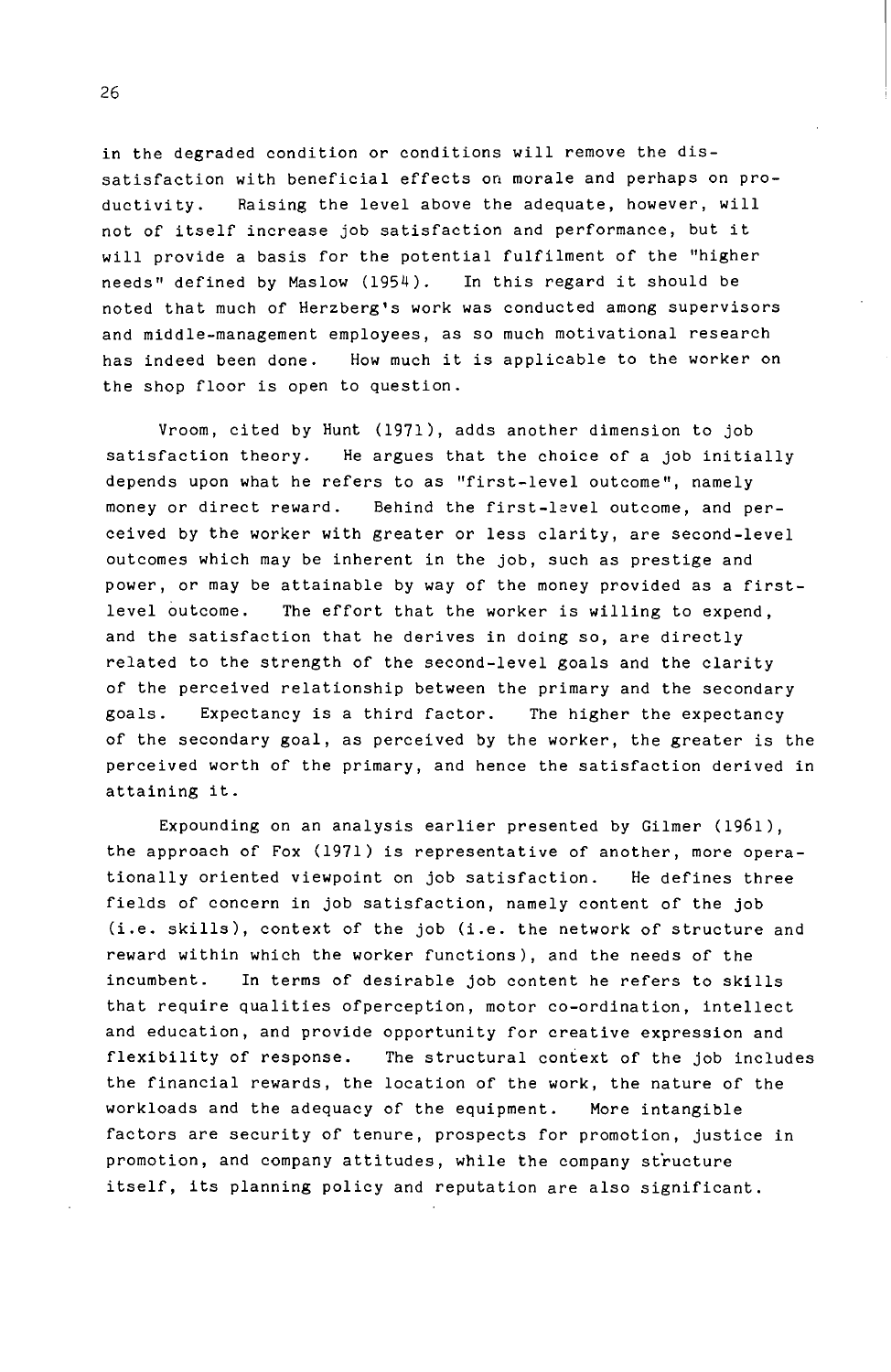in the degraded condition or conditions will remove the dissatisfaction with beneficial effects on morale and perhaps on productivity. Raising the level above the adequate, however, will not of itself increase job satisfaction and performance, but it will provide a basis for the potential fulfilment of the "higher needs" defined by Maslow (1954). In this regard it should be noted that much of Herzberg's work was conducted among supervisors and middle-management employees, as so much motivational research has indeed been done. How much it is applicable to the worker on the shop floor is open to question.

Vroom, cited by Hunt (1971), adds another dimension to job satisfaction theory. He argues that the choice of a job initially depends upon what he refers to as "first-level outcome", namely money or direct reward. Behind the first-level outcome, and perceived by the worker with greater or less clarity, are second-level outcomes which may be inherent in the job, such as prestige and power, or may be attainable by way of the money provided as a firstlevel outcome. The effort that the worker is willing to expend, and the satisfaction that he derives in doing so, are directly related to the strength of the second-level goals and the clarity of the perceived relationship between the primary and the secondary goals. Expectancy is a third factor. The higher the expectancy of the secondary goal, as perceived by the worker, the greater is the perceived worth of the primary, and hence the satisfaction derived in attaining it.

Expounding on an analysis earlier presented by Gilmer (1961), the approach of Fox (1971) is representative of another, more operationally oriented viewpoint on job satisfaction. He defines three fields of concern in job satisfaction, namely content of the job (i.e. skills), context of the job (i.e. the network of structure and reward within which the worker functions ), and the needs of the incumbent. In terms of desirable job content he refers to skills that require qualities ofperception, motor co-ordination, intellect and education, and provide opportunity for creative expression and flexibility of response. The structural context of the job includes the financial rewards, the location of the work, the nature of the workloads and the adequacy of the equipment. More intangible factors are security of tenure, prospects for promotion, justice in promotion, and company attitudes, while the company structure itself, its planning policy and reputation are also significant.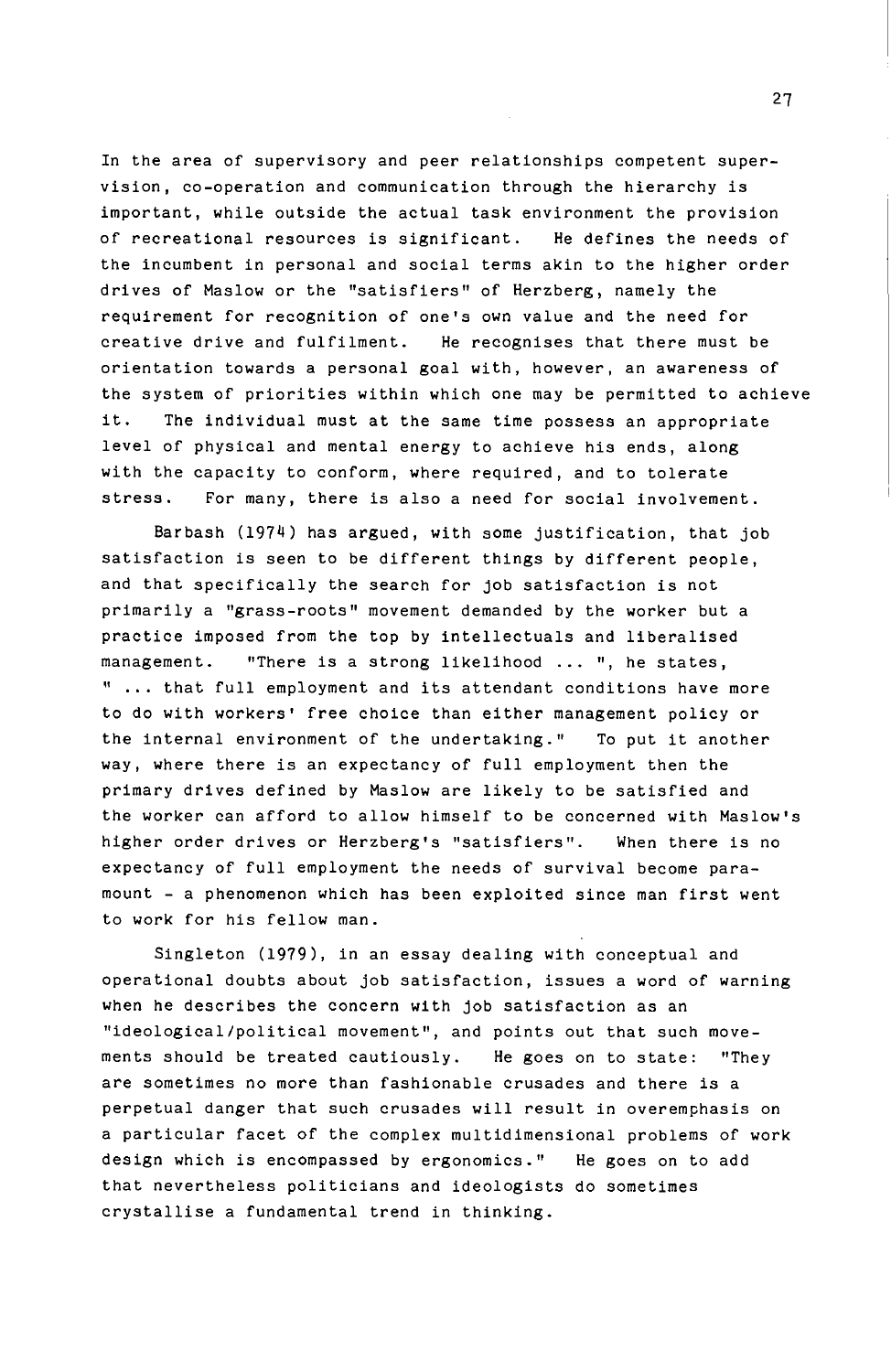In the area of supervisory and peer relationships competent supervision, co-operation and communication through the hierarchy is important, while outside the actual task environment the provision of recreational resources is significant. He defines the needs of the incumbent in personal and social terms akin to the higher order drives of Maslow or the "satisfiers" of Herzberg, namely the requirement for recognition of one's own value and the need for creative drive and fulfilment. He recognises that there must be orientation towards a personal goal with, however, an awareness of the system of priorities within which one may be permitted to achieve it. The individual must at the same time possess an appropriate level of physical and mental energy to achieve his ends, along with the capacity to conform, where required, and to tolerate stress. For many, there is also a need for social involvement.

Barbash (1974) has argued, with some justification, that job satisfaction is seen to be different things by different people, and that specifically the search for job satisfaction is not primarily a "grass-roots" movement demanded by the worker but a practice imposed from the top by intellectuals and liberalised management. "There is a strong likelihood ... ", he states, " ... that full employment and its attendant conditions have more to do with workers' free choice than either management policy or the internal environment of the undertaking." To put it another way, where there is an expectancy of full employment then the primary drives defined by Maslow are likely to be satisfied and the worker can afford to allow himself to be concerned with Maslow's higher order drives or Herzberg's "satisfiers". When there is no expectancy of full employment the needs of survival become paramount - a phenomenon which has been exploited since man first went to work for his fellow man.

Singleton (1979), in an essay dealing with conceptual and operational doubts about job satisfaction, issues a word of warning when he describes the concern with job satisfaction as an "ideological/political movement", and points out that such movements should be treated cautiously. He goes on to state: "They are sometimes no more than fashionable crusades and there is a perpetual danger that such crusades will result in overemphasis on a particular facet of the complex multidimensional problems of work design which is encompassed by ergonomics." He goes on to add that nevertheless politicians and ideologists do sometimes crystallise a fundamental trend in thinking.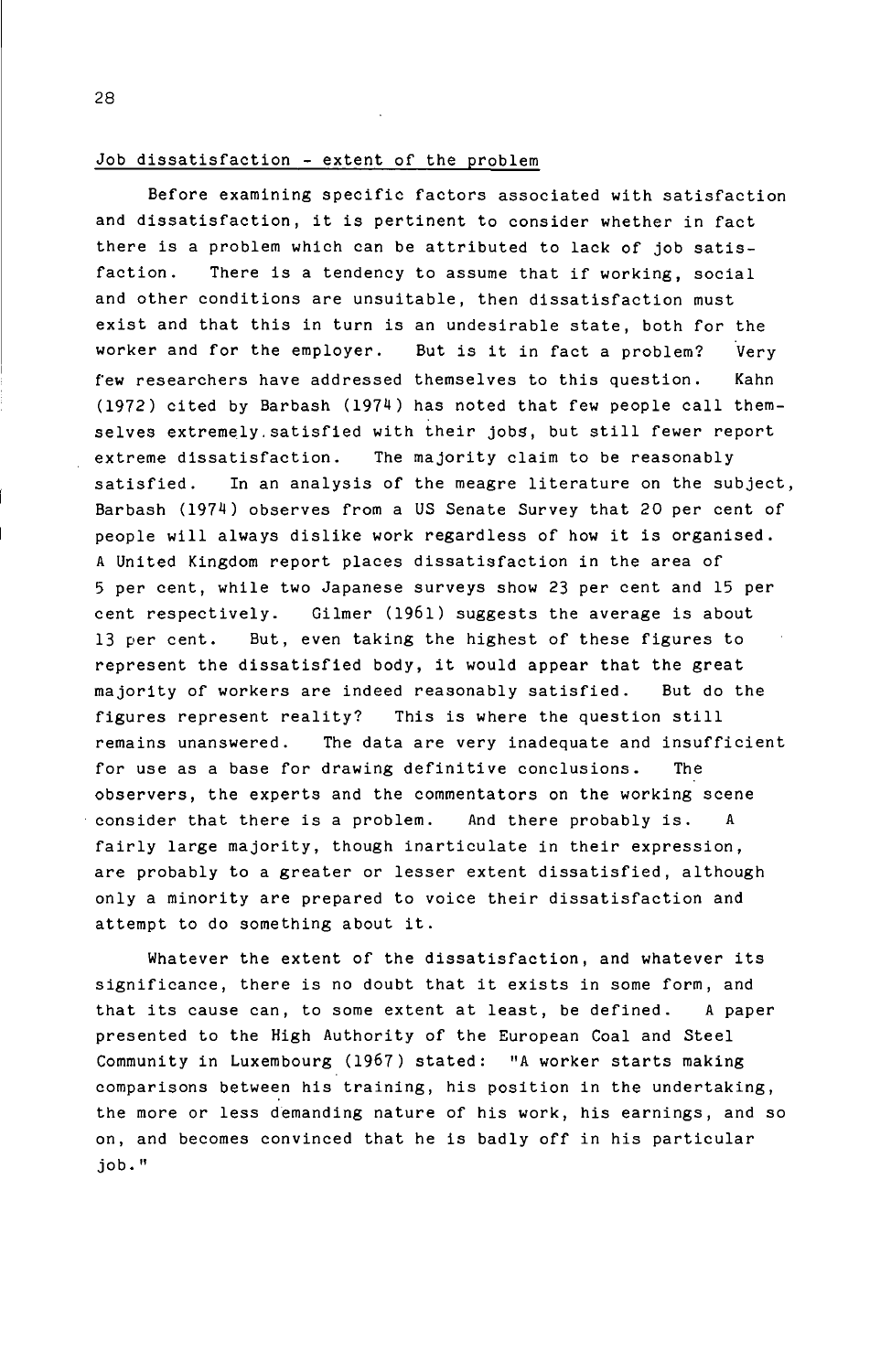#### Job dissatisfaction - extent of the problem

Before examining specific factors associated with satisfaction and dissatisfaction, it is pertinent to consider whether in fact there is a problem which can be attributed to lack of job satisfaction. There is a tendency to assume that if working, social and other conditions are unsuitable, then dissatisfaction must exist and that this in turn is an undesirable state, both for the worker and for the employer. But is it in fact a problem? Very few researchers have addressed themselves to this question. Kahn (1972) cited by Barbash (197t) has noted that few people call themselves extremely.satisfied with their jobs, but still fewer report extreme dissatisfaction. The majority claim to be reasonably satisfied. In an analysis of the meagre literature on the subject, Barbash (1974) observes from a US Senate Survey that 20 per cent of people will always dislike work regardless of how it is organised. A United Kingdom report places dissatisfaction in the area of 5 per cent, while two Japanese surveys show 23 per cent and 15 per cent respectively. Gilmer (1961) suggests the average is about 13 per cent. But, even taking the highest of these figures to represent the dissatisfied body, it would appear that the great majority of workers are indeed reasonably satisfied. But do the figures represent reality? This is where the question still remains unanswered. The data are very inadequate and insufficient for use as a base for drawing definitive conclusions. The observers, the experts and the commentators on the working scene consider that there is a problem. And there probably is. A fairly large majority, though inarticulate in their expression, are probably to a greater or lesser extent dissatisfied, although only a minority are prepared to voice their dissatisfaction and attempt to do something about it.

Whatever the extent of the dissatisfaction, and whatever its significance, there is no doubt that it exists in some form, and that its cause can, to some extent at least, be defined. A paper presented to the High Authority of the European Coal and Steel Community in Luxembourg (1967) stated: "A worker starts making comparisons between his training, his position in the undertaking, the more or less demanding nature of his work, his earnings, and so on, and becomes convinced that he is badly off in his particular job."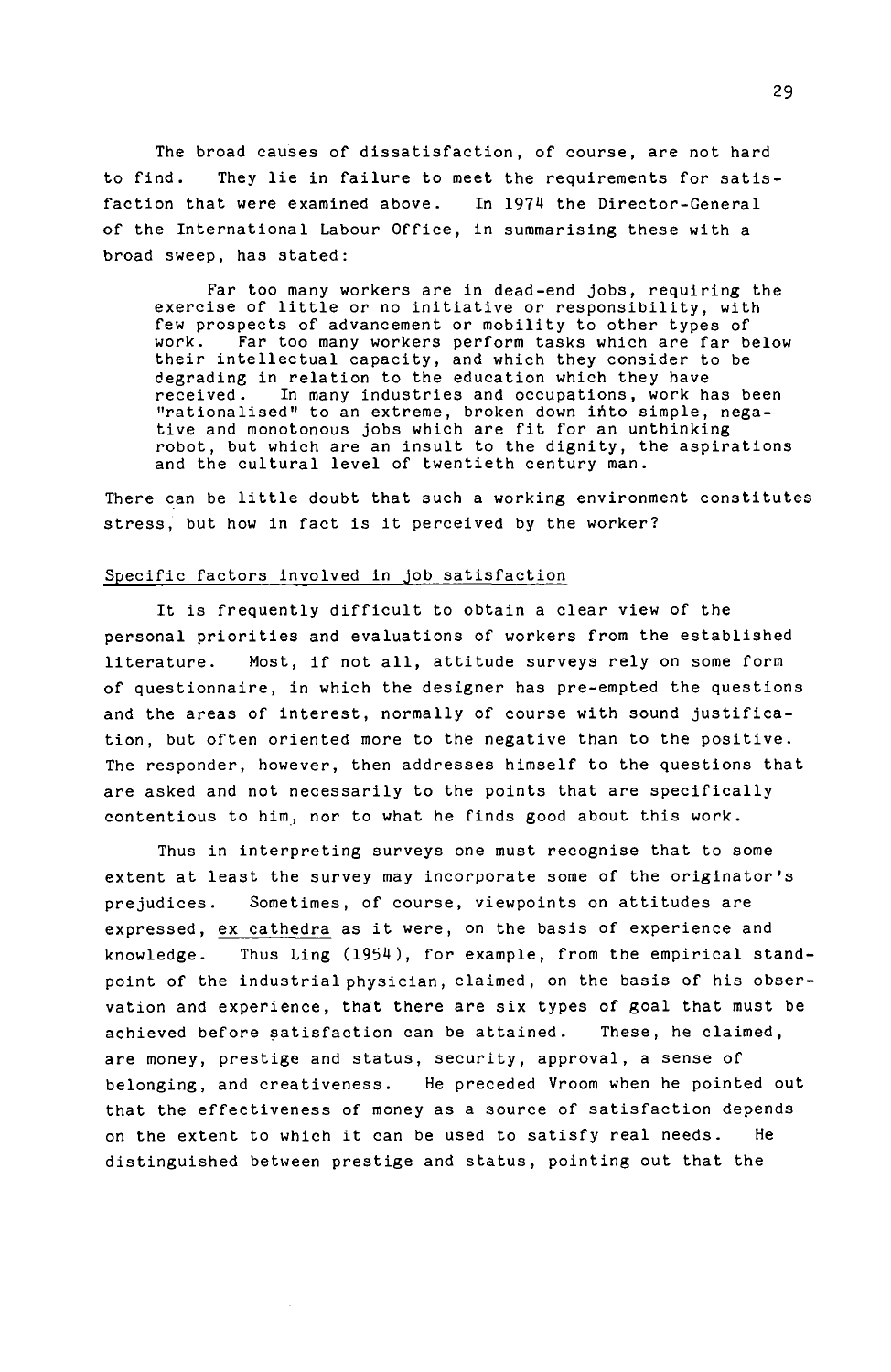The broad causes of dissatisfaction, of course, are not hard to find. They lie in failure to meet the requirements for satisfaction that were examined above. In 1974 the Director-General of the International Labour Office, in summarising these with a broad sweep, has stated:

Far too many workers are in dead-end jobs, requiring the exercise of little or no initiative or responsibility, with few prospects of advancement or mobility to other types of<br>work. Far too many workers perform tasks which are far b Far too many workers perform tasks which are far below their intellectual capacity, and which they consider to be degrading in relation to the education which they have<br>received. In many industries and occupations, work ha received. In many industries and occupations, work has been "rationalised" to an extreme, broken down into simple, negative and monotonous jobs which are fit for an unthinking robot, but which are an insult to the dignity, the aspirations and the cultural level of twentieth century man.

There can be little doubt that such a working environment constitutes stress, but how in fact is it perceived by the worker?

#### Specific factors Involved in job satisfaction

It is frequently difficult to obtain a clear view of the personal priorities and evaluations of workers from the established literature. Most, if not all, attitude surveys rely on some form of questionnaire, in which the designer has pre-empted the questions and the areas of interest, normally of course with sound justification, but often oriented more to the negative than to the positive. The responder, however, then addresses himself to the questions that are asked and not necessarily to the points that are specifically contentious to him, nor to what he finds good about this work.

Thus in interpreting surveys one must recognise that to some extent at least the survey may incorporate some of the originator's prejudices. Sometimes, of course, viewpoints on attitudes are expressed, ex cathedra as it were, on the basis of experience and knowledge. Thus Ling (1954), for example, from the empirical standpoint of the industrial physician, claimed, on the basis of his observation and experience, that there are six types of goal that must be achieved before satisfaction can be attained. These, he claimed, are money, prestige and status, security, approval, a sense of belonging, and creativeness. He preceded Vroom when he pointed out that the effectiveness of money as a source of satisfaction depends on the extent to which it can be used to satisfy real needs. He distinguished between prestige and status, pointing out that the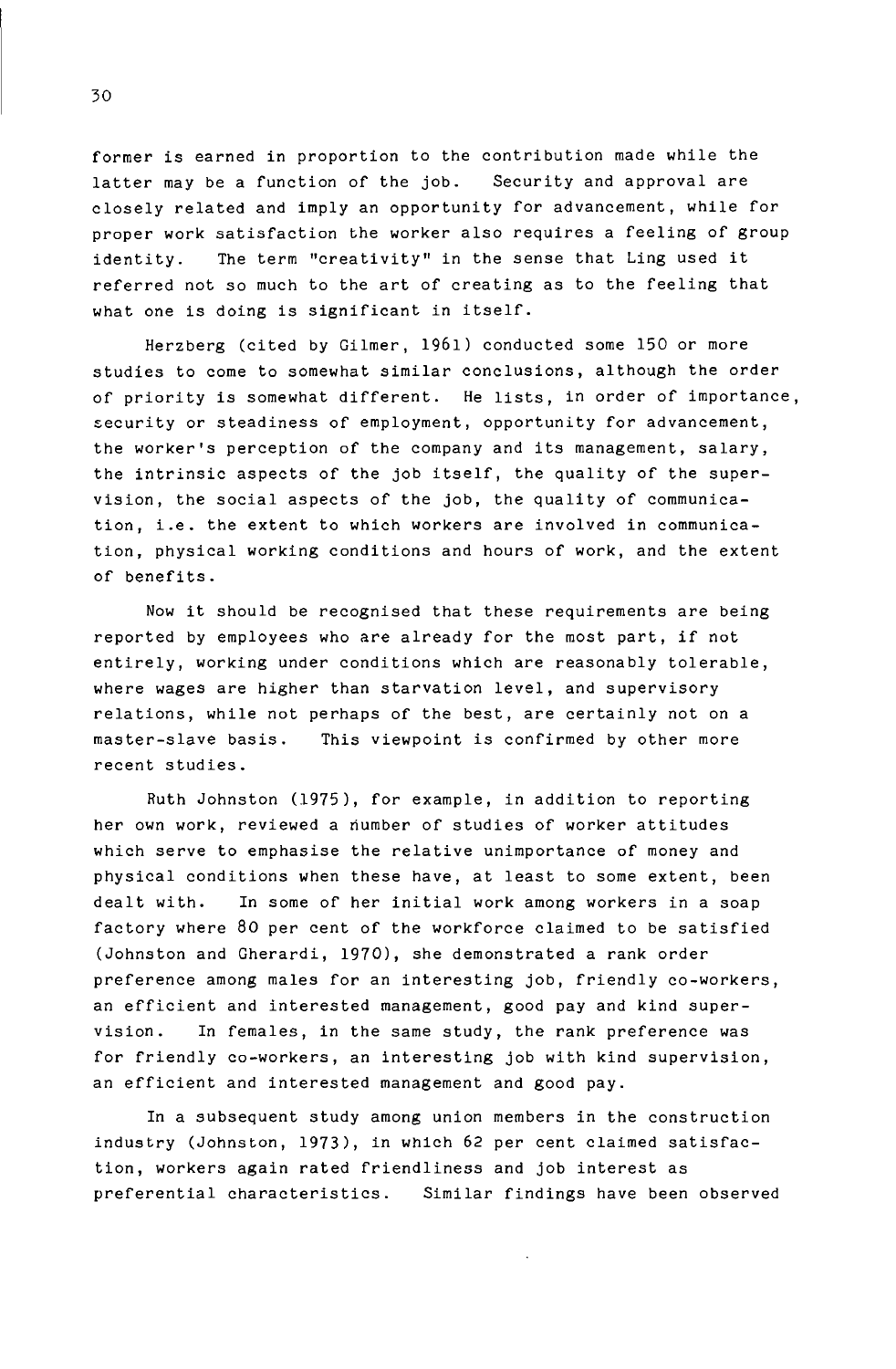former is earned in proportion to the contribution made while the latter may be a function of the job. Security and approval are closely related and imply an opportunity for advancement, while for proper work satisfaction the worker also requires a feeling of group identity. The term "creativity" in the sense that Ling used it referred not so much to the art of creating as to the feeling that what one is doing is significant in itself.

Herzberg (cited by Gilmer, 1961) conducted some 150 or more studies to come to somewhat similar conclusions, although the order of priority is somewhat different. He lists, in order of importance, security or steadiness of employment, opportunity for advancement, the worker's perception of the company and its management, salary, the intrinsic aspects of the job itself, the quality of the supervision, the social aspects of the job, the quality of communication, i.e. the extent to which workers are involved in communication, physical working conditions and hours of work, and the extent of benefits.

Now it should be recognised that these requirements are being reported by employees who are already for the most part, if not entirely, working under conditions which are reasonably tolerable, where wages are higher than starvation level, and supervisory relations, while not perhaps of the best, are certainly not on a master-slave basis. This viewpoint is confirmed by other more recent studies.

Ruth Johnston (1975), for example, in addition to reporting her own work, reviewed a number of studies of worker attitudes which serve to emphasise the relative unimportance of money and physical conditions when these have, at least to some extent, been dealt with. In some of her initial work among workers in a soap factory where 80 per cent of the workforce claimed to be satisfied (Johnston and Gherardi, 1970), she demonstrated a rank order preference among males for an interesting job, friendly co-workers, an efficient and interested management, good pay and kind supervision. In females, in the same study, the rank preference was for friendly co-workers, an interesting job with kind supervision, an efficient and interested management and good pay.

In a subsequent study among union members in the construction industry (Johnston, 1973), in which 62 per cent claimed satisfaction, workers again rated friendliness and job interest as preferential characteristics. Similar findings have been observed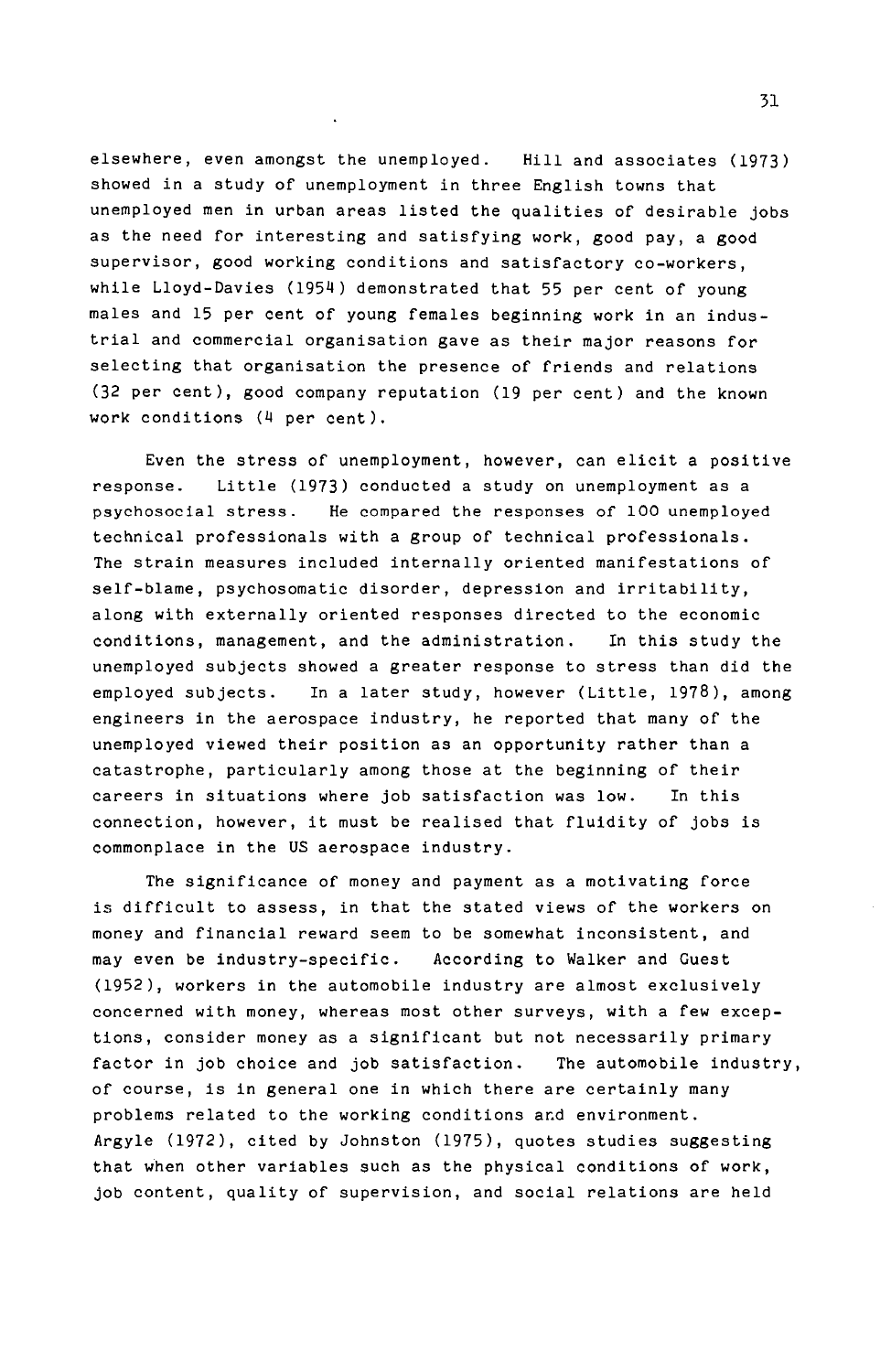elsewhere, even amongst the unemployed. Hill and associates (1973) showed in a study of unemployment in three English towns that unemployed men in urban areas listed the qualities of desirable jobs as the need for interesting and satisfying work, good pay, a good supervisor, good working conditions and satisfactory co-workers, while Lloyd-Davies (1954) demonstrated that 55 per cent of young males and 15 per cent of young females beginning work in an industrial and commercial organisation gave as their major reasons for selecting that organisation the presence of friends and relations (32 per cent), good company reputation (19 per cent) and the known work conditions (4 per cent).

Even the stress of unemployment, however, can elicit a positive response. Little (1973) conducted a study on unemployment as a psychosocial stress. He compared the responses of 100 unemployed technical professionals with a group of technical professionals. The strain measures included internally oriented manifestations of self-blame, psychosomatic disorder, depression and irritability, along with externally oriented responses directed to the economic conditions, management, and the administration. In this study the unemployed subjects showed a greater response to stress than did the employed subjects. In a later study, however (Little, 1978), among engineers in the aerospace industry, he reported that many of the unemployed viewed their position as an opportunity rather than a catastrophe, particularly among those at the beginning of their careers in situations where job satisfaction was low. In this connection, however, it must be realised that fluidity of jobs is commonplace in the US aerospace industry.

The significance of money and payment as a motivating force is difficult to assess, in that the stated views of the workers on money and financial reward seem to be somewhat inconsistent, and may even be industry-specific. According to Walker and Guest (1952), workers in the automobile industry are almost exclusively concerned with money, whereas most other surveys, with a few exceptions, consider money as a significant but not necessarily primary factor in job choice and job satisfaction. The automobile industry, of course, is in general one in which there are certainly many problems related to the working conditions and environment. Argyle (1972), cited by Johnston (1975), quotes studies suggesting that when other variables such as the physical conditions of work, job content, quality of supervision, and social relations are held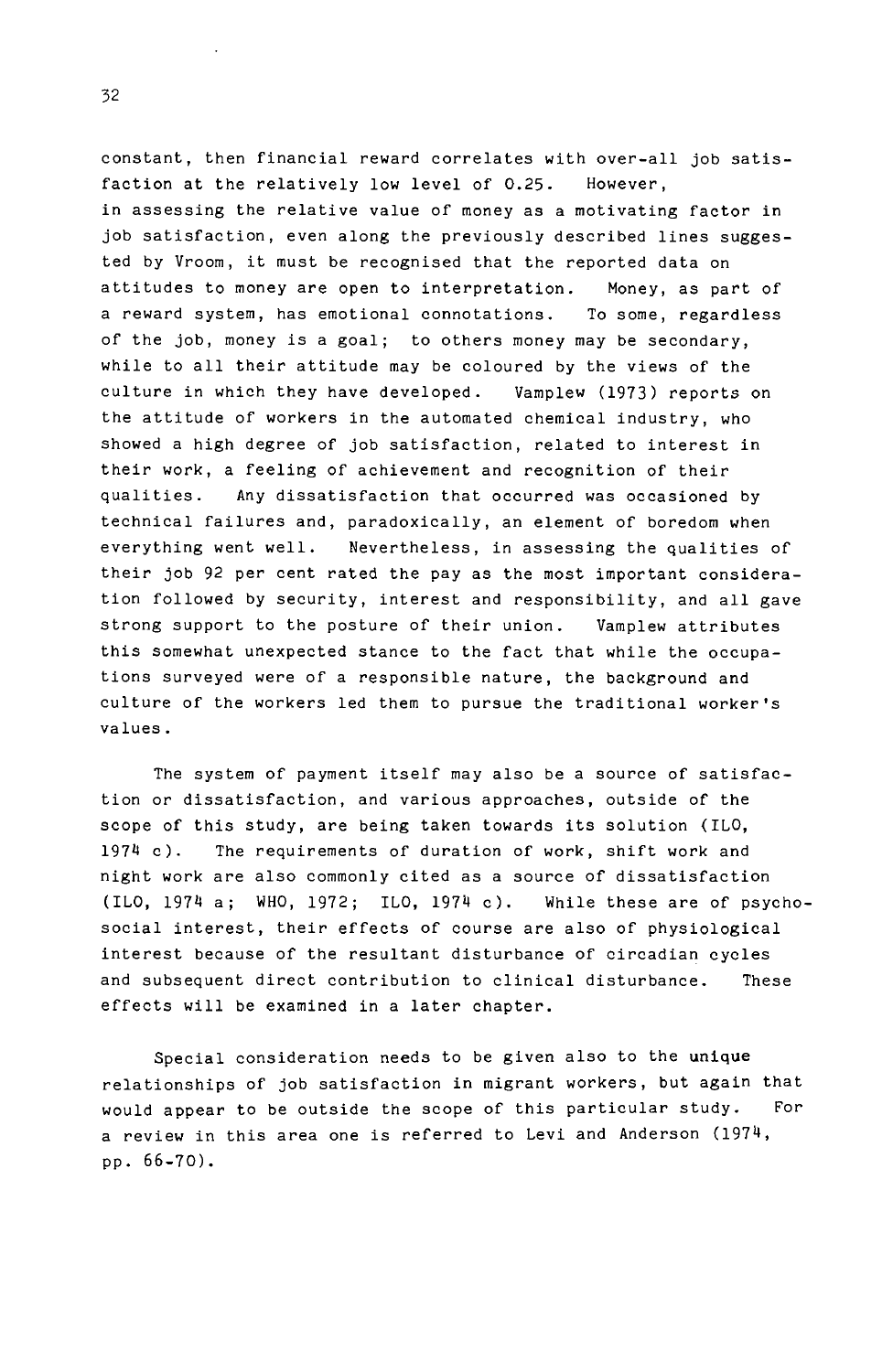constant, then financial reward correlates with over-all job satisfaction at the relatively low level of 0.25. However, in assessing the relative value of money as a motivating factor in job satisfaction, even along the previously described lines suggested by Vroom, it must be recognised that the reported data on attitudes to money are open to interpretation. Money, as part of a reward system, has emotional connotations. To some, regardless of the job, money is a goal; to others money may be secondary, while to all their attitude may be coloured by the views of the culture in which they have developed. Vamplew (1973) reports on the attitude of workers in the automated chemical industry, who showed a high degree of job satisfaction, related to interest in their work, a feeling of achievement and recognition of their qualities. Any dissatisfaction that occurred was occasioned by technical failures and, paradoxically, an element of boredom when everything went well. Nevertheless, in assessing the qualities of their job 92 per cent rated the pay as the most important consideration followed by security, interest and responsibility, and all gave strong support to the posture of their union. Vamplew attributes this somewhat unexpected stance to the fact that while the occupations surveyed were of a responsible nature, the background and culture of the workers led them to pursue the traditional worker's values .

The system of payment itself may also be a source of satisfaction or dissatisfaction, and various approaches, outside of the scope of this study, are being taken towards its solution (ILO, 1971 c). The requirements of duration of work, shift work and night work are also commonly cited as a source of dissatisfaction (ILO, 1974 a; WHO, 1972; ILO, 1974 c). While these are of psychosocial interest, their effects of course are also of physiological interest because of the resultant disturbance of circadian cycles and subsequent direct contribution to clinical disturbance. These effects will be examined in a later chapter.

Special consideration needs to be given also to the unique relationships of job satisfaction in migrant workers, but again that would appear to be outside the scope of this particular study. For a review in this area one is referred to Levi and Anderson (1974, pp. 66-70).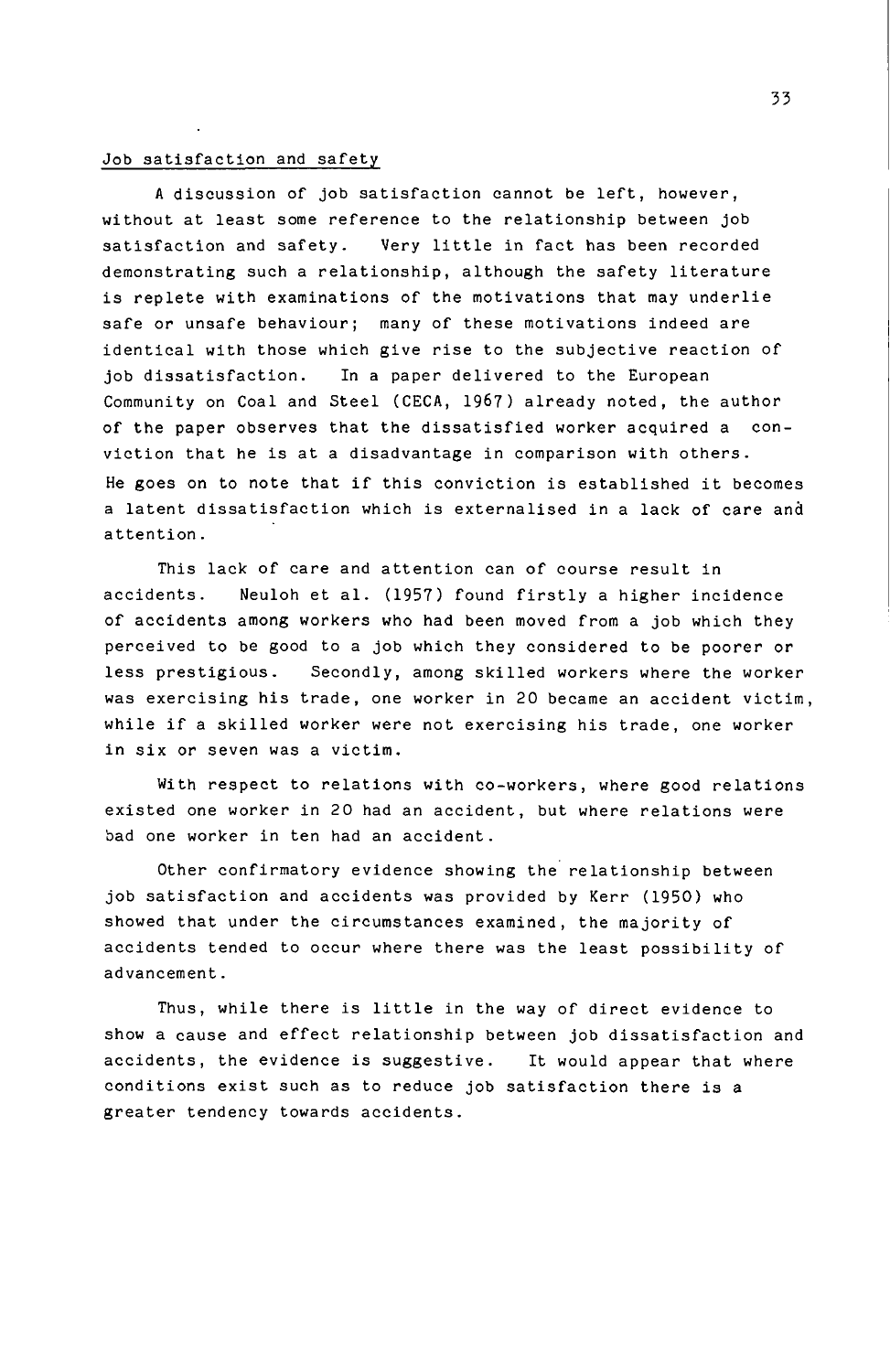### Job satisfaction and safety

A discussion of job satisfaction cannot be left, however, without at least some reference to the relationship between job satisfaction and safety. Very little in fact has been recorded demonstrating such a relationship, although the safety literature is replete with examinations of the motivations that may underlie safe or unsafe behaviour; many of these motivations indeed are identical with those which give rise to the subjective reaction of job dissatisfaction. In a paper delivered to the European Community on Coal and Steel (CECA, 1967) already noted, the author of the paper observes that the dissatisfied worker acquired a conviction that he is at a disadvantage in comparison with others. He goes on to note that if this conviction is established it becomes a latent dissatisfaction which is externalised in a lack of care and attention .

This lack of care and attention can of course result in accidents. Neuloh et al. (1957) found firstly a higher incidence of accidents among workers who had been moved from a job which they perceived to be good to a job which they considered to be poorer or less prestigious. Secondly, among skilled workers where the worker was exercising his trade, one worker in 20 became an accident victim, while if a skilled worker were not exercising his trade, one worker in six or seven was a victim.

With respect to relations with co-workers, where good relations existed one worker in 20 had an accident, but where relations were bad one worker in ten had an accident.

Other confirmatory evidence showing the relationship between job satisfaction and accidents was provided by Kerr (1950) who showed that under the circumstances examined, the majority of accidents tended to occur where there was the least possibility of advancement.

Thus, while there is little in the way of direct evidence to show a cause and effect relationship between job dissatisfaction and accidents, the evidence is suggestive. It would appear that where conditions exist such as to reduce job satisfaction there is a greater tendency towards accidents.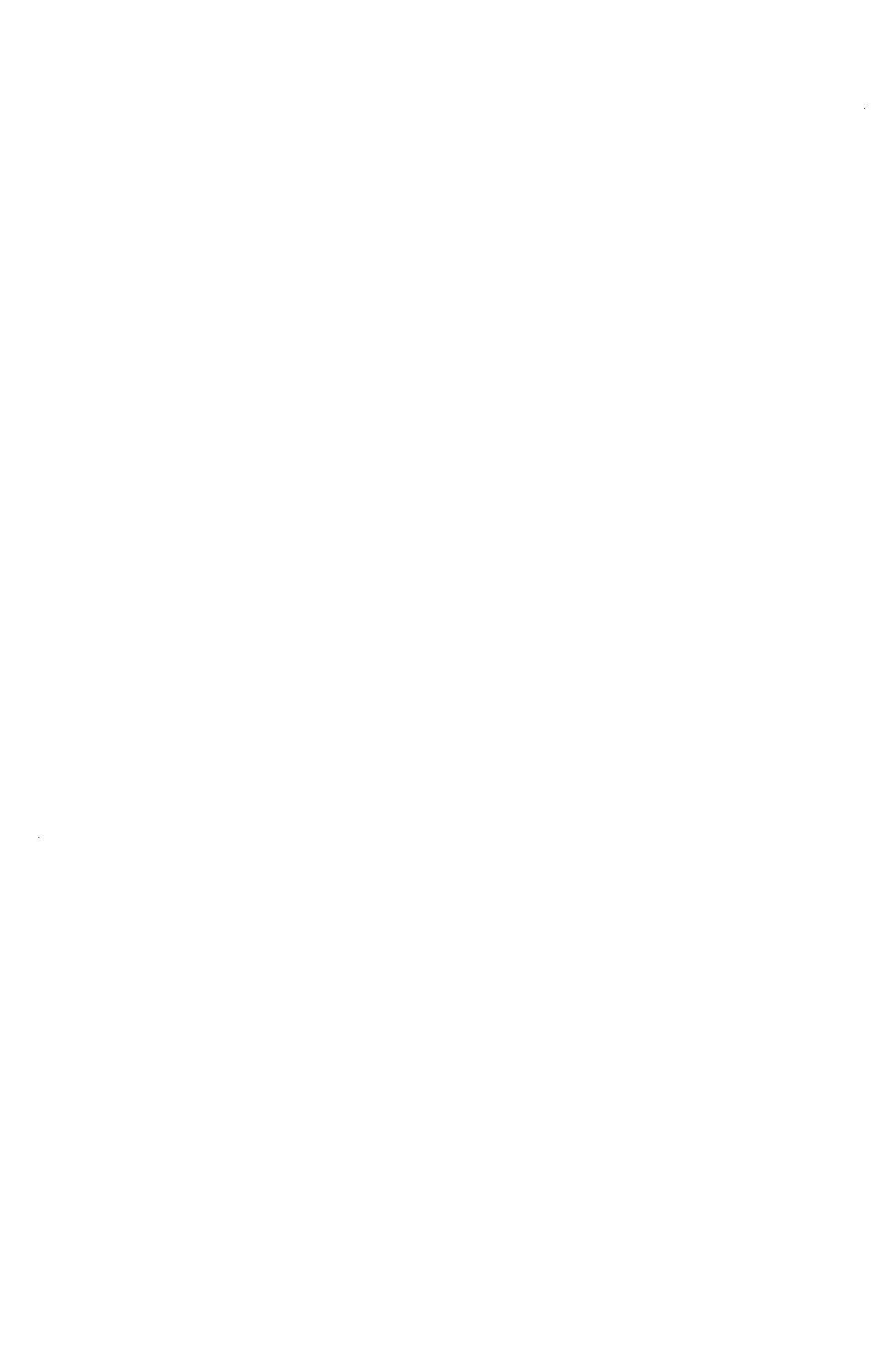$\hat{A}^{(0)}$  $\mathcal{A}^{\text{max}}_{\text{max}}$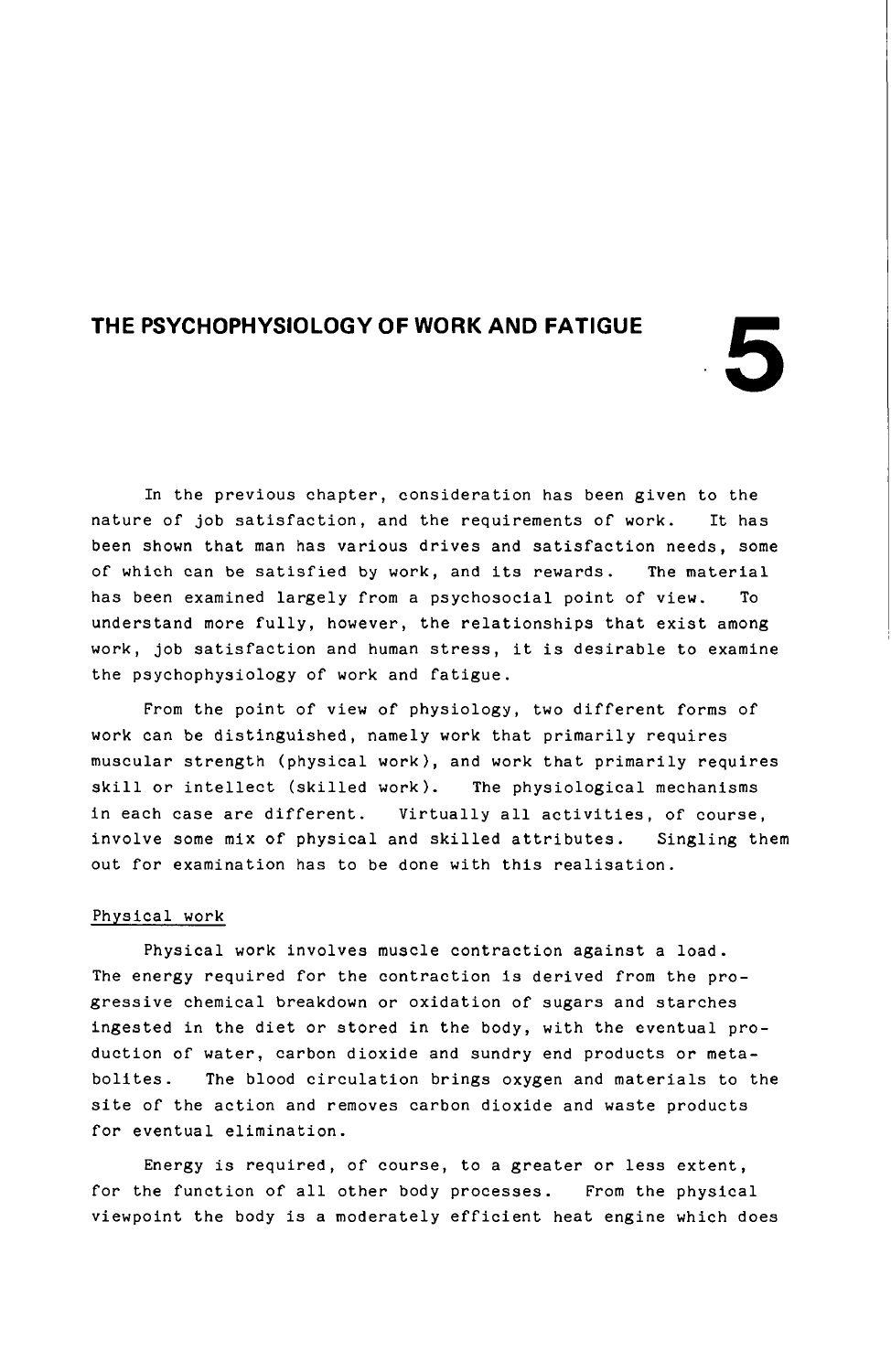### **THE PSYCHOPHYSIOLOGY OF WORK AND FATIGUE**

# **5**

In the previous chapter, consideration has been given to the nature of job satisfaction, and the requirements of work. It has been shown that man has various drives and satisfaction needs, some of which can be satisfied by work, and its rewards. The material has been examined largely from a psychosocial point of view. To understand more fully, however, the relationships that exist among work, job satisfaction and human stress, it is desirable to examine the psychophysiology of work and fatigue.

From the point of view of physiology, two different forms of work can be distinguished, namely work that primarily requires muscular strength (physical work), and work that primarily requires skill or intellect (skilled work). The physiological mechanisms in each case are different. Virtually all activities, of course, involve some mix of physical and skilled attributes. Singling them out for examination has to be done with this realisation.

### Physical work

Physical work involves muscle contraction against a load. The energy required for the contraction is derived from the progressive chemical breakdown or oxidation of sugars and starches ingested in the diet or stored in the body, with the eventual production of water, carbon dioxide and sundry end products or metabolites. The blood circulation brings oxygen and materials to the site of the action and removes carbon dioxide and waste products for eventual elimination.

Energy is required, of course, to a greater or less extent, for the function of all other body processes. From the physical viewpoint the body is a moderately efficient heat engine which does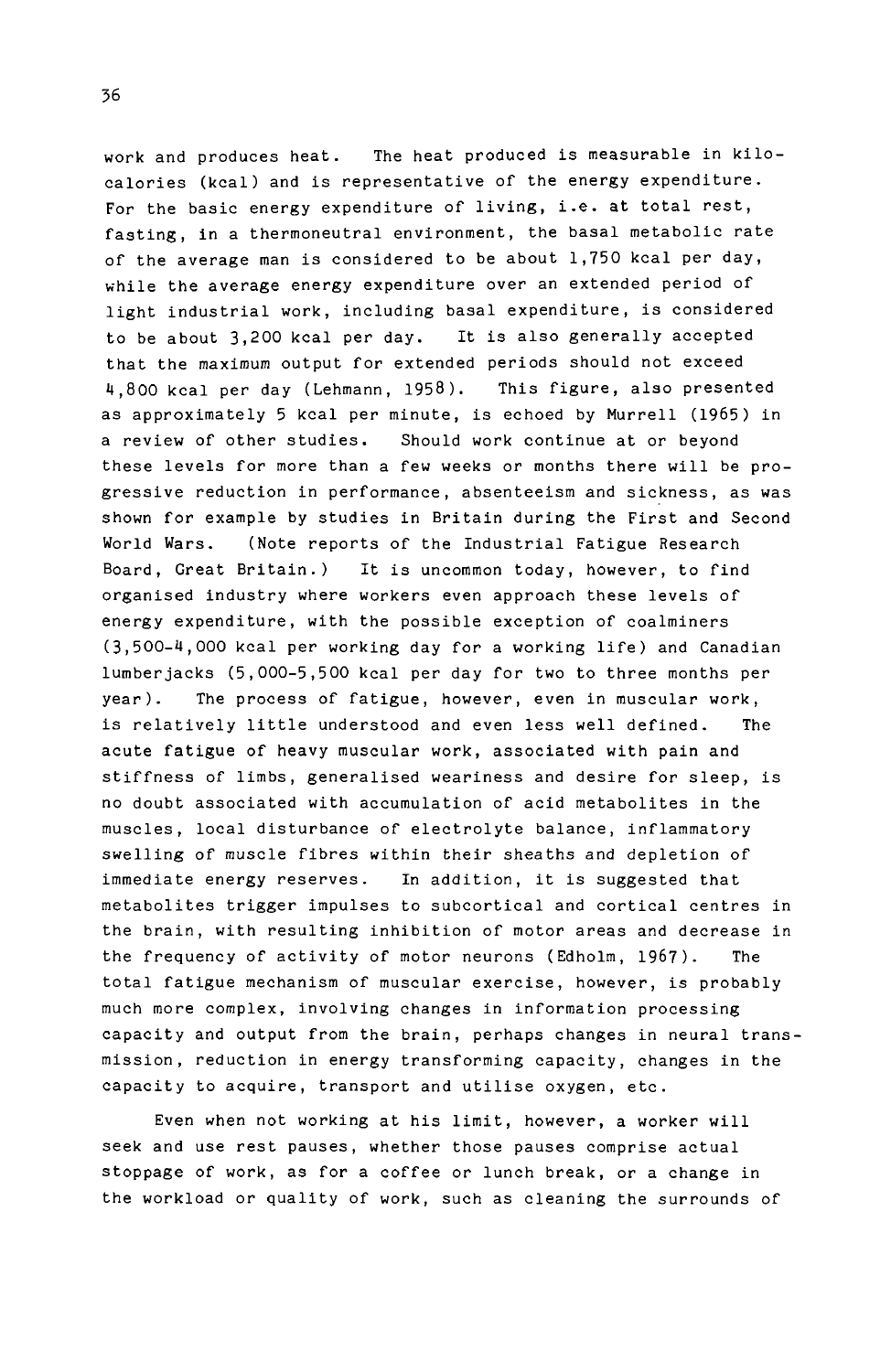work and produces heat. The heat produced is measurable in kilocalories (kcal) and is representative of the energy expenditure. For the basic energy expenditure of living, i.e. at total rest, fasting, in a thermoneutral environment, the basal metabolic rate of the average man is considered to be about 1,750 kcal per day, while the average energy expenditure over an extended period of light industrial work, including basal expenditure, is considered to be about 3,200 kcal per day. It is also generally accepted that the maximum output for extended periods should not exceed 4,800 kcal per day (Lehmann, 1958). This figure, also presented as approximately 5 kcal per minute, is echoed by Murrell (1965) in a review of other studies. Should work continue at or beyond these levels for more than a few weeks or months there will be progressive reduction in performance, absenteeism and sickness, as was shown for example by studies in Britain during the First and Second World Wars. (Note reports of the Industrial Fatigue Research Board, Great Britain.) It is uncommon today, however, to find organised industry where workers even approach these levels of energy expenditure, with the possible exception of coalminers (3,500-4,000 kcal per working day for a working life) and Canadian lumberjacks (5,000-5,500 kcal per day for two to three months per year). The process of fatigue, however, even in muscular work, is relatively little understood and even less well defined. The acute fatigue of heavy muscular work, associated with pain and stiffness of limbs, generalised weariness and desire for sleep, is no doubt associated with accumulation of acid metabolites in the muscles, local disturbance of electrolyte balance, inflammatory swelling of muscle fibres within their sheaths and depletion of immediate energy reserves. In addition, it is suggested that metabolites trigger impulses to subcortical and cortical centres in the brain, with resulting inhibition of motor areas and decrease in the frequency of activity of motor neurons (Edholm, 1967). The total fatigue mechanism of muscular exercise, however, is probably much more complex, involving changes in information processing capacity and output from the brain, perhaps changes in neural transmission, reduction in energy transforming capacity, changes in the capacity to acquire, transport and utilise oxygen, etc.

Even when not working at his limit, however, a worker will seek and use rest pauses, whether those pauses comprise actual stoppage of work, as for a coffee or lunch break, or a change in the workload or quality of work, such as cleaning the surrounds of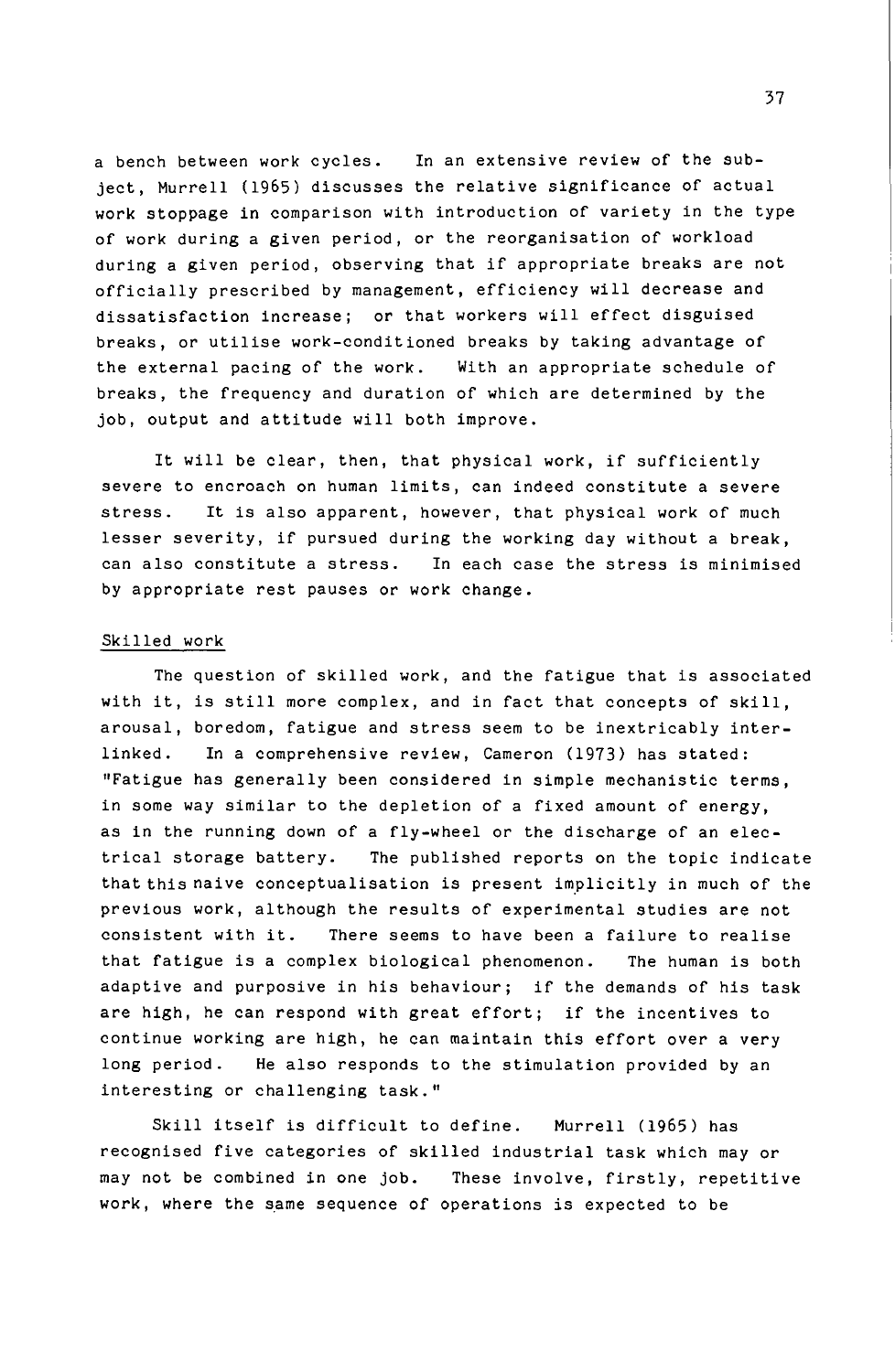a bench between work cycles. In an extensive review of the subject, Murrell (1965) discusses the relative significance of actual work stoppage in comparison with introduction of variety in the type of work during a given period, or the reorganisation of workload during a given period, observing that if appropriate breaks are not officially prescribed by management, efficiency will decrease and dissatisfaction increase; or that workers will effect disguised breaks, or utilise work-conditioned breaks by taking advantage of the external pacing of the work. With an appropriate schedule of breaks, the frequency and duration of which are determined by the job, output and attitude will both improve.

It will be clear, then, that physical work, if sufficiently severe to encroach on human limits, can indeed constitute a severe stress. It is also apparent, however, that physical work of much lesser severity, if pursued during the working day without a break, can also constitute a stress. In each case the stress is minimised by appropriate rest pauses or work change.

### Skilled work

The question of skilled work, and the fatigue that is associated with it, is still more complex, and in fact that concepts of skill, arousal, boredom, fatigue and stress seem to be inextricably interlinked. In a comprehensive review, Cameron (1973) has stated: "Fatigue has generally been considered in simple mechanistic terms, in some way similar to the depletion of a fixed amount of energy, as in the running down of a fly-wheel or the discharge of an electrical storage battery. The published reports on the topic indicate that this naive conceptualisation is present implicitly in much of the previous work, although the results of experimental studies are not consistent with it. There seems to have been a failure to realise that fatigue is a complex biological phenomenon. The human is both adaptive and purposive in his behaviour; if the demands of his task are high, he can respond with great effort; if the incentives to continue working are high, he can maintain this effort over a very long period. He also responds to the stimulation provided by an interesting or challenging task."

Skill itself is difficult to define. Murrell (1965) has recognised five categories of skilled industrial task which may or may not be combined in one job. These involve, firstly, repetitive work, where the same sequence of operations is expected to be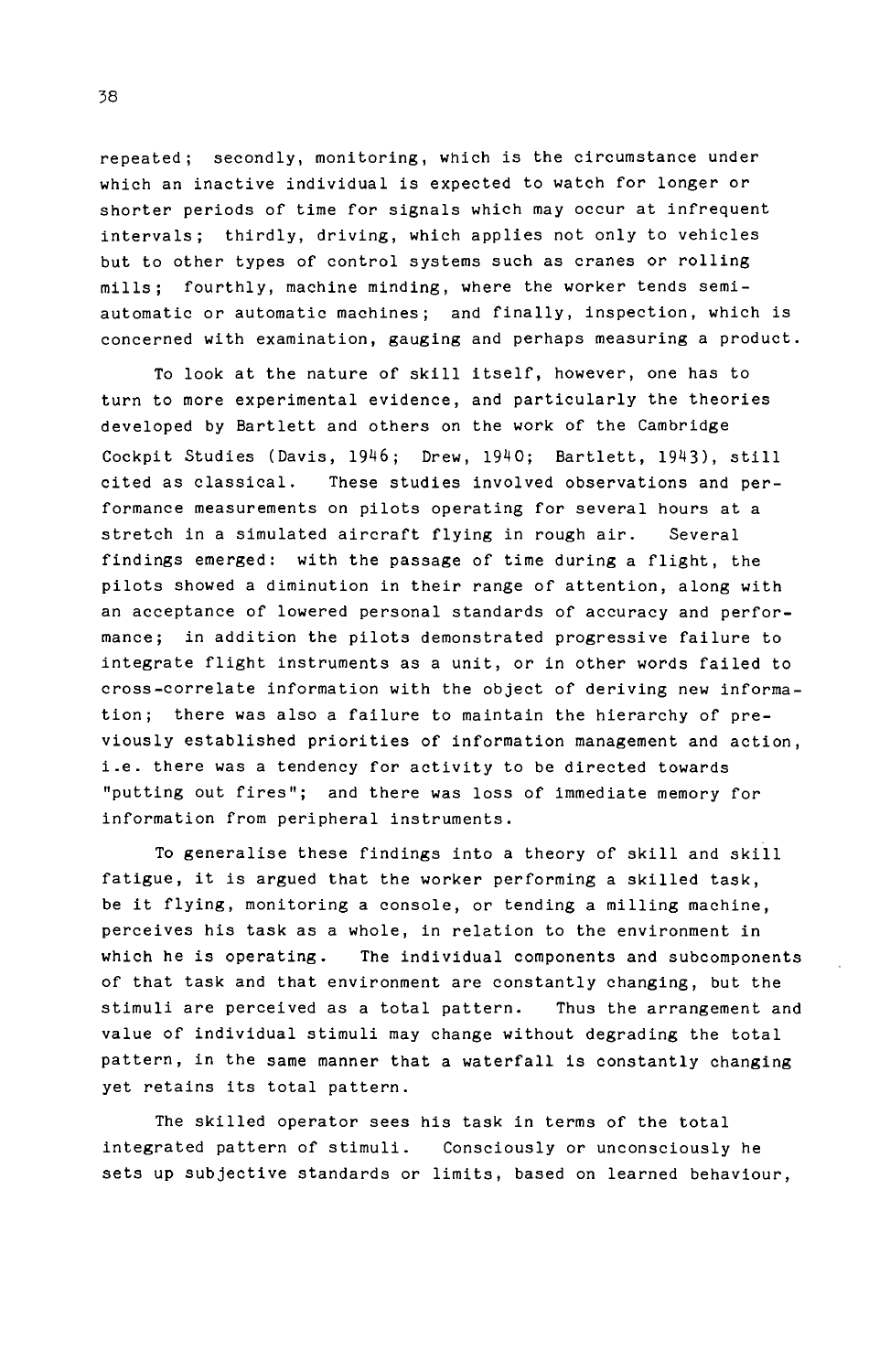repeated; secondly, monitoring, which is the circumstance under which an inactive individual is expected to watch for longer or shorter periods of time for signals which may occur at infrequent intervals; thirdly, driving, which applies not only to vehicles but to other types of control systems such as cranes or rolling mills; fourthly, machine minding, where the worker tends semiautomatic or automatic machines; and finally, inspection, which is concerned with examination, gauging and perhaps measuring a product.

To look at the nature of skill itself, however, one has to turn to more experimental evidence, and particularly the theories developed by Bartlett and others on the work of the Cambridge Cockpit Studies (Davis, 1946; Drew, 1940; Bartlett, 1943), still cited as classical. These studies involved observations and performance measurements on pilots operating for several hours at a stretch in a simulated aircraft flying in rough air. Several findings emerged: with the passage of time during a flight, the pilots showed a diminution in their range of attention, along with an acceptance of lowered personal standards of accuracy and performance; in addition the pilots demonstrated progressive failure to integrate flight instruments as a unit, or in other words failed to cross-correlate information with the object of deriving new information; there was also a failure to maintain the hierarchy of previously established priorities of information management and action, i.e. there was a tendency for activity to be directed towards "putting out fires"; and there was loss of immediate memory for information from peripheral instruments.

To generalise these findings into a theory of skill and skill fatigue, it is argued that the worker performing a skilled task, be it flying, monitoring a console, or tending a milling machine, perceives his task as a whole, in relation to the environment in which he is operating. The individual components and subcomponents of that task and that environment are constantly changing, but the stimuli are perceived as a total pattern. Thus the arrangement and value of individual stimuli may change without degrading the total pattern, in the same manner that a waterfall is constantly changing yet retains its total pattern.

The skilled operator sees his task in terms of the total integrated pattern of stimuli. Consciously or unconsciously he sets up subjective standards or limits, based on learned behaviour,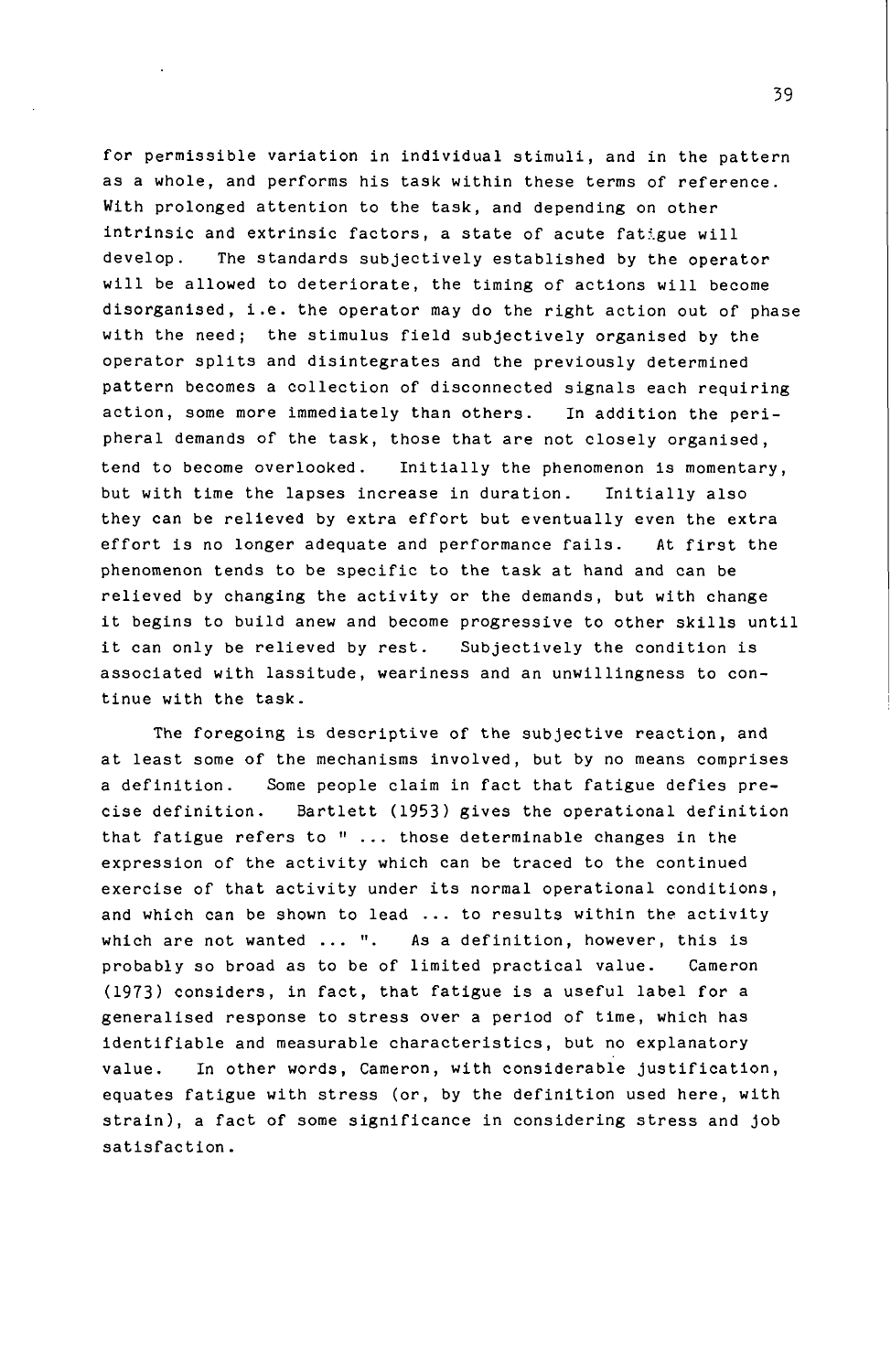for permissible variation in individual stimuli, and in the pattern as a whole, and performs his task within these terms of reference. With prolonged attention to the task, and depending on other intrinsic and extrinsic factors, a state of acute fatigue will develop. The standards subjectively established by the operator will be allowed to deteriorate, the timing of actions will become disorganised, i.e. the operator may do the right action out of phase with the need; the stimulus field subjectively organised by the operator splits and disintegrates and the previously determined pattern becomes a collection of disconnected signals each requiring action, some more immediately than others. In addition the peripheral demands of the task, those that are not closely organised, tend to become overlooked. Initially the phenomenon is momentary, but with time the lapses increase in duration. Initially also they can be relieved by extra effort but eventually even the extra effort is no longer adequate and performance fails. At first the phenomenon tends to be specific to the task at hand and can be relieved by changing the activity or the demands, but with change it begins to build anew and become progressive to other skills until it can only be relieved by rest. Subjectively the condition is associated with lassitude, weariness and an unwillingness to continue with the task.

The foregoing is descriptive of the subjective reaction, and at least some of the mechanisms involved, but by no means comprises a definition. Some people claim in fact that fatigue defies precise definition. Bartlett (1953) gives the operational definition that fatigue refers to " ... those determinable changes in the expression of the activity which can be traced to the continued exercise of that activity under its normal operational conditions, and which can be shown to lead ... to results within the activity which are not wanted ... ". As a definition, however, this is probably so broad as to be of limited practical value. Cameron (1973) considers, in fact, that fatigue is a useful label for a generalised response to stress over a period of time, which has identifiable and measurable characteristics, but no explanatory value. In other words, Cameron, with considerable justification, equates fatigue with stress (or, by the definition used here, with strain), a fact of some significance in considering stress and job satisfaction.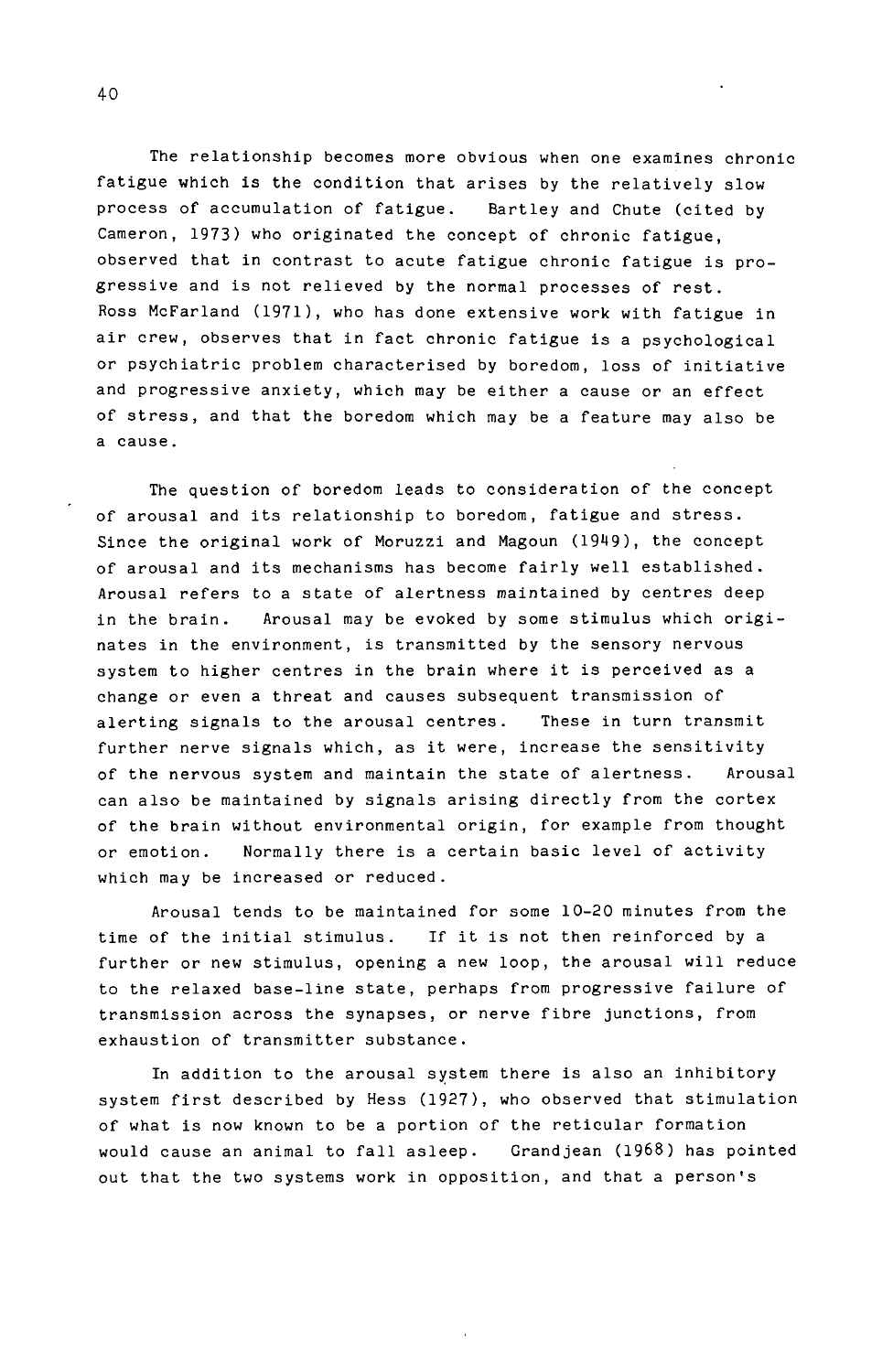The relationship becomes more obvious when one examines chronic fatigue which is the condition that arises by the relatively slow process of accumulation of fatigue. Bartley and Chute (cited by Cameron, 1973) who originated the concept of chronic fatigue, observed that in contrast to acute fatigue chronic fatigue is progressive and is not relieved by the normal processes of rest. Ross McFarland (1971), who has done extensive work with fatigue in air crew, observes that in fact chronic fatigue is a psychological or psychiatric problem characterised by boredom, loss of initiative and progressive anxiety, which may be either a cause or an effect of stress, and that the boredom which may be a feature may also be a cause.

The question of boredom leads to consideration of the concept of arousal and its relationship to boredom, fatigue and stress. Since the original work of Moruzzi and Magoun (1949), the concept of arousal and its mechanisms has become fairly well established. Arousal refers to a state of alertness maintained by centres deep in the brain. Arousal may be evoked by some stimulus which originates in the environment, is transmitted by the sensory nervous system to higher centres in the brain where it is perceived as a change or even a threat and causes subsequent transmission of alerting signals to the arousal centres. These in turn transmit further nerve signals which, as it were, increase the sensitivity of the nervous system and maintain the state of alertness. Arousal can also be maintained by signals arising directly from the cortex of the brain without environmental origin, for example from thought or emotion. Normally there is a certain basic level of activity which may be increased or reduced.

Arousal tends to be maintained for some 10-20 minutes from the time of the initial stimulus. If it is not then reinforced by a further or new stimulus, opening a new loop, the arousal will reduce to the relaxed base-line state, perhaps from progressive failure of transmission across the synapses, or nerve fibre junctions, from exhaustion of transmitter substance.

In addition to the arousal system there is also an inhibitory system first described by Hess (1927), who observed that stimulation of what is now known to be a portion of the reticular formation would cause an animal to fall asleep. Grandjean (1968) has pointed out that the two systems work in opposition, and that a person's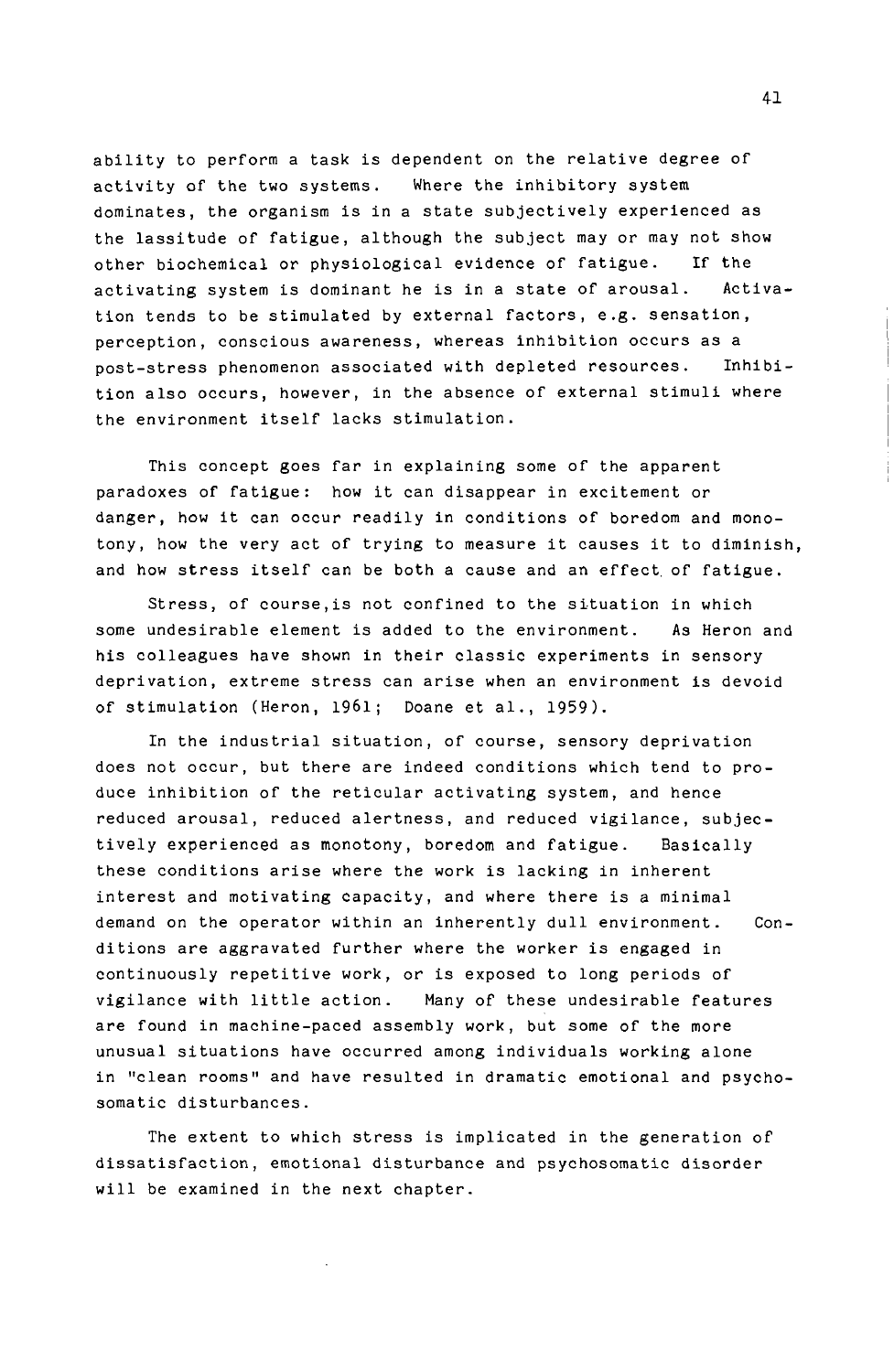ability to perform a task is dependent on the relative degree of activity of the two systems. Where the inhibitory system dominates, the organism is in a state subjectively experienced as the lassitude of fatigue, although the subject may or may not show other biochemical or physiological evidence of fatigue. If the activating system is dominant he is in a state of arousal. Activation tends to be stimulated by external factors, e.g. sensation, perception, conscious awareness, whereas inhibition occurs as a post-stress phenomenon associated with depleted resources. Inhibition also occurs, however, in the absence of external stimuli where the environment itself lacks stimulation.

This concept goes far in explaining some of the apparent paradoxes of fatigue: how it can disappear in excitement or danger, how it can occur readily in conditions of boredom and monotony, how the very act of trying to measure it causes it to diminish, and how stress itself can be both a cause and an effect of fatigue.

Stress, of course,is not confined to the situation in which some undesirable element is added to the environment. As Heron and his colleagues have shown in their classic experiments in sensory deprivation, extreme stress can arise when an environment is devoid of stimulation (Heron, 1961; Doane et al., 1959).

In the industrial situation, of course, sensory deprivation does not occur, but there are indeed conditions which tend to produce inhibition of the reticular activating system, and hence reduced arousal, reduced alertness, and reduced vigilance, subjectively experienced as monotony, boredom and fatigue. Basically these conditions arise where the work is lacking in inherent interest and motivating capacity, and where there is a minimal demand on the operator within an inherently dull environment. Conditions are aggravated further where the worker is engaged in continuously repetitive work, or is exposed to long periods of vigilance with little action. Many of these undesirable features are found in machine-paced assembly work, but some of the more unusual situations have occurred among individuals working alone in "clean rooms" and have resulted in dramatic emotional and psychosomatic disturbances.

The extent to which stress is implicated in the generation of dissatisfaction, emotional disturbance and psychosomatic disorder will be examined in the next chapter.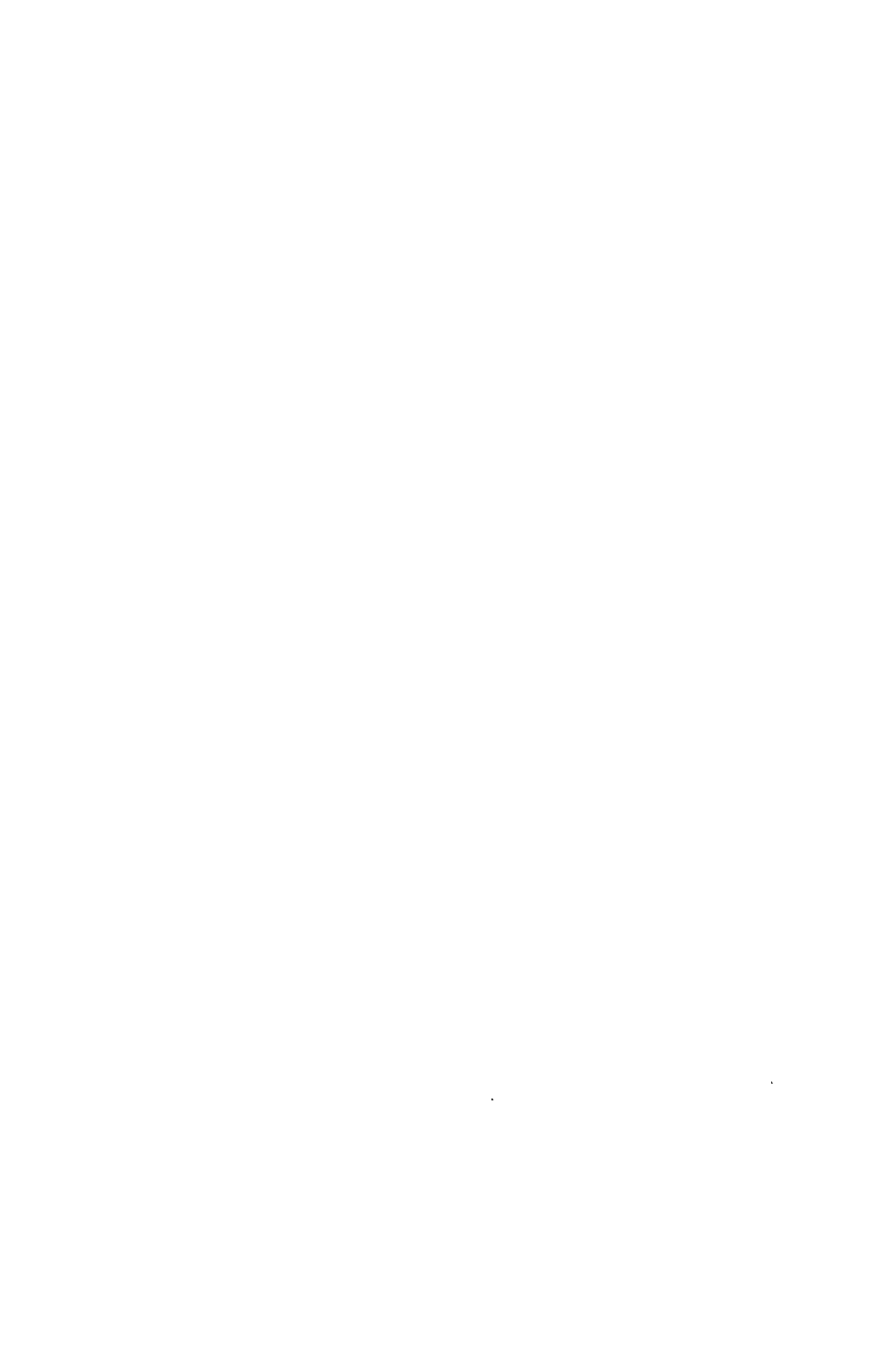$\mathcal{L}(\mathcal{L})$  and  $\mathcal{L}(\mathcal{L})$  .  $\mathcal{L}(\mathcal{L}^{\text{max}}_{\mathcal{L}})$  . The  $\mathcal{L}^{\text{max}}_{\mathcal{L}}$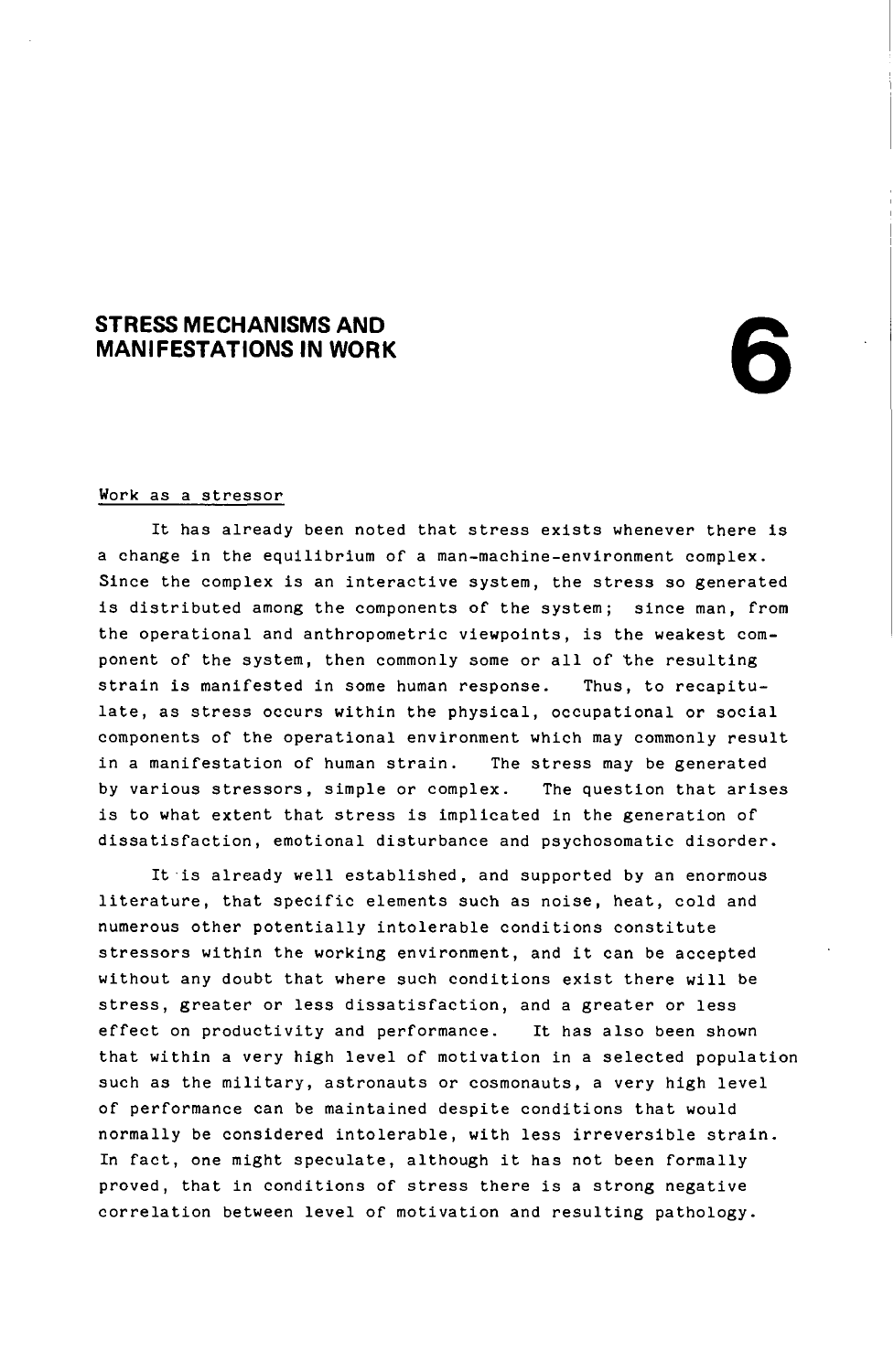## **STRESS MECHANISMS AND MANIFESTATIONS IN WORK <b>6 6 ÅREAD CONTROL**

### Work as a stressor

It has already been noted that stress exists whenever there is a change in the equilibrium of a man-machine-environment complex. Since the complex is an interactive system, the stress so generated is distributed among the components of the system; since man, from the operational and anthropometric viewpoints, is the weakest component of the system, then commonly some or all of the resulting strain is manifested in some human response. Thus, to recapitulate, as stress occurs within the physical, occupational or social components of the operational environment which may commonly result in a manifestation of human strain. The stress may be generated by various stressors, simple or complex. The question that arises is to what extent that stress is implicated in the generation of dissatisfaction, emotional disturbance and psychosomatic disorder.

It is already well established, and supported by an enormous literature, that specific elements such as noise, heat, cold and numerous other potentially intolerable conditions constitute stressors within the working environment, and it can be accepted without any doubt that where such conditions exist there will be stress, greater or less dissatisfaction, and a greater or less effect on productivity and performance. It has also been shown that within a very high level of motivation in a selected population such as the military, astronauts or cosmonauts, a very high level of performance can be maintained despite conditions that would normally be considered intolerable, with less irreversible strain. In fact, one might speculate, although it has not been formally proved, that in conditions of stress there is a strong negative correlation between level of motivation and resulting pathology.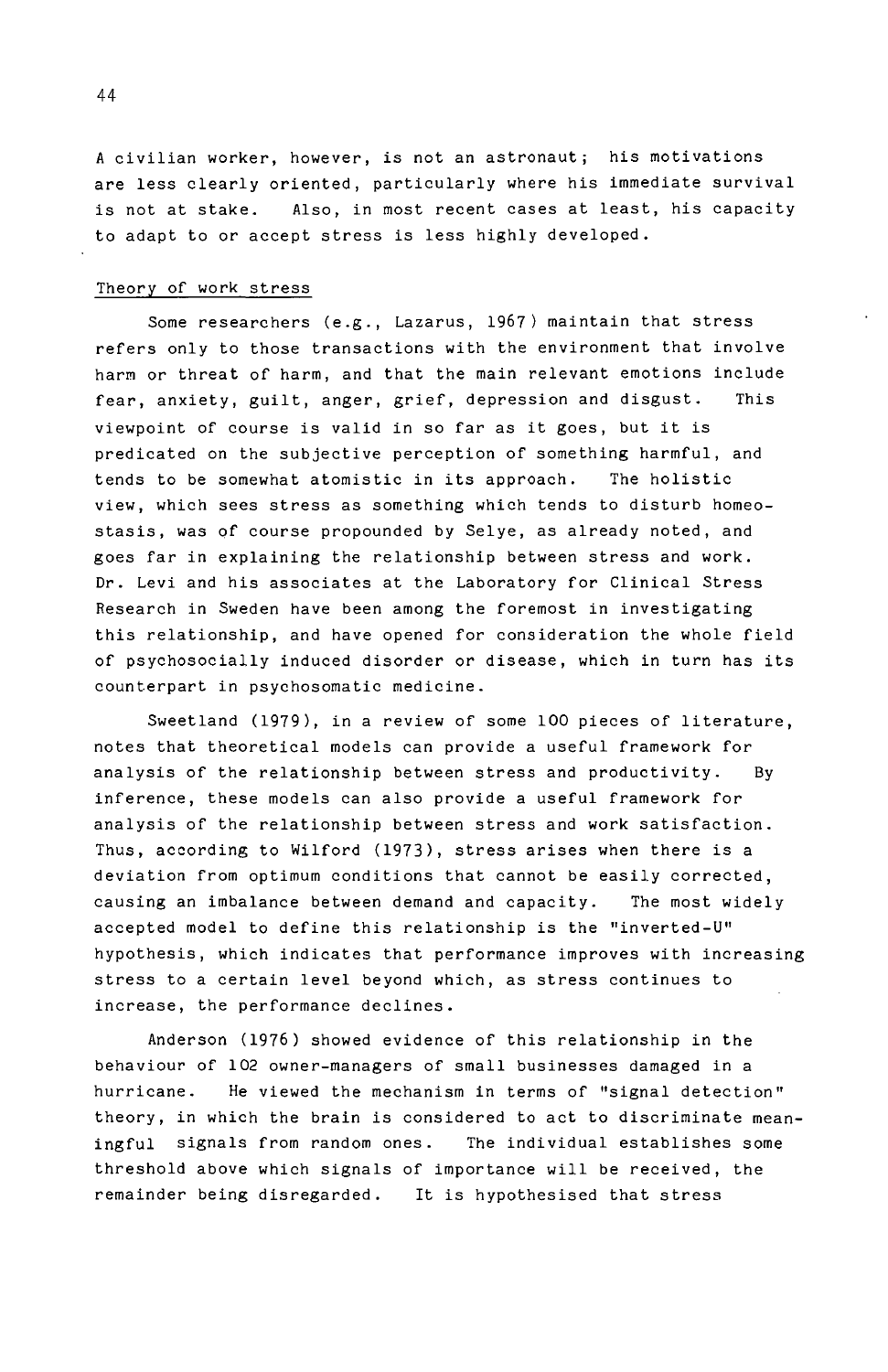A civilian worker, however, is not an astronaut; his motivations are less clearly oriented, particularly where his immediate survival is not at stake. Also, in most recent cases at least, his capacity to adapt to or accept stress is less highly developed.

### Theory of work stress

Some researchers (e.g., Lazarus, 1967) maintain that stress refers only to those transactions with the environment that involve harm or threat of harm, and that the main relevant emotions include fear, anxiety, guilt, anger, grief, depression and disgust. This viewpoint of course is valid in so far as it goes, but it is predicated on the subjective perception of something harmful, and tends to be somewhat atomistic in its approach. The holistic view, which sees stress as something which tends to disturb homeostasis, was of course propounded by Selye, as already noted, and goes far in explaining the relationship between stress and work. Dr. Levi and his associates at the Laboratory for Clinical Stress Research in Sweden have been among the foremost in investigating this relationship, and have opened for consideration the whole field of psychosocially induced disorder or disease, which in turn has its counterpart in psychosomatic medicine.

Sweetland (1979), in a review of some 100 pieces of literature, notes that theoretical models can provide a useful framework for analysis of the relationship between stress and productivity. By inference, these models can also provide a useful framework for analysis of the relationship between stress and work satisfaction. Thus, according to Wilford (1973), stress arises when there is a deviation from optimum conditions that cannot be easily corrected, causing an imbalance between demand and capacity. The most widely accepted model to define this relationship is the "inverted-U" hypothesis, which indicates that performance improves with increasing stress to a certain level beyond which, as stress continues to increase, the performance declines.

Anderson (1976) showed evidence of this relationship in the behaviour of 102 owner-managers of small businesses damaged in a hurricane. He viewed the mechanism in terms of "signal detection" theory, in which the brain is considered to act to discriminate meaningful signals from random ones. The individual establishes some threshold above which signals of importance will be received, the remainder being disregarded. It is hypothesised that stress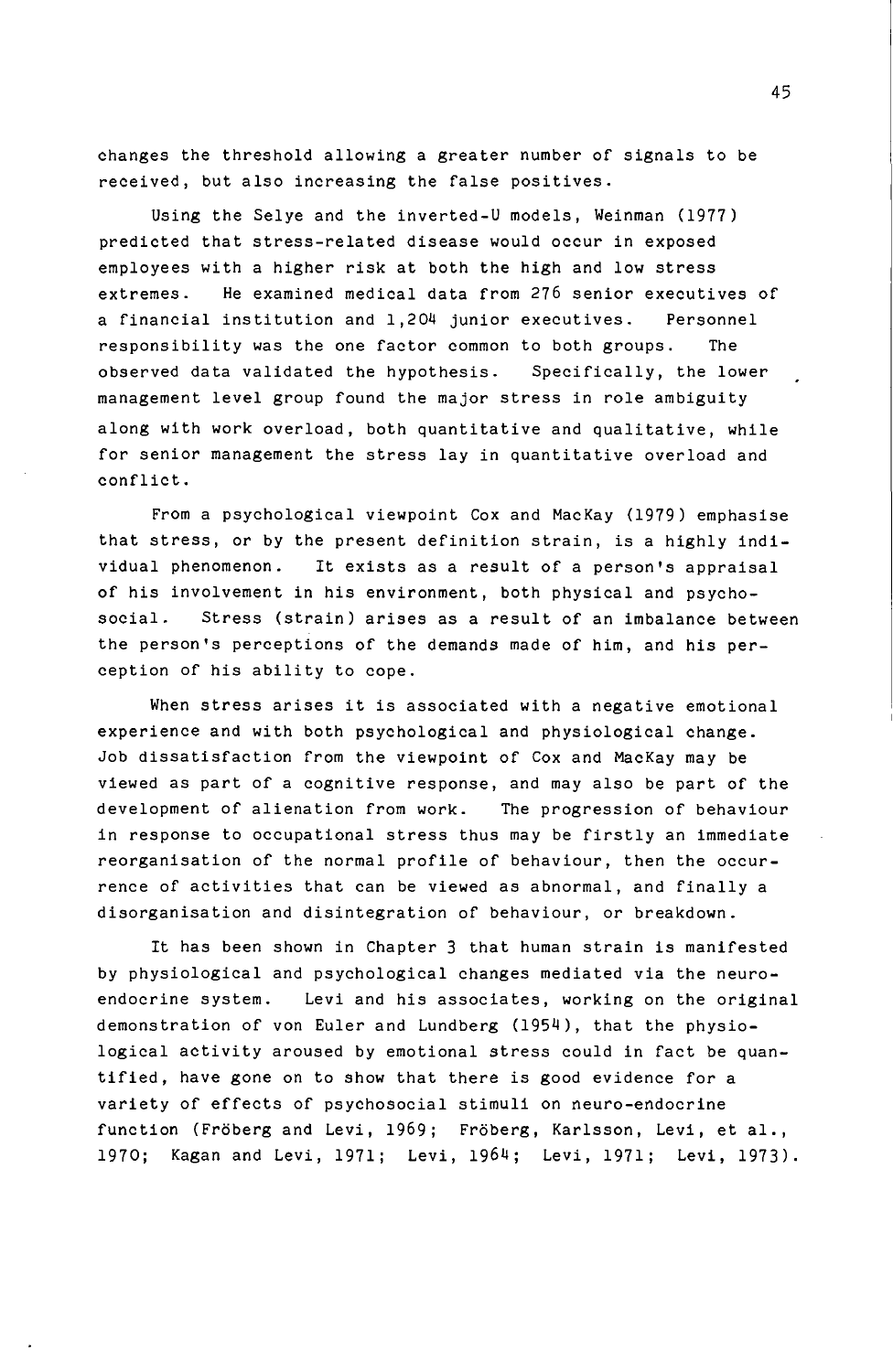changes the threshold allowing a greater number of signals to be received, but also increasing the false positives.

Using the Selye and the inverted-U models, Weinman (1977) predicted that stress-related disease would occur in exposed employees with a higher risk at both the high and low stress extremes. He examined medical data from 276 senior executives of a financial institution and 1,204 junior executives. Personnel responsibility was the one factor common to both groups. The observed data validated the hypothesis. Specifically, the lower management level group found the major stress in role ambiguity along with work overload, both quantitative and qualitative, while for senior management the stress lay in quantitative overload and conflict.

From a psychological viewpoint Cox and MacKay (1979) emphasise that stress, or by the present definition strain, is a highly individual phenomenon. It exists as a result of a person's appraisal of his involvement in his environment, both physical and psychosocial. Stress (strain) arises as a result of an imbalance between the person's perceptions of the demands made of him, and his perception of his ability to cope.

When stress arises it is associated with a negative emotional experience and with both psychological and physiological change. Job dissatisfaction from the viewpoint of Cox and MacKay may be viewed as part of a cognitive response, and may also be part of the development of alienation from work. The progression of behaviour in response to occupational stress thus may be firstly an immediate reorganisation of the normal profile of behaviour, then the occurrence of activities that can be viewed as abnormal, and finally a disorganisation and disintegration of behaviour, or breakdown.

It has been shown in Chapter 3 that human strain is manifested by physiological and psychological changes mediated via the neuroendocrine system. Levi and his associates, working on the original demonstration of von Euler and Lundberg (1954), that the physiological activity aroused by emotional stress could in fact be quantified, have gone on to show that there is good evidence for a variety of effects of psychosocial stimuli on neuro-endocrine function (Fröberg and Levi, 1969; Fröberg, Karlsson, Levi, et al., 1970; Kagan and Levi, 1971; Levi, 1964; Levi, 1971; Levi, 1973).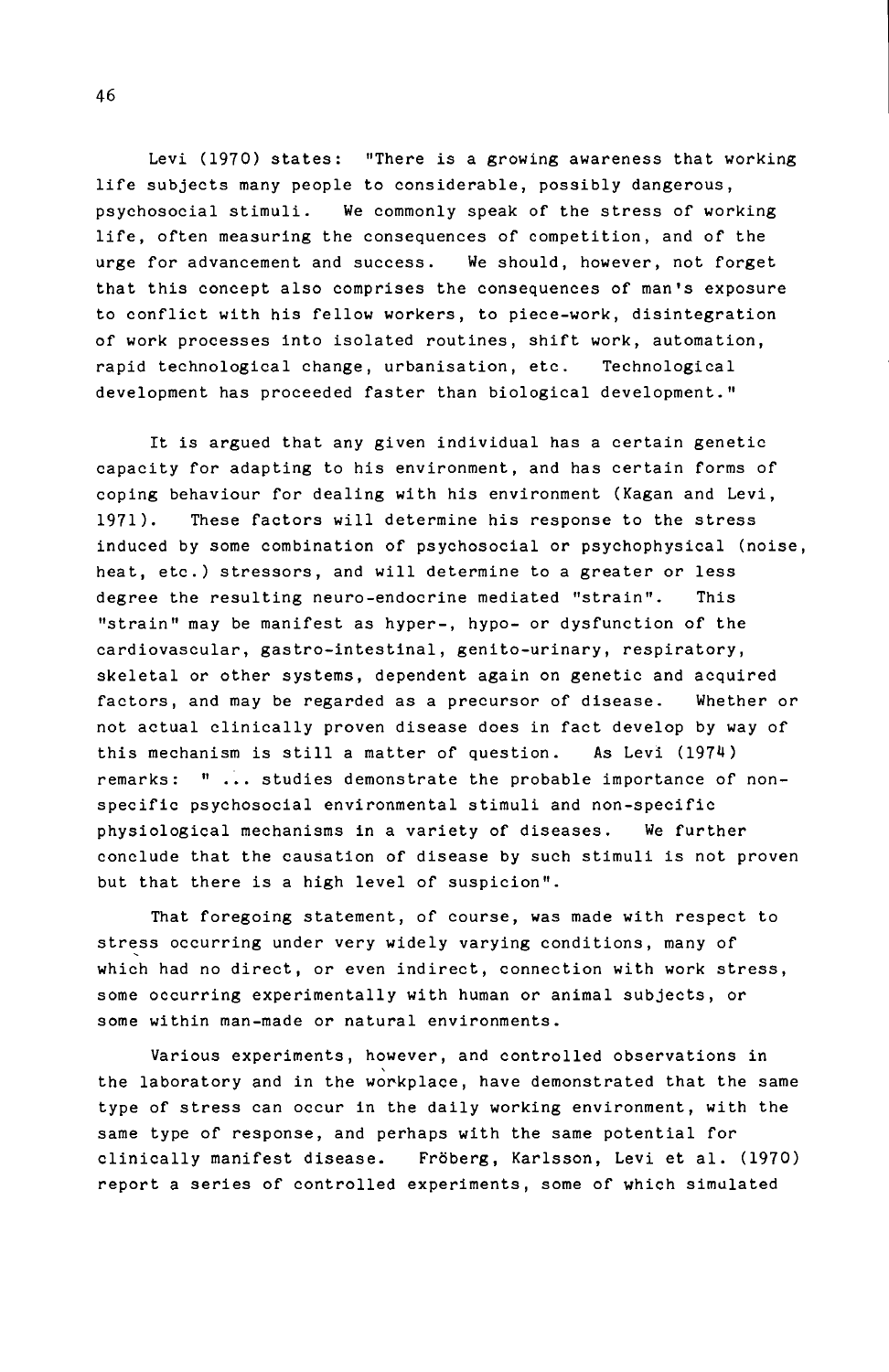Levi (1970) states: "There is a growing awareness that working life subjects many people to considerable, possibly dangerous, psychosocial stimuli. We commonly speak of the stress of working life, often measuring the consequences of competition, and of the urge for advancement and success. We should, however, not forget that this concept also comprises the consequences of man's exposure to conflict with his fellow workers, to piece-work, disintegration of work processes into isolated routines, shift work, automation, rapid technological change, urbanisation, etc. Technological development has proceeded faster than biological development."

It is argued that any given individual has a certain genetic capacity for adapting to his environment, and has certain forms of coping behaviour for dealing with his environment (Kagan and Levi, 1971). These factors will determine his response to the stress induced by some combination of psychosocial or psychophysical (noise, heat, etc.) stressors, and will determine to a greater or less degree the resulting neuro-endocrine mediated "strain". This "strain" may be manifest as hyper-, hypo- or dysfunction of the cardiovascular, gastro-intestinal, genito-urinary, respiratory, skeletal or other systems, dependent again on genetic and acquired factors, and may be regarded as a precursor of disease. Whether or not actual clinically proven disease does in fact develop by way of this mechanism is still a matter of question. As Levi (1974) remarks: " ... studies demonstrate the probable importance of nonspecific psychosocial environmental stimuli and non-specific physiological mechanisms in a variety of diseases. We further conclude that the causation of disease by such stimuli is not proven but that there is a high level of suspicion".

That foregoing statement, of course, was made with respect to stress occurring under very widely varying conditions, many of which had no direct, or even indirect, connection with work stress, some occurring experimentally with human or animal subjects, or some within man-made or natural environments.

Various experiments, however, and controlled observations in the laboratory and in the workplace, have demonstrated that the same type of stress can occur in the daily working environment, with the same type of response, and perhaps with the same potential for clinically manifest disease. Fröberg, Karlsson, Levi et al. (1970) report a series of controlled experiments, some of which simulated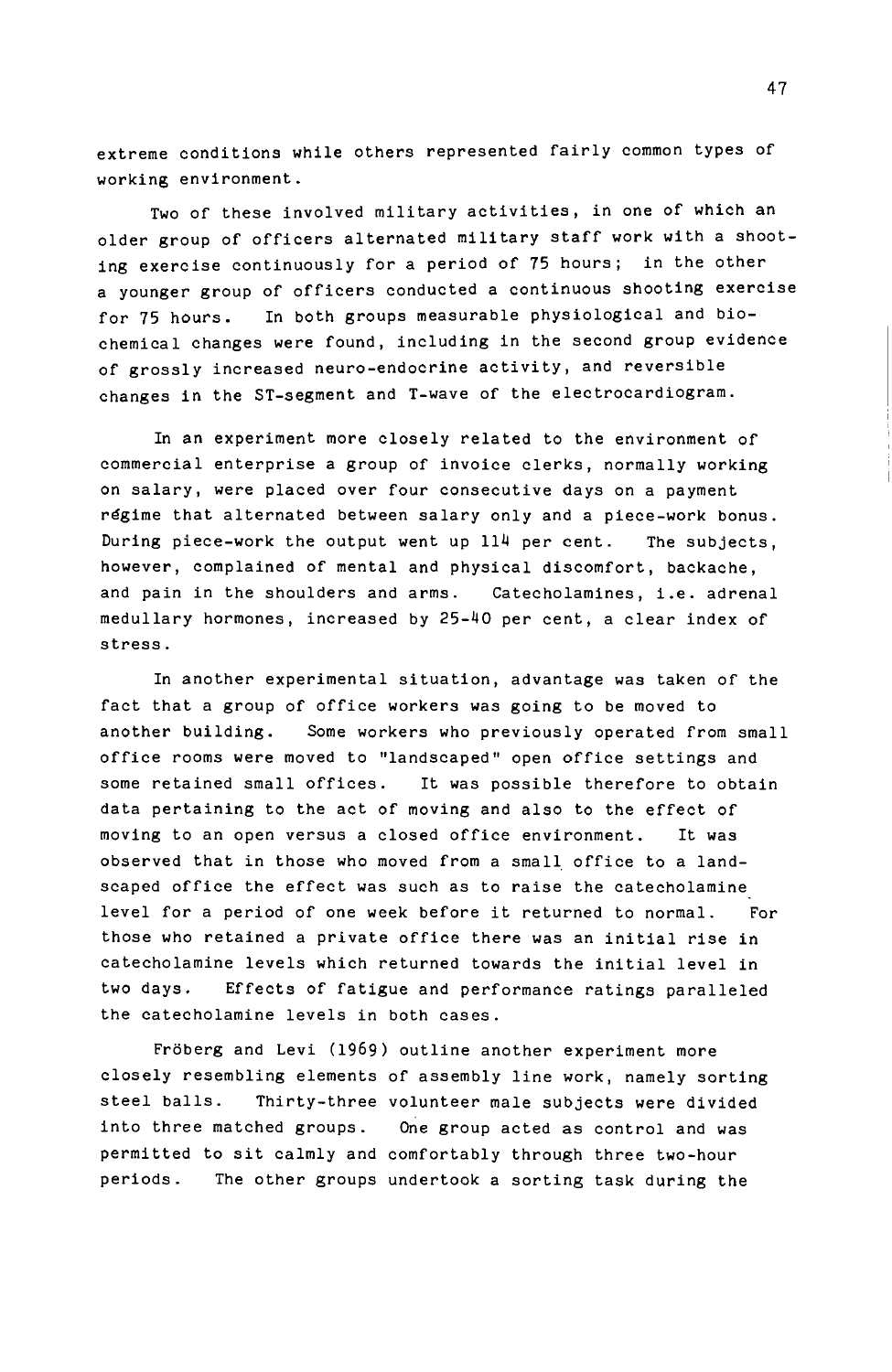extreme conditions while others represented fairly common types of working environment.

Two of these involved military activities, in one of which an older group of officers alternated military staff work with a shooting exercise continuously for a period of 75 hours; in the other a younger group of officers conducted a continuous shooting exercise for 75 hours. In both groups measurable physiological and biochemical changes were found, including in the second group evidence of grossly increased neuro-endocrine activity, and reversible changes in the ST-segment and T-wave of the electrocardiogram.

In an experiment more closely related to the environment of commercial enterprise a group of invoice clerks, normally working on salary, were placed over four consecutive days on a payment régime that alternated between salary only and a piece-work bonus. During piece-work the output went up 114 per cent. The subjects, however, complained of mental and physical discomfort, backache, and pain in the shoulders and arms. Catecholamines, i.e. adrenal medullary hormones, increased by 25-40 per cent, a clear index of stress.

In another experimental situation, advantage was taken of the fact that a group of office workers was going to be moved to another building. Some workers who previously operated from small office rooms were moved to "landscaped" open office settings and some retained small offices. It was possible therefore to obtain data pertaining to the act of moving and also to the effect of moving to an open versus a closed office environment. It was observed that in those who moved from a small office to a landscaped office the effect was such as to raise the catecholamine level for a period of one week before it returned to normal. For those who retained a private office there was an initial rise in catecholamine levels which returned towards the initial level in two days. Effects of fatigue and performance ratings paralleled the catecholamine levels in both cases.

Fröberg and Levi (1969) outline another experiment more closely resembling elements of assembly line work, namely sorting steel balls. Thirty-three volunteer male subjects were divided into three matched groups. One group acted as control and was permitted to sit calmly and comfortably through three two-hour periods . The other groups undertook a sorting task during the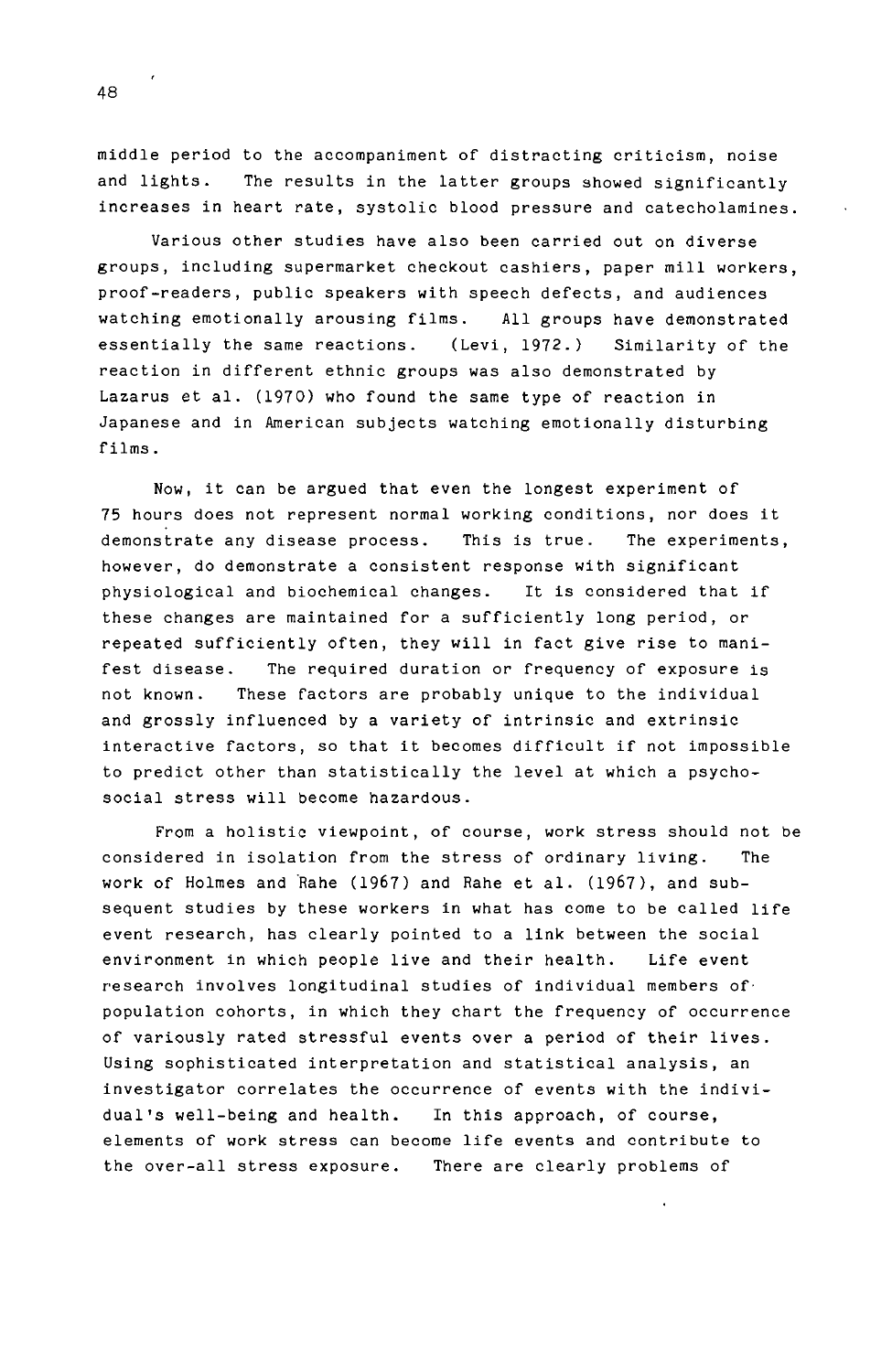middle period to the accompaniment of distracting criticism, noise and lights. The results in the latter groups showed significantly increases in heart rate, systolic blood pressure and catecholamines.

Various other studies have also been carried out on diverse groups, including supermarket checkout cashiers, paper mill workers, proof-readers, public speakers with speech defects, and audiences watching emotionally arousing films. All groups have demonstrated essentially the same reactions. (Levi, 1972.) Similarity of the reaction in different ethnic groups was also demonstrated by Lazarus et al. (1970) who found the same type of reaction in Japanese and in American subjects watching emotionally disturbing films.

Now, it can be argued that even the longest experiment of 75 hours does not represent normal working conditions, nor does it demonstrate any disease process. This is true. The experiments, however, do demonstrate a consistent response with significant physiological and biochemical changes. It is considered that if these changes are maintained for a sufficiently long period, or repeated sufficiently often, they will in fact give rise to manifest disease. The required duration or frequency of exposure is not known. These factors are probably unique to the individual and grossly influenced by a variety of intrinsic and extrinsic interactive factors, so that it becomes difficult if not impossible to predict other than statistically the level at which a psychosocial stress will become hazardous.

From a holistic viewpoint, of course, work stress should not be considered in isolation from the stress of ordinary living. The work of Holmes and Rahe (1967) and Rahe et al. (1967), and subsequent studies by these workers in what has come to be called life event research, has clearly pointed to a link between the social environment in which people live and their health. Life event research involves longitudinal studies of individual members of population cohorts, in which they chart the frequency of occurrence of variously rated stressful events over a period of their lives. Using sophisticated interpretation and statistical analysis, an investigator correlates the occurrence of events with the individual's well-being and health. In this approach, of course, elements of work stress can become life events and contribute to the over-all stress exposure. There are clearly problems of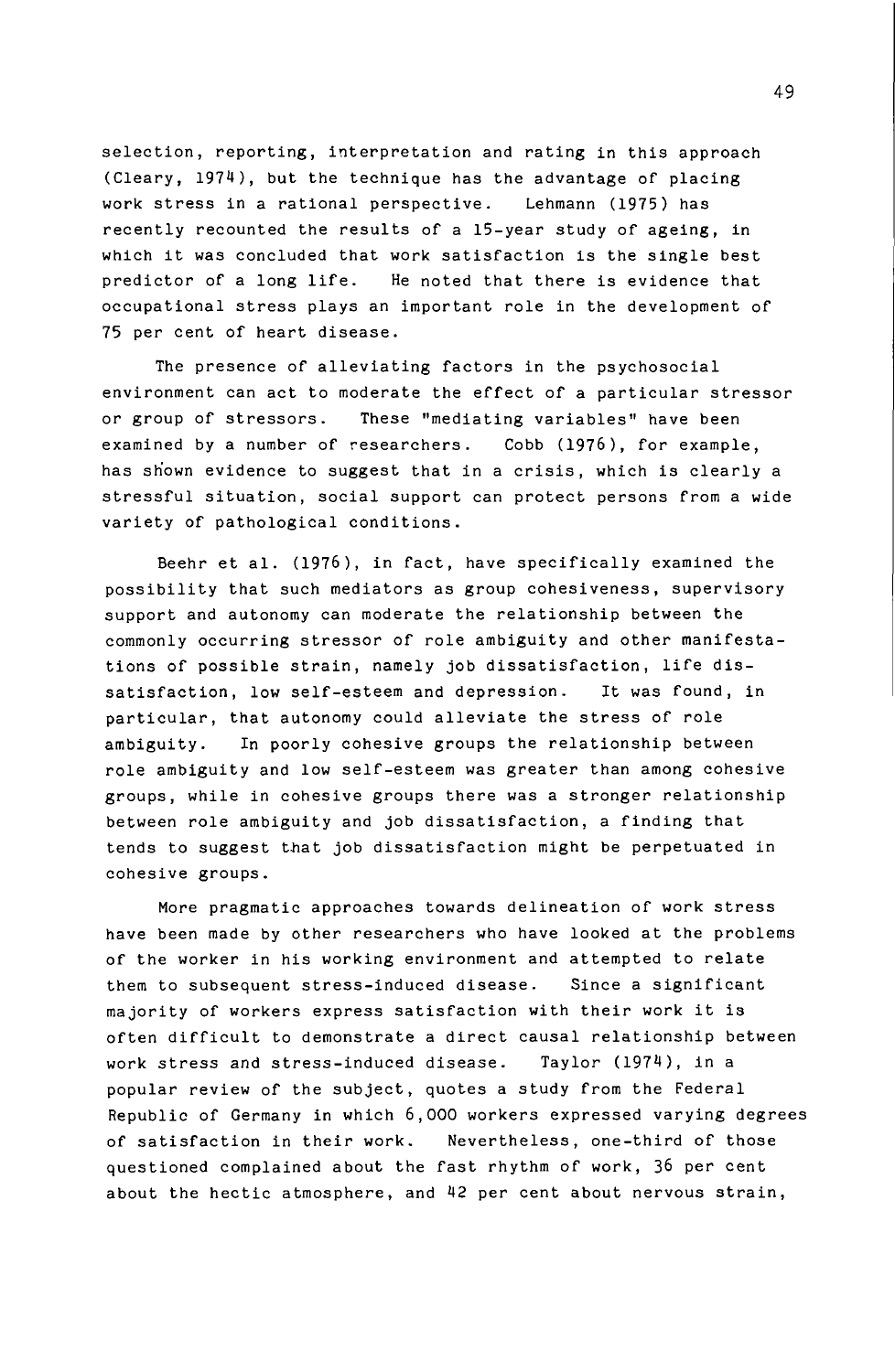selection, reporting, interpretation and rating in this approach (Cleary, 1974), but the technique has the advantage of placing work stress in a rational perspectiv recently recounted the results of a 15-year study of ageing, in which it was concluded that work satisfaction is the single best predictor of a long life. He noted that there is evidence that occupational stress plays an important role in the development of 75 per cent of heart disease. Lehmann (1975) has

The presence of alleviating factors in the psychosocial environment can act to moderate the effect of a particular stressor or group of stressors. examined by a number of researchers. Cobb (1976), for example, has shown evidence to suggest that in a crisis, which is clearly a stressful situation, social support can protect persons from a wide variety of pathological conditions. These "mediating variables" have been

Beehr et al. (1976), in fact, have specifically examined the possibility that such mediators as group cohesiveness, supervisory support and autonomy can moderate the relationship between the commonly occurring stressor of role ambiguity and other manifestations of possible strain, namely job dissatisfaction, life dissatisfaction, low self-esteem and depression. It was found, in particular, that autonomy could alleviate the stress of role ambiguity. In poorly cohesive groups the relationship between role ambiguity and low self-esteem was greater than among cohesive groups, while in cohesive groups there was a stronger relationship between role ambiguity and job dissatisfaction, a finding that tends to suggest that job dissatisfaction might be perpetuated in cohesive groups.

More pragmatic approaches towards delineation of work stress have been made by other researchers who have looked at the problems of the worker in his working environment and attempted to relate them to subsequent stress-induced disease. Since a significant majority of workers express satisfaction with their work it is often difficult to demonstrate a direct causal relationship between work stress and stress-induced disease. Taylor (1974), in a popular review of the subject, quotes a study from the Federal Republic of Germany in which 6,000 workers expressed varying degrees of satisfaction in their work. Nevertheless, one-third of those questioned complained about the fast rhythm of work, 36 per cent about the hectic atmosphere, and 42 per cent about nervous strain,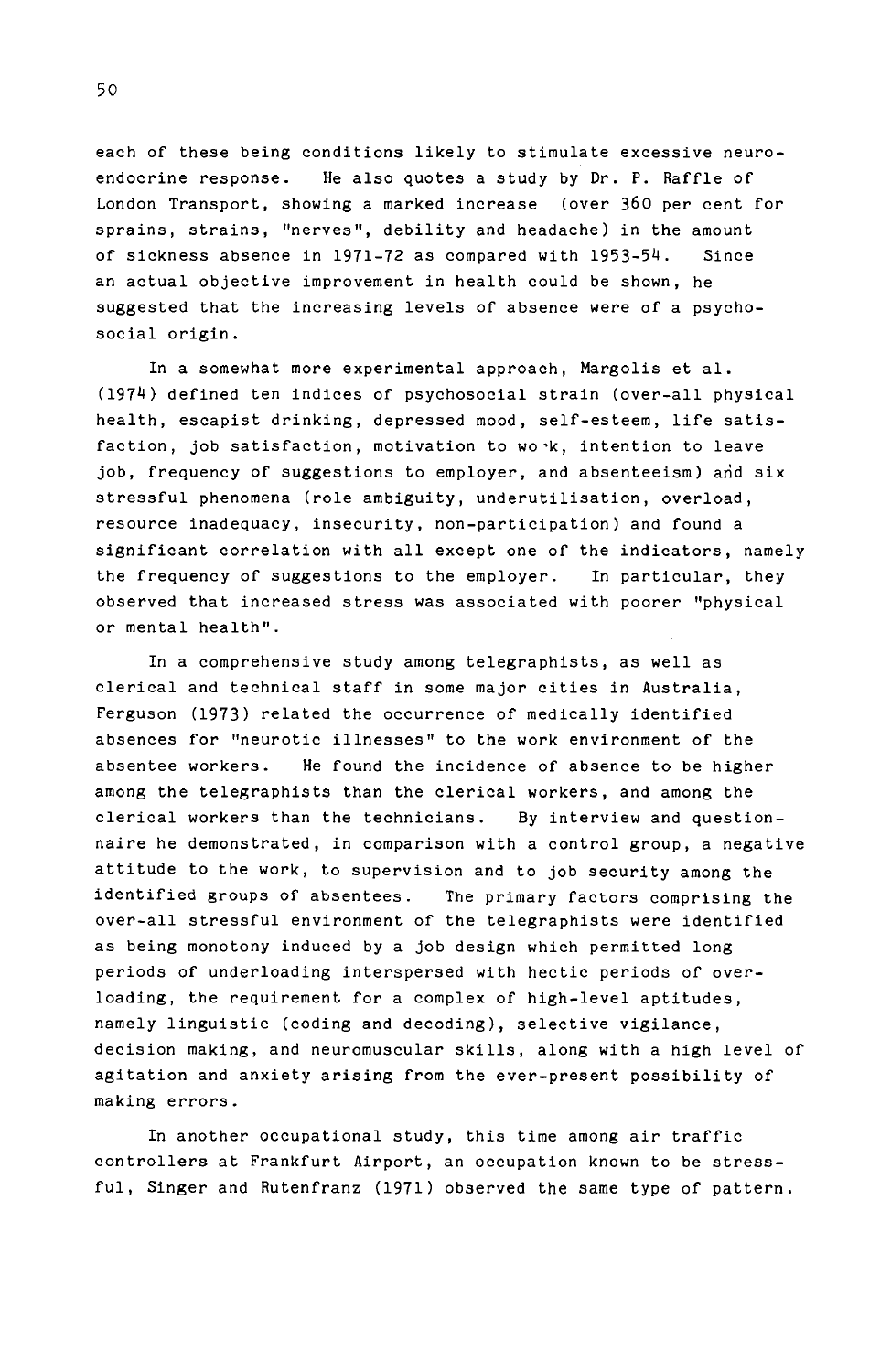each of these being conditions likely to stimulate excessive neuroendocrine response. He also quotes a study by Dr. P. Raffle of London Transport, showing a marked increase (over 360 per cent for sprains, strains, "nerves", debility and headache) in the amount of sickness absence in 1971-72 as compared with 1953-54. Since an actual objective improvement in health could be shown, he suggested that the increasing levels of absence were of a psychosocial origin.

In a somewhat more experimental approach, Margolis et al. (1974) defined ten indices of psychosocial strain (over-all physical health, escapist drinking, depressed mood, self-esteem, life satisfaction, job satisfaction, motivation to wo'k, intention to leave job, frequency of suggestions to employer, and absenteeism) and six stressful phenomena (role ambiguity, underutilisation, overload, resource inadequacy, insecurity, non-participation) and found a significant correlation with all except one of the indicators, namely the frequency of suggestions to the employer. In particular, they observed that increased stress was associated with poorer "physical or mental health".

In a comprehensive study among telegraphists, as well as clerical and technical staff in some major cities in Australia, Ferguson (1973) related the occurrence of medically identified absences for "neurotic illnesses" to the work environment of the absentee workers. He found the incidence of absence to be higher among the telegraphists than the clerical workers, and among the clerical workers than the technicians. By interview and questionnaire he demonstrated, in comparison with a control group, a negative attitude to the work, to supervision and to job security among the identified groups of absentees. The primary factors comprising the over-all stressful environment of the telegraphists were identified as being monotony induced by a job design which permitted long periods of underloading interspersed with hectic periods of overloading, the requirement for a complex of high-level aptitudes, namely linguistic (coding and decoding), selective vigilance, decision making, and neuromuscular skills, along with a high level of agitation and anxiety arising from the ever-present possibility of making errors.

In another occupational study, this time among air traffic controllers at Frankfurt Airport, an occupation known to be stressful, Singer and Rutenfranz (1971) observed the same type of pattern.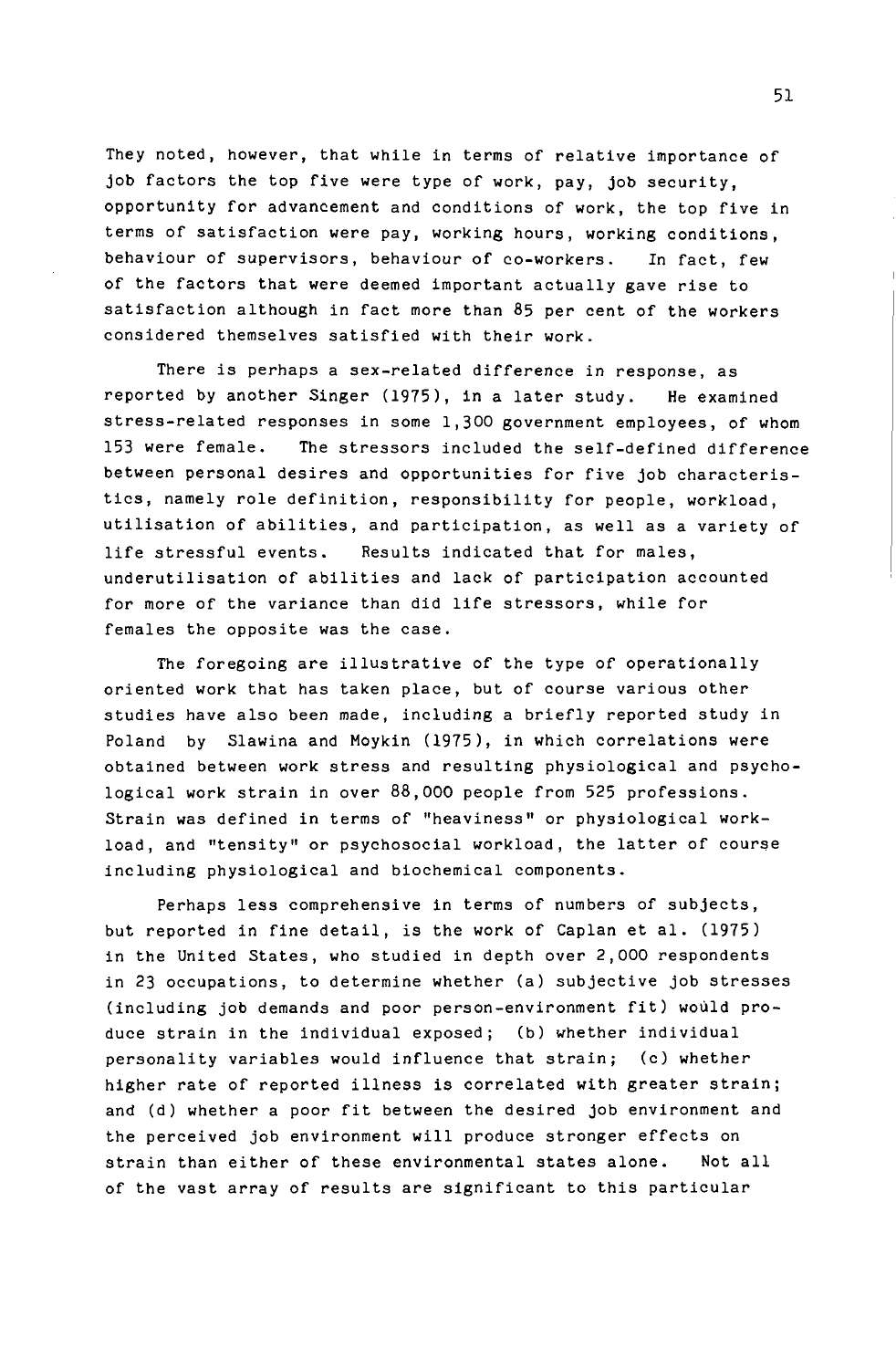They noted, however, that while in terms of relative importance of job factors the top five were type of work, pay, job security, opportunity for advancement and conditions of work, the top five in terms of satisfaction were pay, working hours, working conditions, behaviour of supervisors, behaviour of co-workers. In fact, few of the factors that were deemed important actually gave rise to satisfaction although in fact more than 85 per cent of the workers considered themselves satisfied with their work.

There is perhaps a sex-related difference in response, as reported by another Singer (1975), in a later study. He examined stress-related responses in some 1,300 government employees, of whom 153 were female. The stressors included the self-defined difference between personal desires and opportunities for five job characteristics, namely role definition, responsibility for people, workload, utilisation of abilities, and participation, as well as a variety of life stressful events. Results indicated that for males, underutilisation of abilities and lack of participation accounted for more of the variance than did life stressors, while for females the opposite was the case.

The foregoing are illustrative of the type of operationally oriented work that has taken place, but of course various other studies have also been made, including a briefly reported study in Poland by Slawina and Moykin (1975), in which correlations were obtained between work stress and resulting physiological and psychological work strain in over 88,000 people from 525 professions. Strain was defined in terms of "heaviness" or physiological workload, and "tensity" or psychosocial workload, the latter of course including physiological and biochemical components.

Perhaps less comprehensive in terms of numbers of subjects, but reported in fine detail, is the work of Caplan et al. (1975) in the United States, who studied in depth over 2,000 respondents in 23 occupations, to determine whether (a) subjective job stresses (including job demands and poor person-environment fit) would produce strain in the individual exposed; (b) whether individual personality variables would influence that strain; (c) whether higher rate of reported illness is correlated with greater strain; and (d) whether a poor fit between the desired job environment and the perceived job environment will produce stronger effects on strain than either of these environmental states alone. Not all of the vast array of results are significant to this particular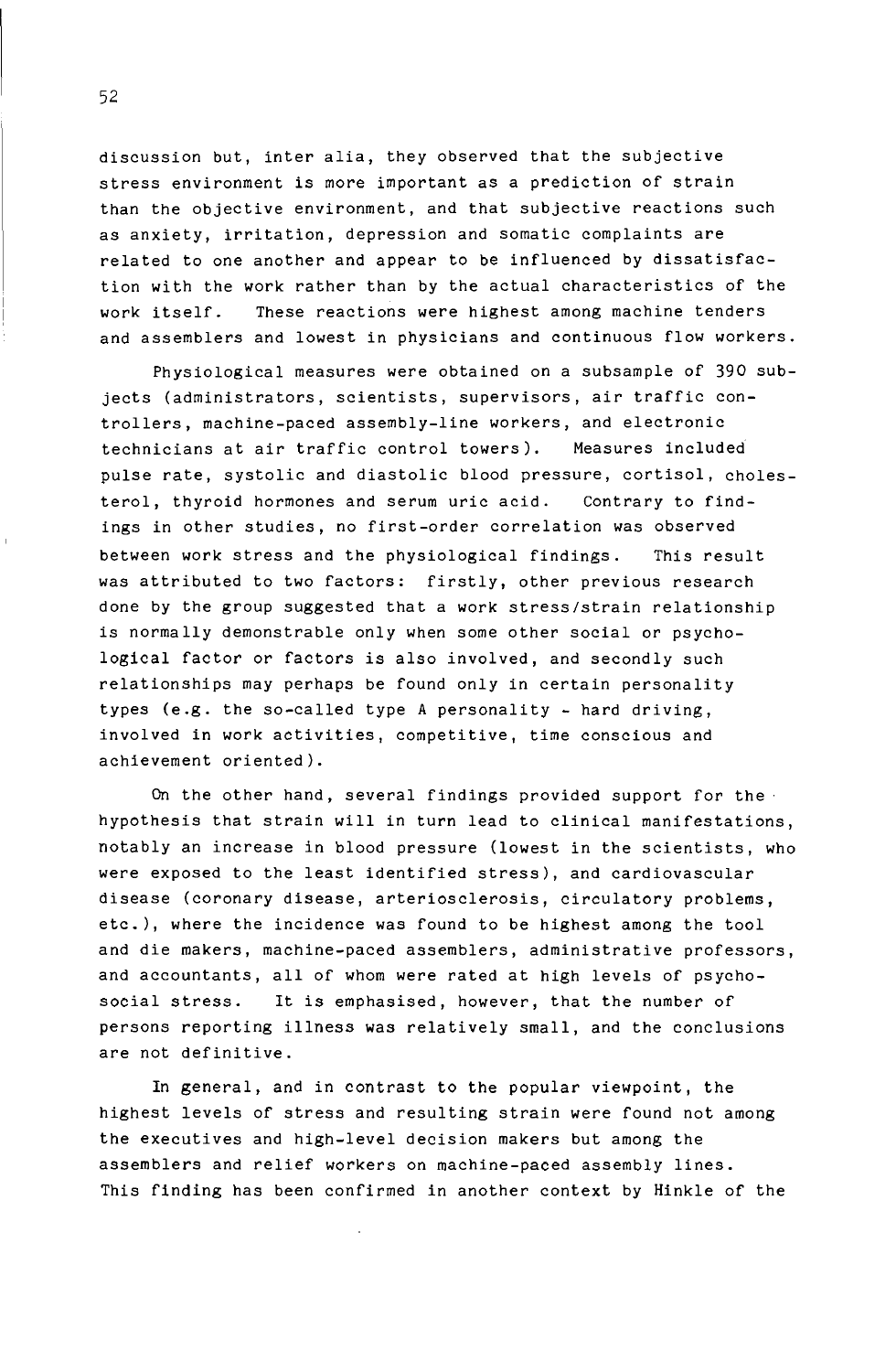discussion but, inter alia, they observed that the subjective stress environment is more important as a prediction of strain than the objective environment, and that subjective reactions such as anxiety, irritation, depression and somatic complaints are related to one another and appear to be influenced by dissatisfaction with the work rather than by the actual characteristics of the work itself. These reactions were highest among machine tenders and assemblers and lowest in physicians and continuous flow workers.

Physiological measures were obtained on a subsample of 390 subjects (administrators, scientists, supervisors, air traffic controllers, machine-paced assembly-line workers, and electronic technicians at air traffic control towers). Measures included pulse rate, systolic and diastolic blood pressure, cortisol, cholesterol, thyroid hormones and serum uric acid. Contrary to findings in other studies, no first-order correlation was observed between work stress and the physiological findings. This result was attributed to two factors: firstly, other previous research done by the group suggested that a work stress/strain relationship is normally demonstrable only when some other social or psychological factor or factors is also involved, and secondly such relationships may perhaps be found only in certain personality types (e.g. the so-called type A personality - hard driving, involved in work activities, competitive, time conscious and achievement oriented).

On the other hand, several findings provided support for the hypothesis that strain will in turn lead to clinical manifestations, notably an increase in blood pressure (lowest in the scientists, who were exposed to the least identified stress), and cardiovascular disease (coronary disease, arteriosclerosis, circulatory problems, etc.), where the incidence was found to be highest among the tool and die makers, machine-paced assemblers, administrative professors, and accountants, all of whom were rated at high levels of psychosocial stress. It is emphasised, however, that the number of persons reporting illness was relatively small, and the conclusions are not definitive.

In general, and in contrast to the popular viewpoint, the highest levels of stress and resulting strain were found not among the executives and high-level decision makers but among the assemblers and relief workers on machine-paced assembly lines. This finding has been confirmed in another context by Hinkle of the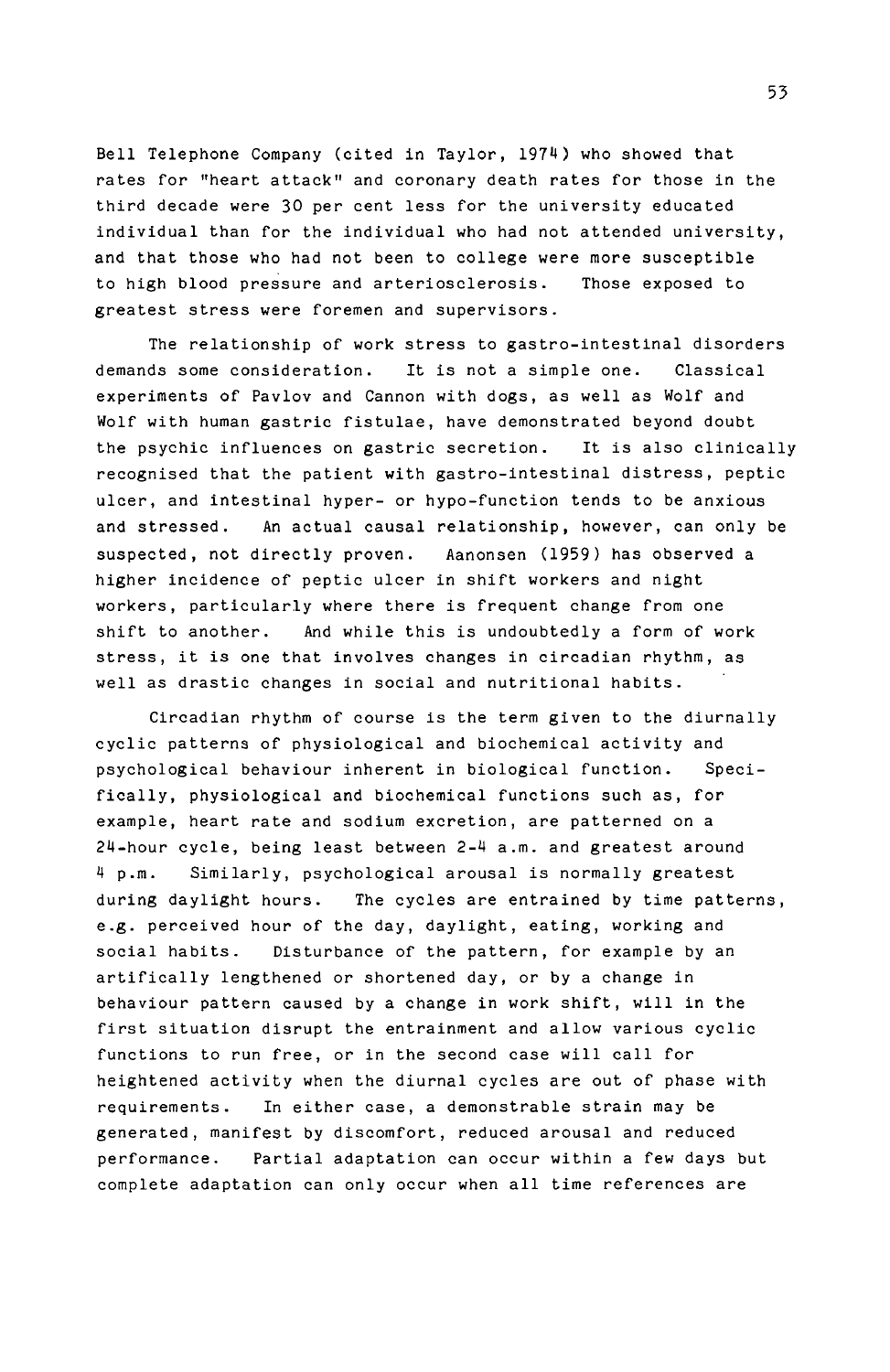Bell Telephone Company (cited in Taylor, 1974) who showed that rates for "heart attack" and coronary death rates for those in the third decade were 30 per cent less for the university educated individual than for the individual who had not attended university, and that those who had not been to college were more susceptible to high blood pressure and arteriosclerosis. Those exposed to greatest stress were foremen and supervisors.

The relationship of work stress to gastro-intestinal disorders demands some consideration. It is not a simple one. Classical experiments of Pavlov and Cannon with dogs, as well as Wolf and Wolf with human gastric fistulae, have demonstrated beyond doubt the psychic influences on gastric secretion. It is also clinically recognised that the patient with gastro-intestinal distress, peptic ulcer, and intestinal hyper- or hypo-function tends to be anxious and stressed. An actual causal relationship, however, can only be suspected, not directly proven. Aanonsen (1959) has observed a higher incidence of peptic ulcer in shift workers and night workers, particularly where there is frequent change from one shift to another. And while this is undoubtedly a form of work stress, it is one that involves changes in circadian rhythm, as well as drastic changes in social and nutritional habits.

Circadian rhythm of course is the term given to the diurnally cyclic patterns of physiological and biochemical activity and psychological behaviour inherent in biological function. Specifically, physiological and biochemical functions such as, for example, heart rate and sodium excretion, are patterned on a 24-hour cycle, being least between 2-4 a.m. and greatest around 4 p.m. Similarly, psychological arousal is normally greatest during daylight hours. The cycles are entrained by time patterns, e.g. perceived hour of the day, daylight, eating, working and social habits. Disturbance of the pattern, for example by an artifically lengthened or shortened day, or by a change in behaviour pattern caused by a change in work shift, will in the first situation disrupt the entrainment and allow various cyclic functions to run free, or in the second case will call for heightened activity when the diurnal cycles are out of phase with requirements. In either case, a demonstrable strain may be generated, manifest by discomfort, reduced arousal and reduced performance. Partial adaptation can occur within a few days but complete adaptation can only occur when all time references are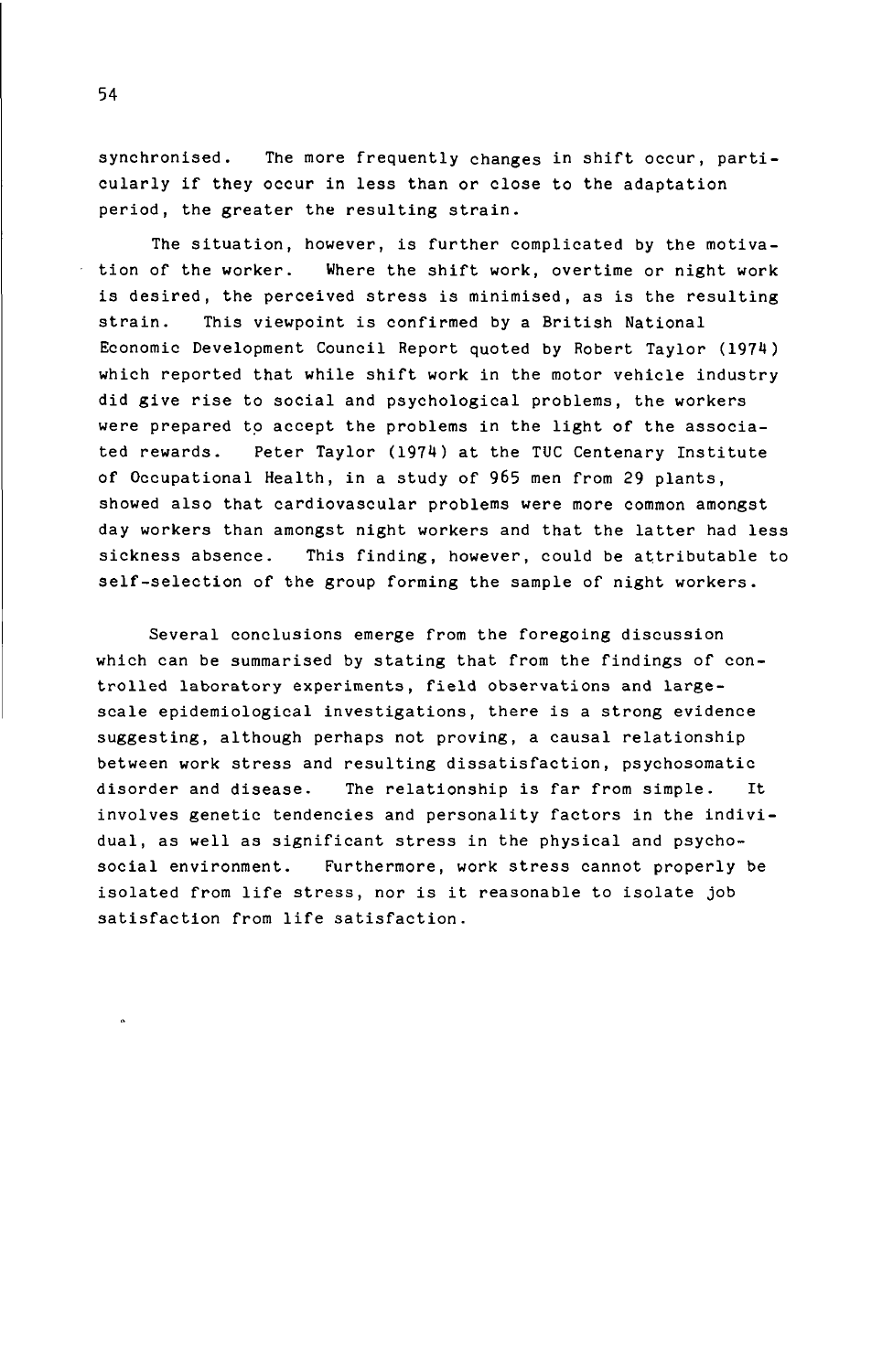synchronised. The more frequently changes in shift occur, particularly if they occur in less than or close to the adaptation period, the greater the resulting strain.

The situation, however, is further complicated by the motivation of the worker. Where the shift work, overtime or night work is desired, the perceived stress is minimised, as is the resulting strain. This viewpoint is confirmed by a British National Economic Development Council Report quoted by Robert Taylor (1974) which reported that while shift work in the motor vehicle industry did give rise to social and psychological problems, the workers were prepared to accept the problems in the light of the associated rewards. Peter Taylor (1974) at the TUC Centenary Institute of Occupational Health, in a study of 965 men from 29 plants, showed also that cardiovascular problems were more common amongst day workers than amongst night workers and that the latter had less sickness absence. This finding, however, could be attributable to self-selection of the group forming the sample of night workers.

Several conclusions emerge from the foregoing discussion which can be summarised by stating that from the findings of controlled laboratory experiments, field observations and largescale epidemiological investigations, there is a strong evidence suggesting, although perhaps not proving, a causal relationship between work stress and resulting dissatisfaction, psychosomatic disorder and disease. The relationship is far from simple. It involves genetic tendencies and personality factors in the individual, as well as significant stress in the physical and psychosocial environment. Furthermore, work stress cannot properly be isolated from life stress, nor is it reasonable to isolate job satisfaction from life satisfaction.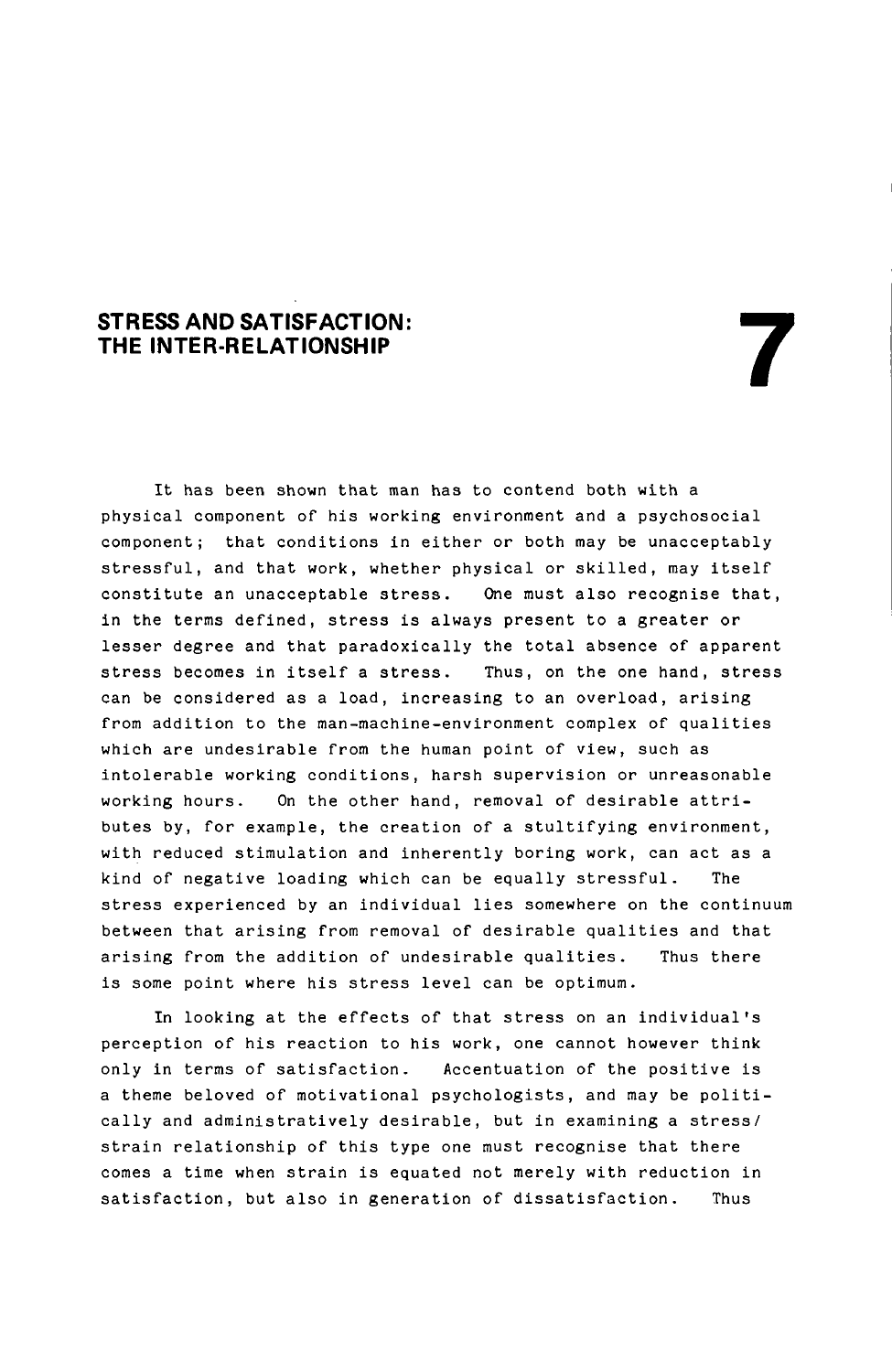### **STRESS AND SATISFACTION: THE INTER-RELATIONSHIP**<br>THE INTER-RELATIONSHIP

It has been shown that man has to contend both with a physical component of his working environment and a psychosocial component; that conditions in either or both may be unacceptably stressful, and that work, whether physical or skilled, may itself constitute an unacceptable stress. One must also recognise that, in the terms defined, stress is always present to a greater or lesser degree and that paradoxically the total absence of apparent stress becomes in itself a stress. Thus, on the one hand, stress can be considered as a load, increasing to an overload, arising from addition to the man-machine-environment complex of qualities which are undesirable from the human point of view, such as intolerable working conditions, harsh supervision or unreasonable working hours. On the other hand, removal of desirable attributes by, for example, the creation of a stultifying environment, with reduced stimulation and inherently boring work, can act as a kind of negative loading which can be equally stressful. The stress experienced by an individual lies somewhere on the continuum between that arising from removal of desirable qualities and that arising from the addition of undesirable qualities. Thus there is some point where his stress level can be optimum.

In looking at the effects of that stress on an individual's perception of his reaction to his work, one cannot however think only in terms of satisfaction. Accentuation of the positive is a theme beloved of motivational psychologists, and may be politically and administratively desirable, but in examining a stress/ strain relationship of this type one must recognise that there comes a time when strain is equated not merely with reduction in satisfaction, but also in generation of dissatisfaction. Thus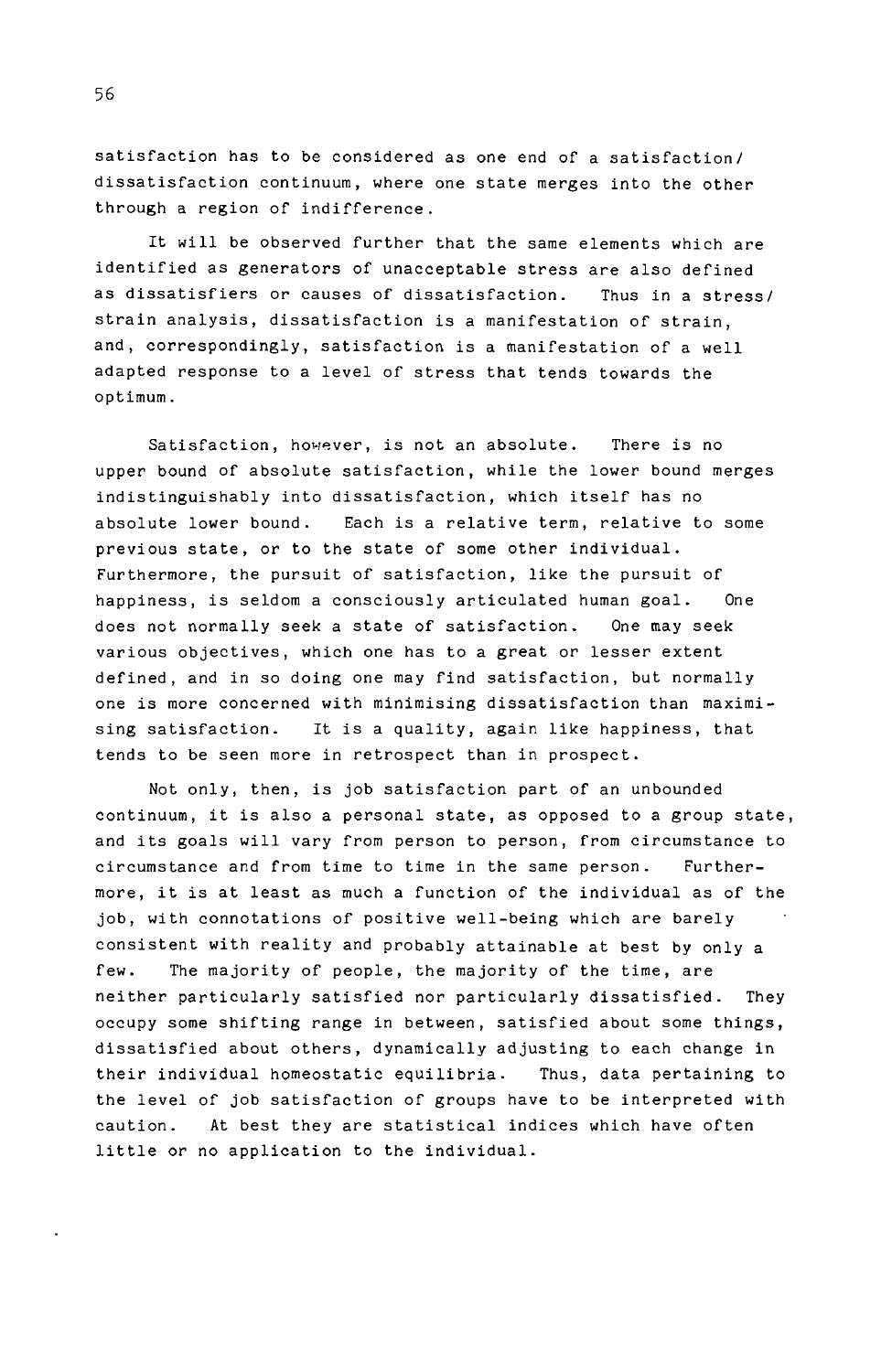satisfaction has to be considered as one end of a satisfaction/ dissatisfaction continuum, where one state merges into the other through a region of indifference.

It will be observed further that the same elements which are identified as generators of unacceptable stress are also defined as dissatisfiers or causes of dissatisfaction. Thus in a stress/ strain analysis, dissatisfaction is a manifestation of strain, and, correspondingly, satisfaction is a manifestation of a well adapted response to a level of stress that tends towards the optimum.

Satisfaction, however, is not an absolute. There is no upper bound of absolute satisfaction, while the lower bound merges indistinguishably into dissatisfaction, which itself has no absolute lower bound. Each is a relative term, relative to some previous state, or to the state of some other individual. Furthermore, the pursuit of satisfaction, like the pursuit of happiness, is seldom a consciously articulated human goal. One does not normally seek a state of satisfaction. One may seek various objectives, which one has to a great or lesser extent defined, and in so doing one may find satisfaction, but normally one is more concerned with minimising dissatisfaction than maximising satisfaction. It is a quality, again like happiness, that tends to be seen more in retrospect than in prospect.

Not only, then, is job satisfaction part of an unbounded continuum, it is also a personal state, as opposed to a group state, and its goals will vary from person to person, from circumstance to circumstance and from time to time in the same person. Furthermore, it is at least as much a function of the individual as of the job, with connotations of positive well-being which are barely consistent with reality and probably attainable at best by only a few. The majority of people, the majority of the time, are neither particularly satisfied nor particularly dissatisfied. They occupy some shifting range in between, satisfied about some things, dissatisfied about others, dynamically adjusting to each change in their individual homeostatic equilibria. Thus, data pertaining to the level of job satisfaction of groups have to be interpreted with caution. At best they are statistical indices which have often little or no application to the individual.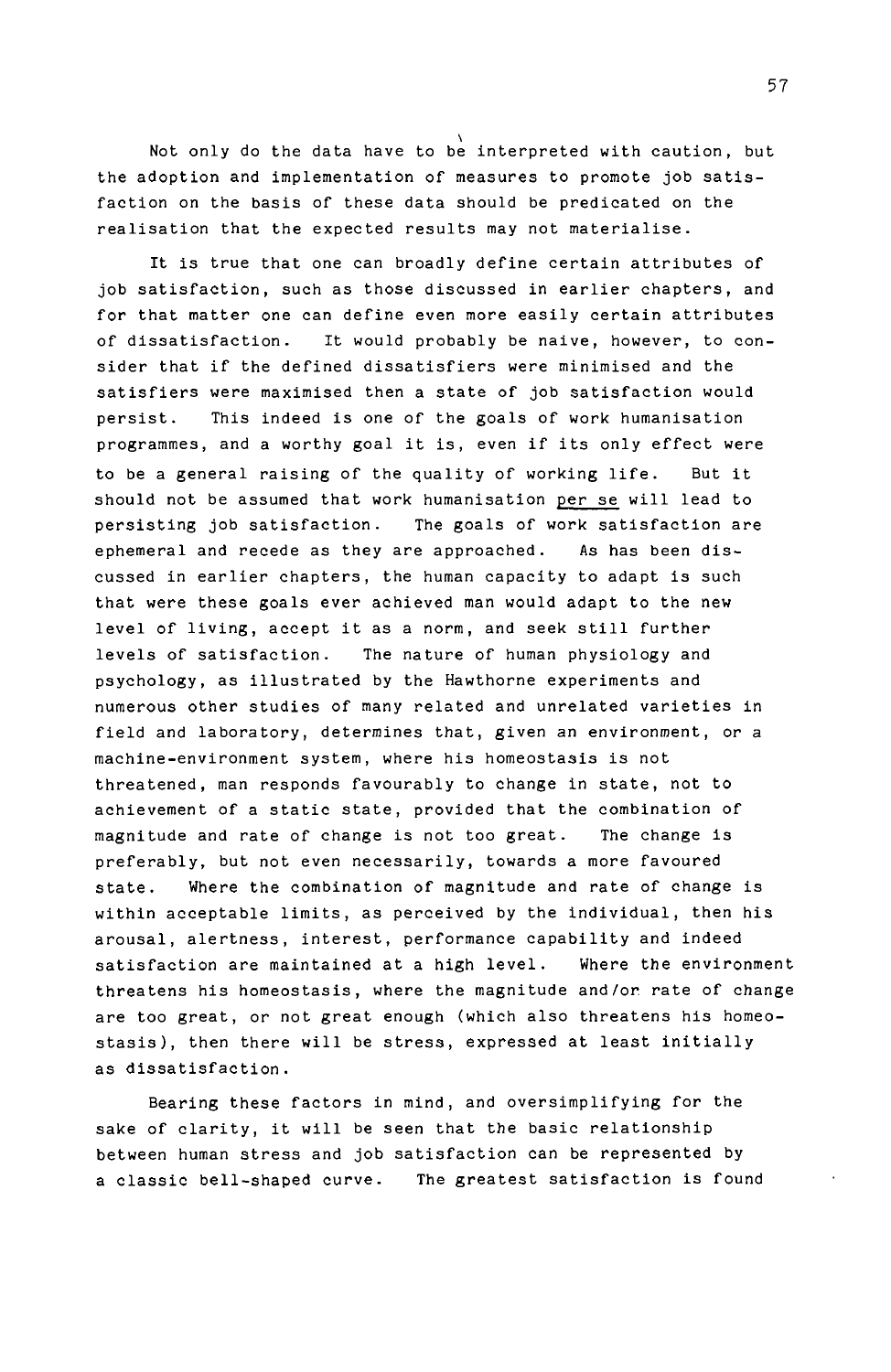Not only do the data have to be interpreted with caution, but the adoption and implementation of measures to promote job satisfaction on the basis of these data should be predicated on the realisation that the expected results may not materialise.

It is true that one can broadly define certain attributes of job satisfaction, such as those discussed in earlier chapters, and for that matter one can define even more easily certain attributes of dissatisfaction. It would probably be naive, however, to consider that if the defined dissatisfiers were minimised and the satisfiers were maximised then a state of job satisfaction would persist. This indeed is one of the goals of work humanisation programmes, and a worthy goal it is, even if its only effect were to be a general raising of the quality of working life. But it should not be assumed that work humanisation per se will lead to persisting job satisfaction. The goals of work satisfaction are ephemeral and recede as they are approached. As has been discussed in earlier chapters, the human capacity to adapt is such that were these goals ever achieved man would adapt to the new level of living, accept it as a norm, and seek still further levels of satisfaction. The nature of human physiology and psychology, as illustrated by the Hawthorne experiments and numerous other studies of many related and unrelated varieties in field and laboratory, determines that, given an environment, or a machine-environment system, where his homeostasis is not threatened, man responds favourably to change in state, not to achievement of a static state, provided that the combination of magnitude and rate of change is not too great. The change is preferably, but not even necessarily, towards a more favoured state. Where the combination of magnitude and rate of change is within acceptable limits, as perceived by the individual, then his arousal, alertness, interest, performance capability and indeed satisfaction are maintained at a high level. Where the environment threatens his homeostasis, where the magnitude and/or rate of change are too great, or not great enough (which also threatens his homeostasis), then there will be stress, expressed at least initially as dissatisfaction.

Bearing these factors in mind, and oversimplifying for the sake of clarity, it will be seen that the basic relationship between human stress and job satisfaction can be represented by a classic bell-shaped curve. The greatest satisfaction is found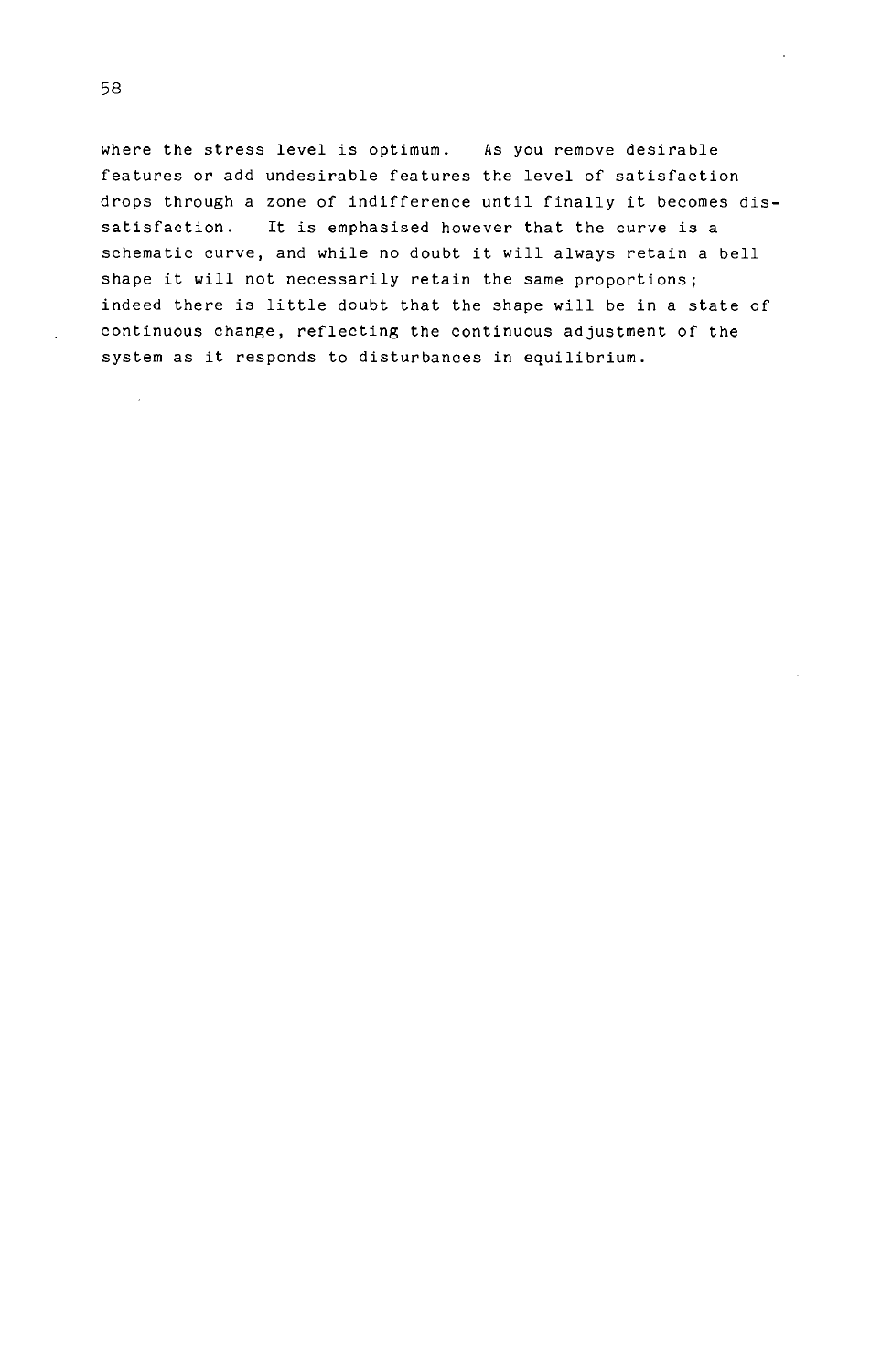where the stress level is optimum. As you remove desirable features or add undesirable features the level of satisfaction drops through a zone of indifference until finally it becomes dissatisfaction. It is emphasised however that the curve is a schematic curve, and while no doubt it will always retain a bell shape it will not necessarily retain the same proportions ; indeed there is little doubt that the shape will be in a state of continuous change, reflecting the continuous adjustment of the system as it responds to disturbances in equilibrium.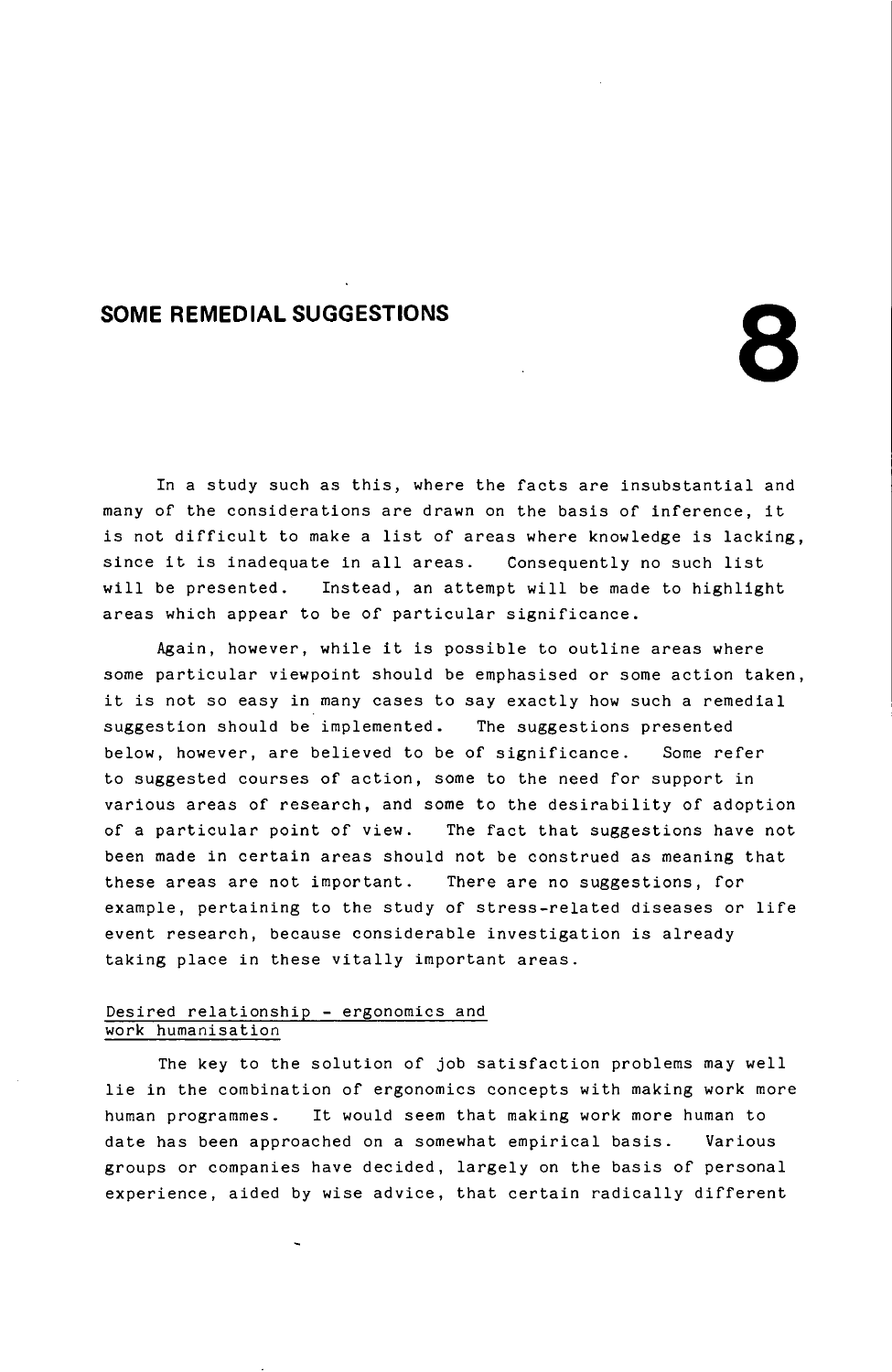### **SOME REMEDIAL SUGGESTIONS**

**8** 

In a study such as this, where the facts are insubstantial and many of the considerations are drawn on the basis of inference, it is not difficult to make a list of areas where knowledge is lacking, since it is inadequate in all areas. Consequently no such list will be presented. Instead, an attempt will be made to highlight areas which appear to be of particular significance.

Again, however, while it is possible to outline areas where some particular viewpoint should be emphasised or some action taken, it is not so easy in many cases to say exactly how such a remedial suggestion should be implemented. The suggestions presented below, however, are believed to be of significance. Some refer to suggested courses of action, some to the need for support in various areas of research, and some to the desirability of adoption of a particular point of view. The fact that suggestions have not been made in certain areas should not be construed as meaning that these areas are not important. There are no suggestions, for example, pertaining to the study of stress-related diseases or life event research, because considerable investigation is already taking place in these vitally important areas.

### Desired relationship - ergonomics and work humanisation

The key to the solution of job satisfaction problems may well lie in the combination of ergonomics concepts with making work more human programmes. It would seem that making work more human to date has been approached on a somewhat empirical basis. Various groups or companies have decided, largely on the basis of personal experience, aided by wise advice, that certain radically different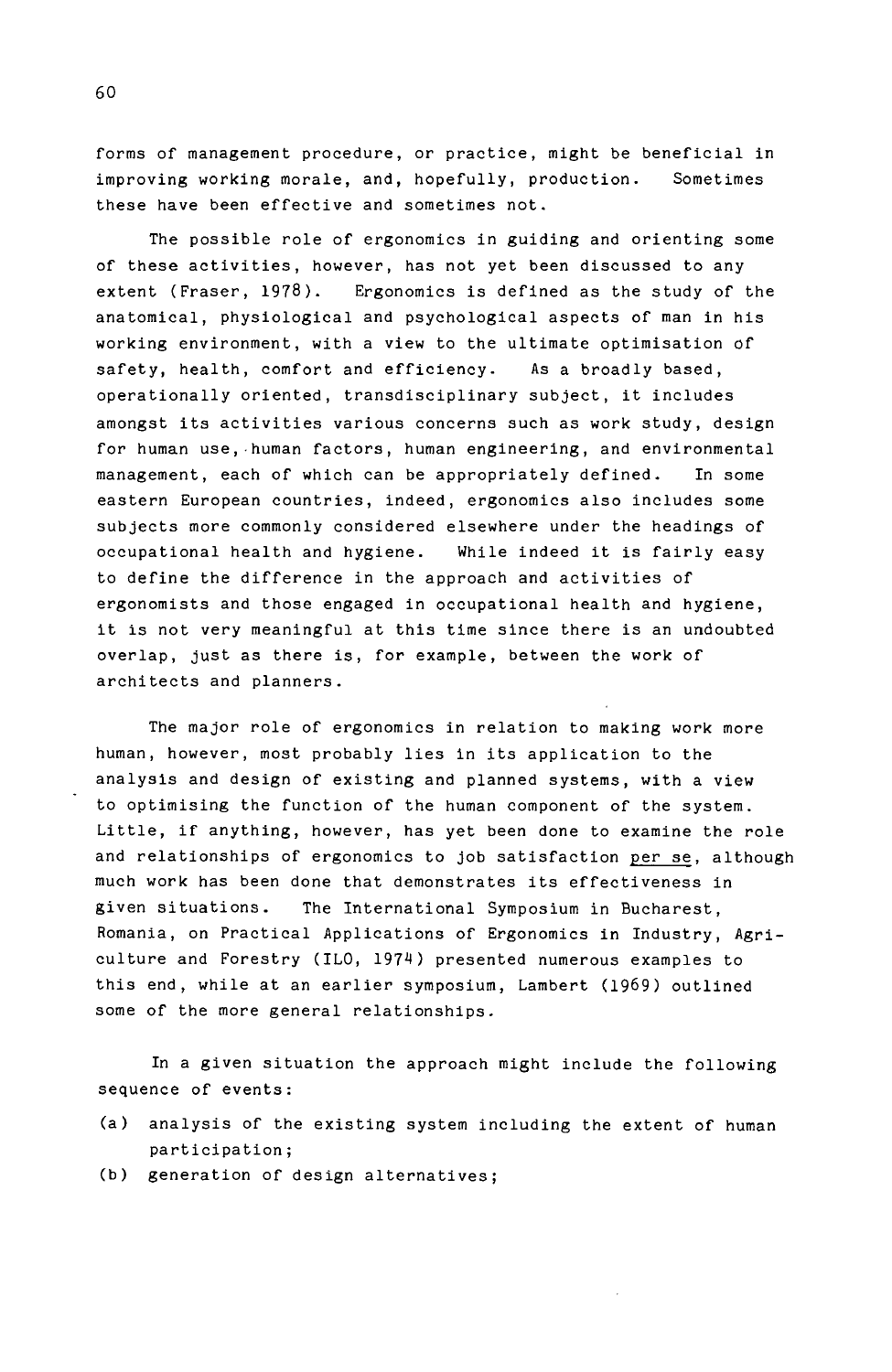forms of management procedure, or practice, might be beneficial in improving working morale, and, hopefully, production. Sometimes these have been effective and sometimes not.

The possible role of ergonomics in guiding and orienting some of these activities, however, has not yet been discussed to any extent (Fraser, 1978). Ergonomics is defined as the study of the anatomical, physiological and psychological aspects of man in his working environment, with a view to the ultimate optimisation of safety, health, comfort and efficiency. As a broadly based, operationally oriented, transdisciplinary subject, it includes amongst its activities various concerns such as work study, design for human use, human factors, human engineering, and environmental management, each of which can be appropriately defined. In some eastern European countries, indeed, ergonomics also includes some subjects more commonly considered elsewhere under the headings of occupational health and hygiene. While indeed it is fairly easy to define the difference in the approach and activities of ergonomists and those engaged in occupational health and hygiene, it is not very meaningful at this time since there is an undoubted overlap, just as there is, for example, between the work of architects and planners.

The major role of ergonomics in relation to making work more human, however, most probably lies in its application to the analysis and design of existing and planned systems, with a view to optimising the function of the human component of the system. Little, if anything, however, has yet been done to examine the role and relationships of ergonomics to job satisfaction per se, although much work has been done that demonstrates its effectiveness in given situations. The International Symposium in Bucharest, Romania, on Practical Applications of Ergonomics in Industry, Agriculture and Forestry (ILO, 1974) presented numerous examples to this end, while at an earlier symposium, Lambert (1969) outlined some of the more general relationships.

In a given situation the approach might include the following sequence of events :

- (a) analysis of the existing system including the extent of human participation ;
- (b) generation of design alternatives;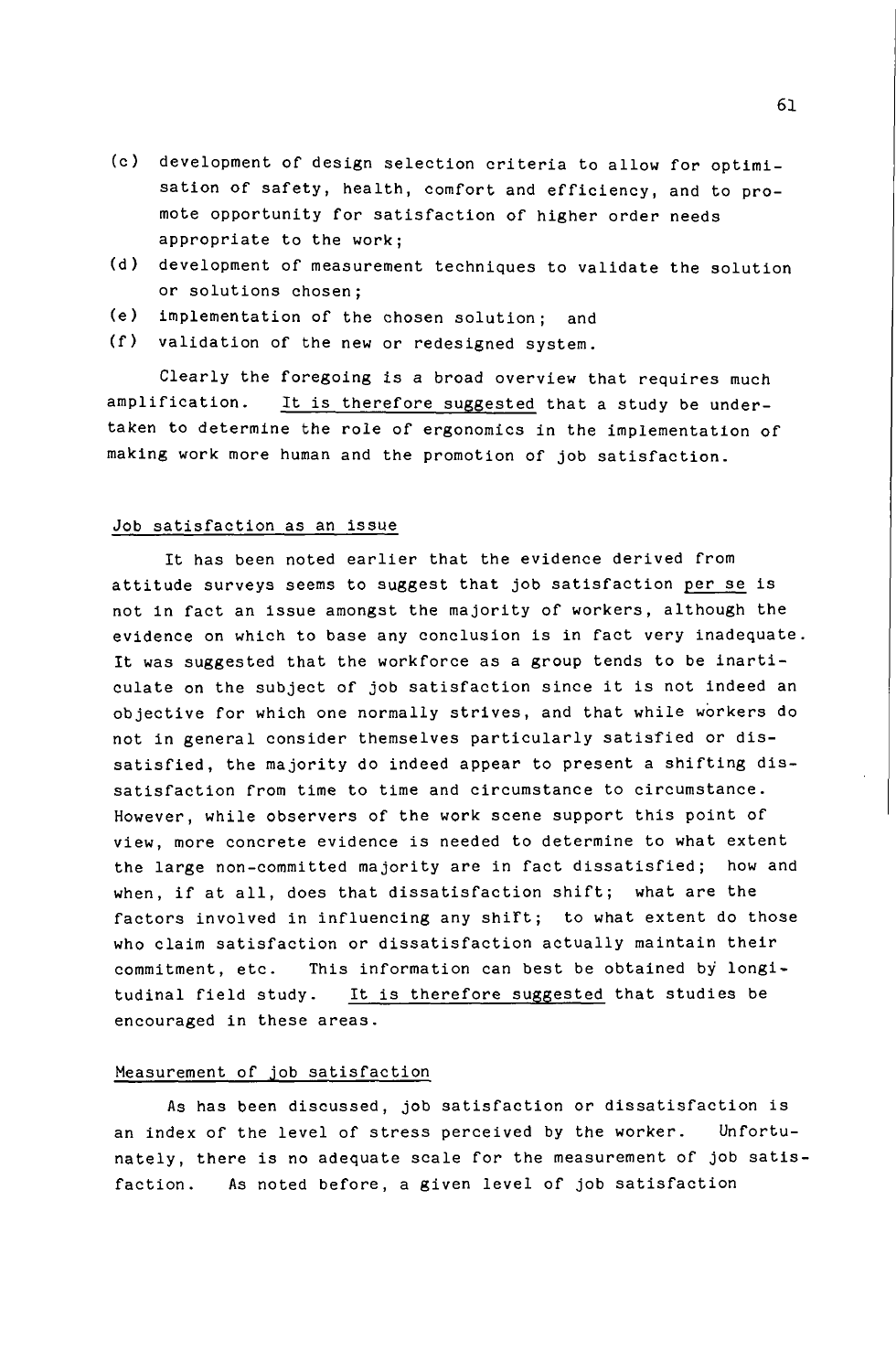- (c) development of design selection criteria to allow for optimisation of safety, health, comfort and efficiency, and to promote opportunity for satisfaction of higher order needs appropriate to the work;
- (d) development of measurement techniques to validate the solution or solutions chosen ;
- (e) implementation of the chosen solution; and
- (f) validation of the new or redesigned system.

Clearly the foregoing is a broad overview that requires much amplification. It is therefore suggested that a study be undertaken to determine the role of ergonomics in the implementation of making work more human and the promotion of job satisfaction.

### Job satisfaction as an issue

It has been noted earlier that the evidence derived from attitude surveys seems to suggest that job satisfaction per se is not in fact an issue amongst the majority of workers, although the evidence on which to base any conclusion is in fact very inadequate It was suggested that the workforce as a group tends to be inarticulate on the subject of job satisfaction since it is not indeed an objective for which one normally strives, and that while workers do not in general consider themselves particularly satisfied or dissatisfied, the majority do indeed appear to present a shifting dissatisfaction from time to time and circumstance to circumstance. However, while observers of the work scene support this point of view, more concrete evidence is needed to determine to what extent the large non-committed majority are in fact dissatisfied; how and when, if at all, does that dissatisfaction shift; what are the factors involved in influencing any shift; to what extent do those who claim satisfaction or dissatisfaction actually maintain their commitment, etc. This information can best be obtained by longitudinal field study. It is therefore suggested that studies be encouraged in these areas.

### Measurement of job satisfaction

As has been discussed, job satisfaction or dissatisfaction is an index of the level of stress perceived by the worker. Unfortunately, there is no adequate scale for the measurement of job satis faction. As noted before, a given level of job satisfaction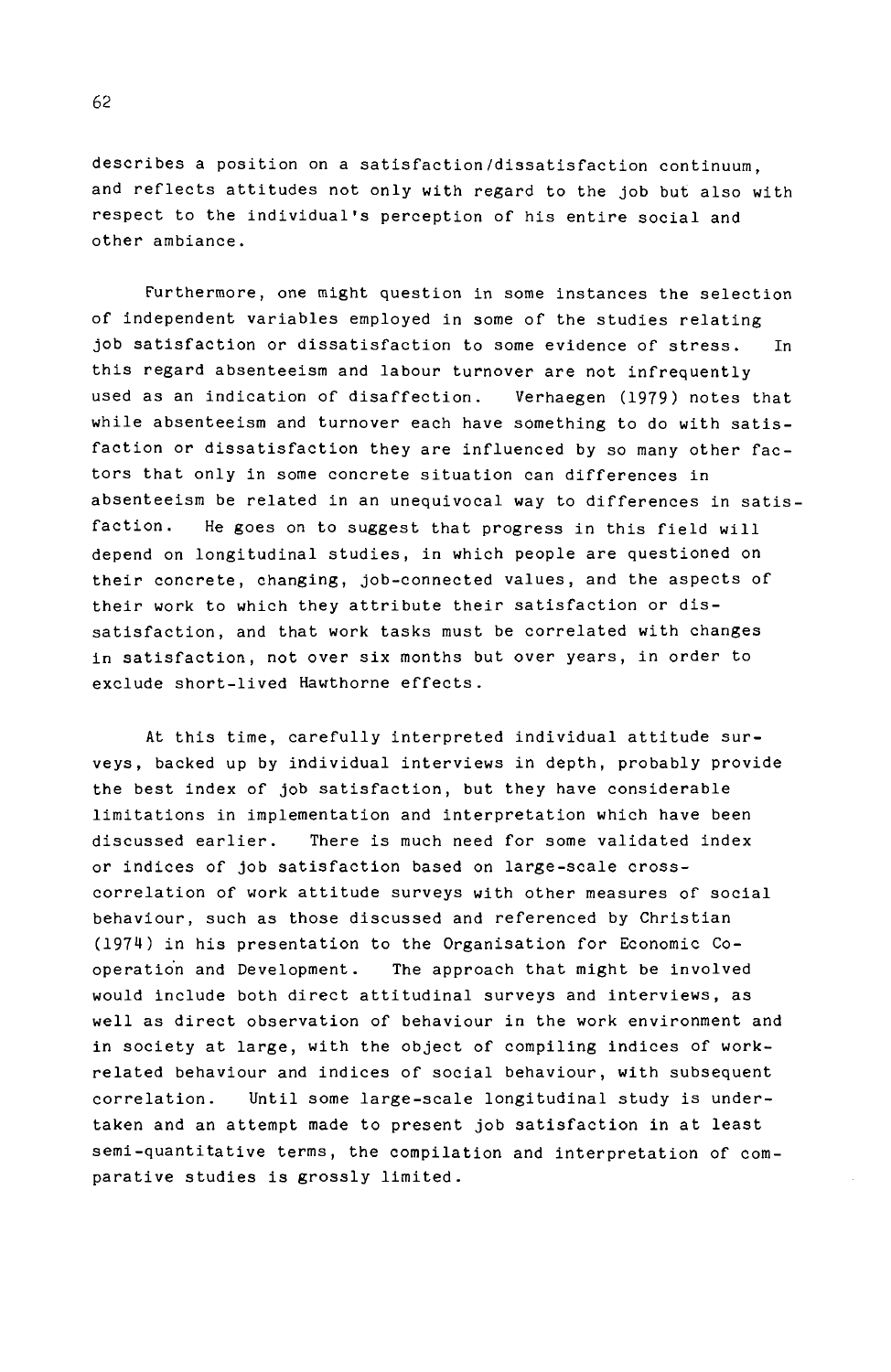describes a position on a satisfaction/dissatisfaction continuum, and reflects attitudes not only with regard to the job but also with respect to the individual's perception of his entire social and other ambiance.

Furthermore, one might question in some instances the selection of independent variables employed in some of the studies relating job satisfaction or dissatisfaction to some evidence of stress. In this regard absenteeism and labour turnover are not infrequently used as an indication of disaffection. Verhaegen (1979) notes that while absenteeism and turnover each have something to do with satisfaction or dissatisfaction they are influenced by so many other factors that only in some concrete situation can differences in absenteeism be related in an unequivocal way to differences in satisfaction. He goes on to suggest that progress in this field will depend on longitudinal studies, in which people are questioned on their concrete, changing, job-connected values, and the aspects of their work to which they attribute their satisfaction or dissatisfaction, and that work tasks must be correlated with changes in satisfaction, not over six months but over years, in order to exclude short-lived Hawthorne effects.

At this time, carefully interpreted individual attitude surveys, backed up by individual interviews in depth, probably provide the best index of job satisfaction, but they have considerable limitations in implementation and interpretation which have been discussed earlier. There is much need for some validated index or indices of job satisfaction based on large-scale crosscorrelation of work attitude surveys with other measures of social behaviour, such as those discussed and referenced by Christian (1974) in his presentation to the Organisation for Economic Cooperation and Development. The approach that might be involved would include both direct attitudinal surveys and interviews, as well as direct observation of behaviour in the work environment and in society at large, with the object of compiling indices of workrelated behaviour and indices of social behaviour, with subsequent correlation. Until some large-scale longitudinal study is undertaken and an attempt made to present job satisfaction in at least semi-quantitative terms, the compilation and interpretation of comparative studies is grossly limited.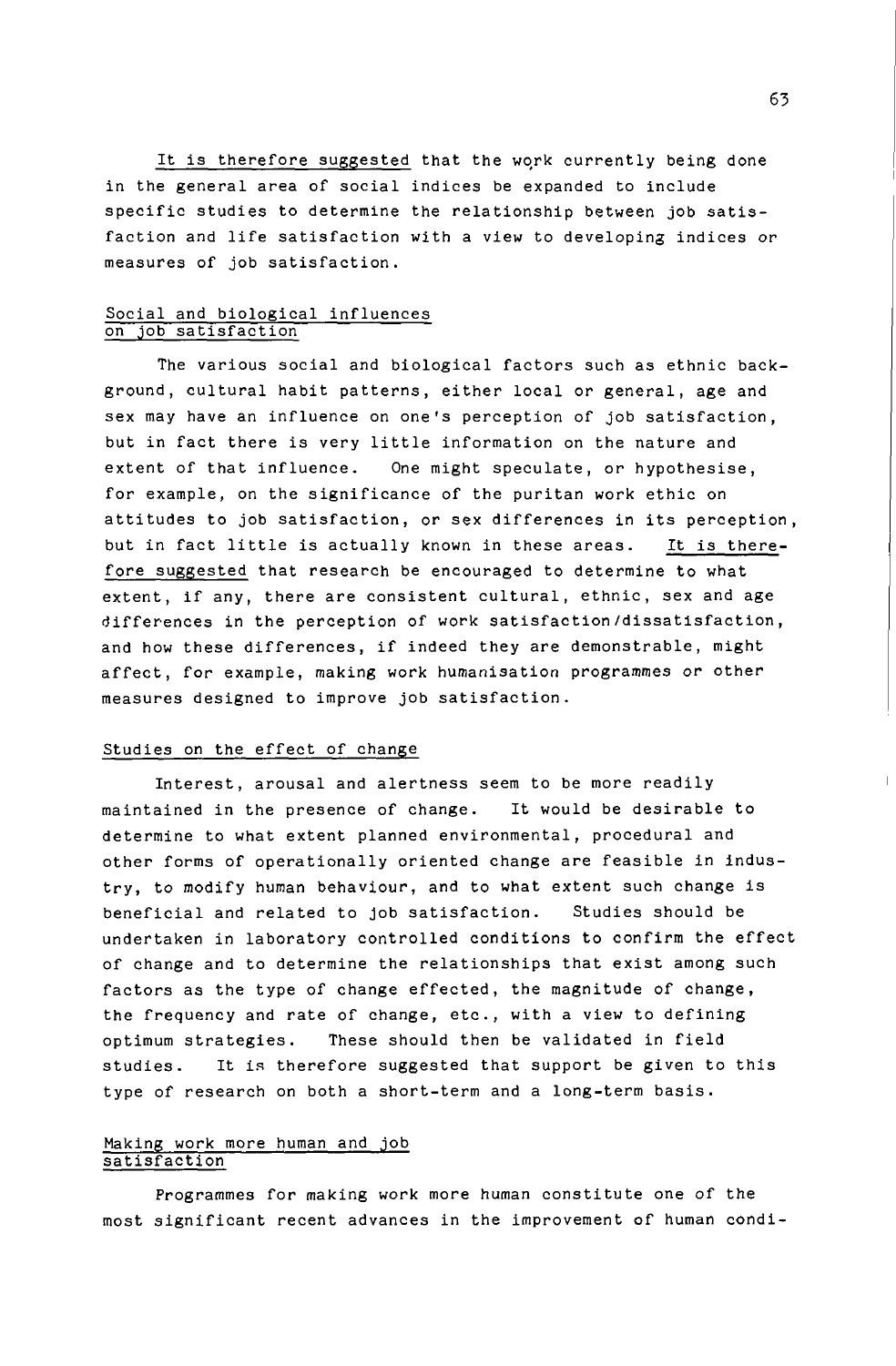It is therefore suggested that the work currently being done in the general area of social indices be expanded to include specific studies to determine the relationship between job satisfaction and life satisfaction with a view to developing indices or measures of job satisfaction.

### Social and biological influences on job satisfaction

The various social and biological factors such as ethnic background, cultural habit patterns, either local or general, age and sex may have an influence on one's perception of job satisfaction, but in fact there is very little information on the nature and extent of that influence. One might speculate, or hypothesise, for example, on the significance of the puritan work ethic on attitudes to job satisfaction, or sex differences in its perception, but in fact little is actually known in these areas. It is therefore suggested that research be encouraged to determine to what extent, if any, there are consistent cultural, ethnic, sex and age differences in the perception of work satisfaction/dissatisfaction, and how these differences, if indeed they are demonstrable, might affect, for example, making work humanisation programmes or other measures designed to improve job satisfaction.

### Studies on the effect of change

Interest, arousal and alertness seem to be more readily maintained in the presence of change. It would be desirable to determine to what extent planned environmental, procedural and other forms of operationally oriented change are feasible in industry, to modify human behaviour, and to what extent such change is beneficial and related to job satisfaction. Studies should be undertaken in laboratory controlled conditions to confirm the effect of change and to determine the relationships that exist among such factors as the type of change effected, the magnitude of change, the frequency and rate of change, etc., with a view to defining optimum strategies. These should then be validated in field studies. It is therefore suggested that support be given to this type of research on both a short-term and a long-term basis.

### Making work more human and job satisfaction

Programmes for making work more human constitute one of the most significant recent advances in the improvement of human condi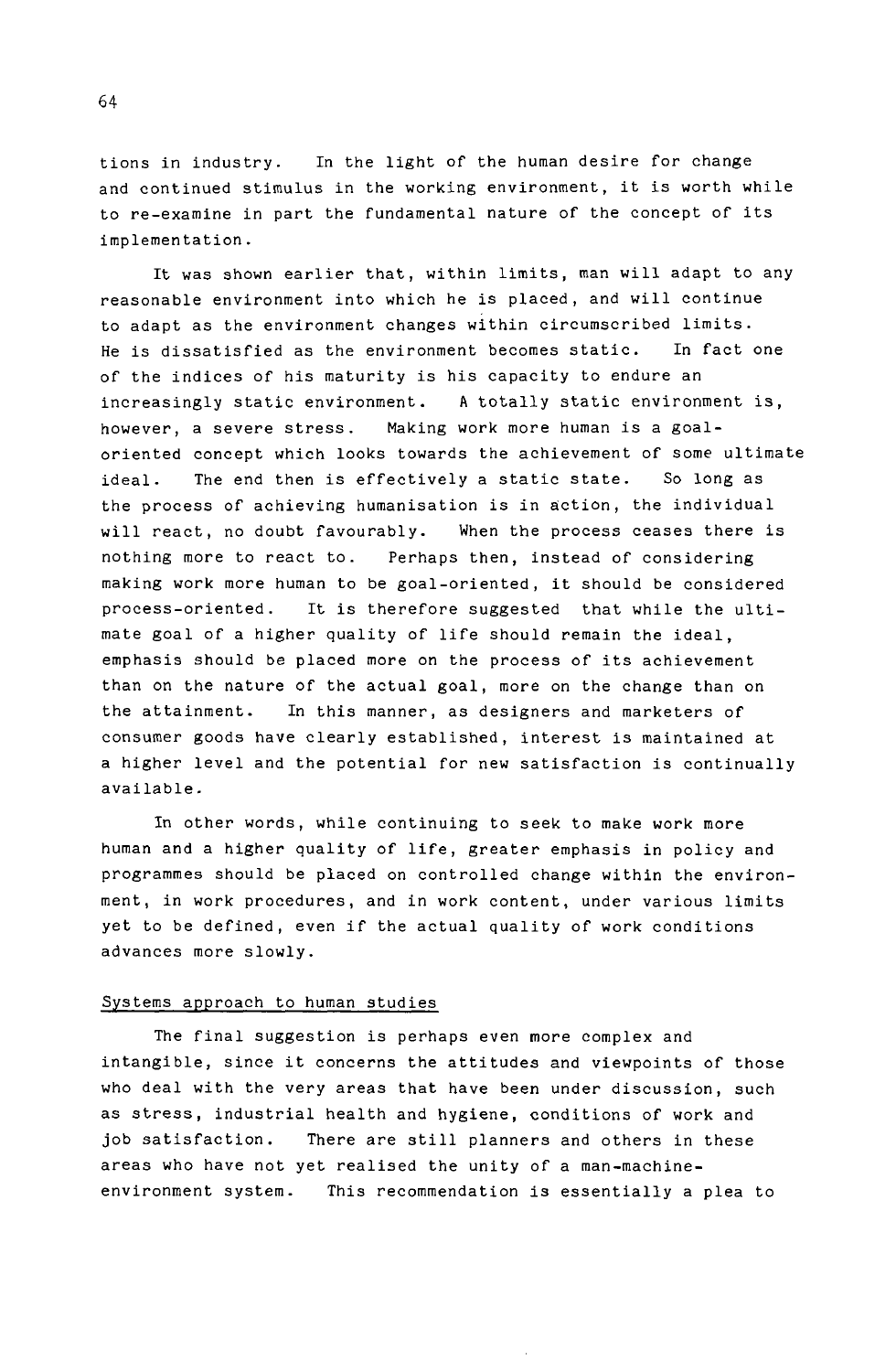tions in industry. In the light of the human desire for change and continued stimulus in the working environment, it is worth while to re-examine in part the fundamental nature of the concept of its implementation.

It was shown earlier that, within limits, man will adapt to any reasonable environment into which he is placed, and will continue to adapt as the environment changes within circumscribed limits. He is dissatisfied as the environment becomes static. In fact one of the indices of his maturity is his capacity to endure an increasingly static environment. A totally static environment is, however, a severe stress. Making work more human is a goaloriented concept which looks towards the achievement of some ultimate ideal. The end then is effectively a static state. So long as the process of achieving humanisation is in action, the individual will react, no doubt favourably. When the process ceases there is nothing more to react to. Perhaps then, instead of considering making work more human to be goal-oriented, it should be considered process-oriented. It is therefore suggested that while the ultimate goal of a higher quality of life should remain the ideal, emphasis should be placed more on the process of its achievement than on the nature of the actual goal, more on the change than on the attainment. In this manner, as designers and marketers of consumer goods have clearly established, interest is maintained at a higher level and the potential for new satisfaction is continually available.

In other words, while continuing to seek to make work more human and a higher quality of life, greater emphasis in policy and programmes should be placed on controlled change within the environment, in work procedures, and in work content, under various limits yet to be defined, even if the actual quality of work conditions advances more slowly.

### Systems approach to human studies

The final suggestion is perhaps even more complex and intangible, since it concerns the attitudes and viewpoints of those who deal with the very areas that have been under discussion, such as stress, industrial health and hygiene, conditions of work and job satisfaction. There are still planners and others in these areas who have not yet realised the unity of a man-machineenvironment system. This recommendation is essentially a plea to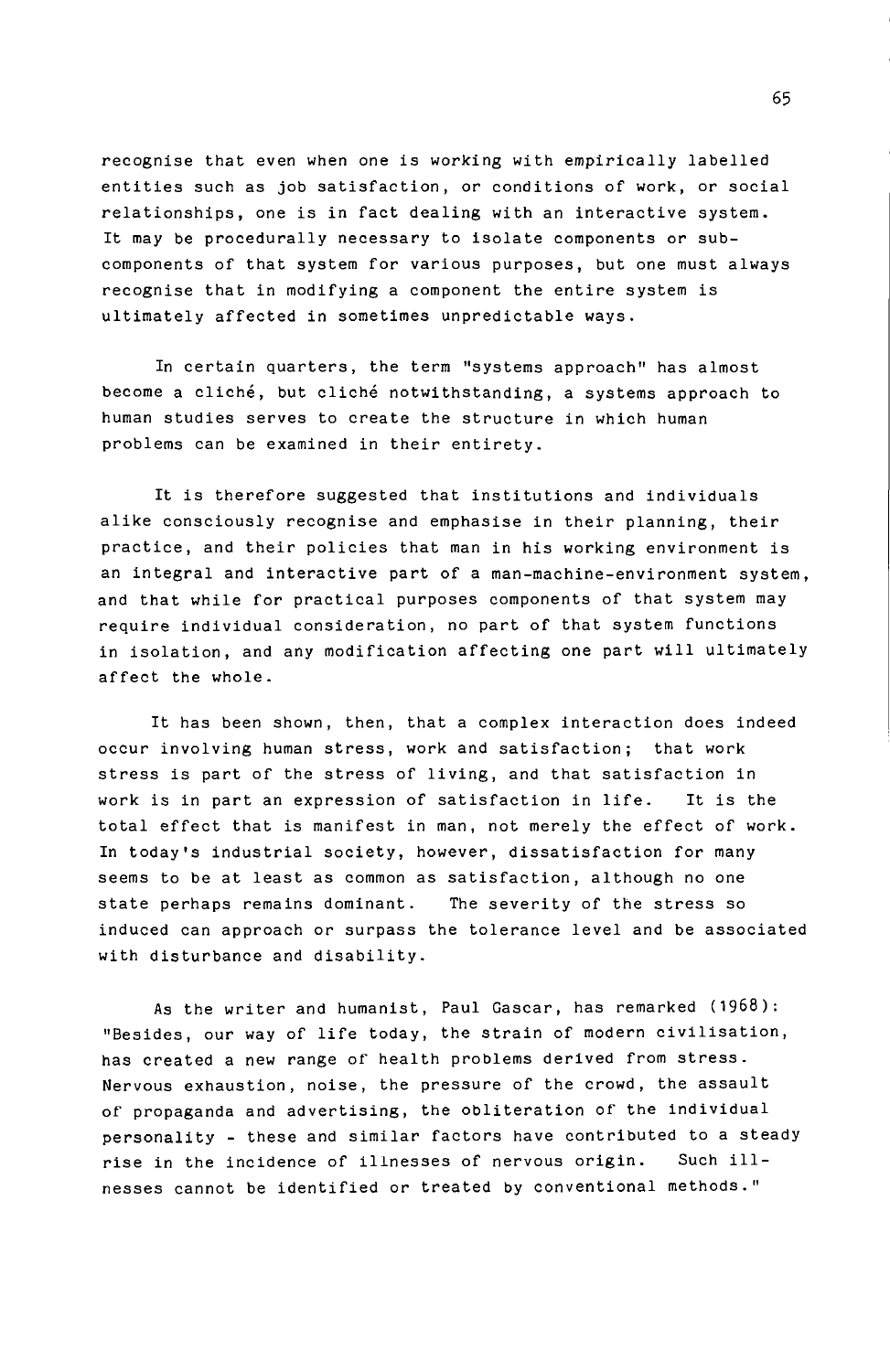recognise that even when one is working with empirically labelled entities such as job satisfaction, or conditions of work, or social relationships, one is in fact dealing with an interactive system. It may be procedurally necessary to isolate components or subcomponents of that system for various purposes, but one must always recognise that in modifying a component the entire system is ultimately affected in sometimes unpredictable ways.

In certain quarters, the term "systems approach" has almost become a cliché, but cliché notwithstanding, a systems approach to human studies serves to create the structure in which human problems can be examined in their entirety.

It is therefore suggested that institutions and individuals alike consciously recognise and emphasise in their planning, their practice, and their policies that man in his working environment is an integral and interactive part of a man-machine-environment system, and that while for practical purposes components of that system may require individual consideration, no part of that system functions in isolation, and any modification affecting one part will ultimately affect the whole.

It has been shown, then, that a complex interaction does indeed occur involving human stress, work and satisfaction; that work stress is part of the stress of living, and that satisfaction in work is in part an expression of satisfaction in life. It is the total effect that is manifest in man, not merely the effect of work. In today's industrial society, however, dissatisfaction for many seems to be at least as common as satisfaction, although no one state perhaps remains dominant. The severity of the stress so induced can approach or surpass the tolerance level and be associated with disturbance and disability.

As the writer and humanist, Paul Gascar, has remarked (1968): "Besides, our way of life today, the strain of modern civilisation, has created a new range of health problems derived from stress. Nervous exhaustion, noise, the pressure of the crowd, the assault of propaganda and advertising, the obliteration of the individual personality - these and similar factors have contributed to a steady rise in the incidence of illnesses of nervous origin. Such illnesses cannot be identified or treated by conventional methods."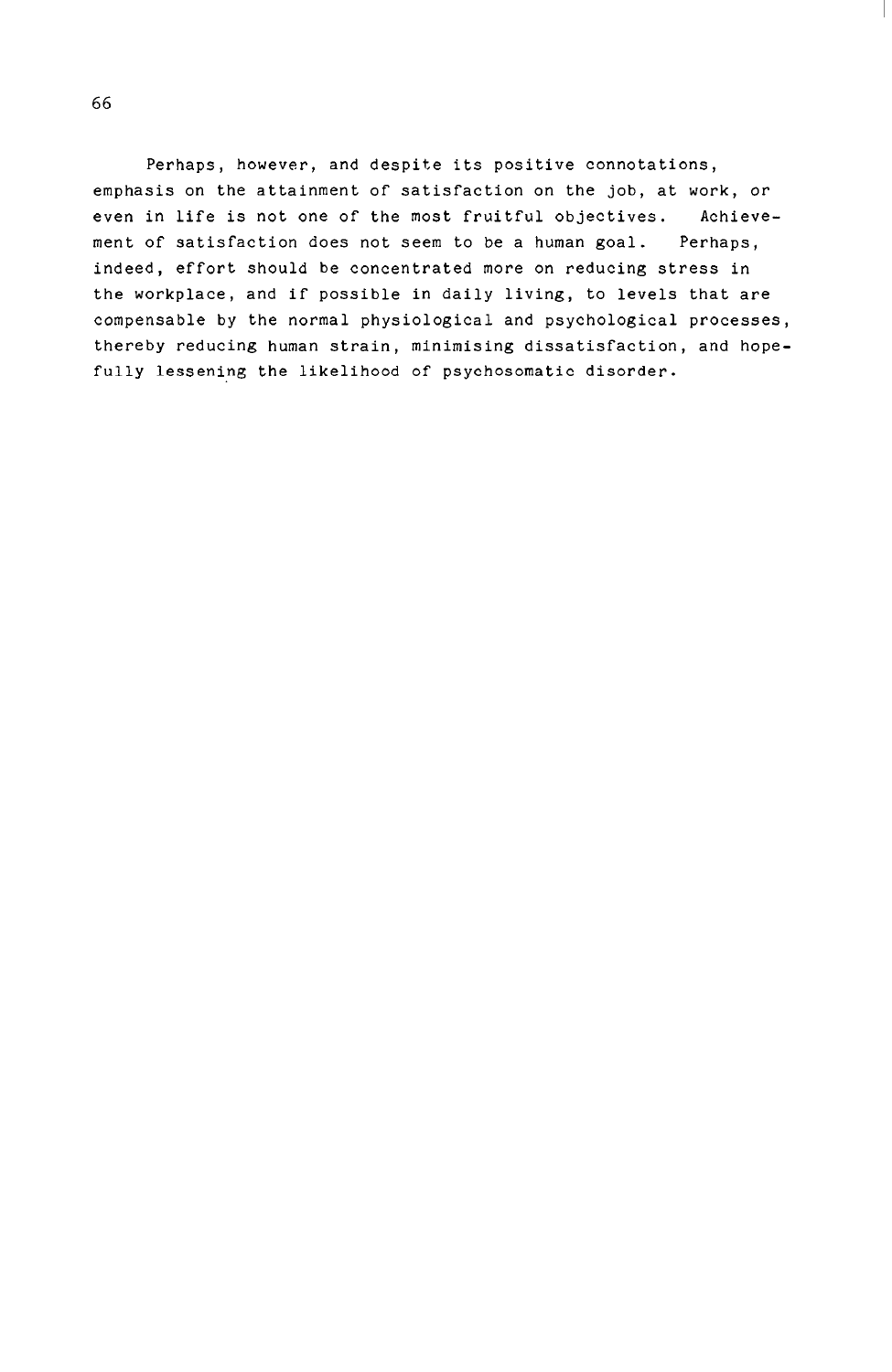Perhaps, however, and despite its positive connotations, emphasis on the attainment of satisfaction on the job, at work, or even in life is not one of the most fruitful objectives. Achievement of satisfaction does not seem to be a human goal. Perhaps, indeed, effort should be concentrated more on reducing stress in the workplace, and if possible in daily living, to levels that are compensable by the normal physiological and psychological processes, thereby reducing human strain, minimising dissatisfaction, and hopefully lessening the likelihood of psychosomatic disorder.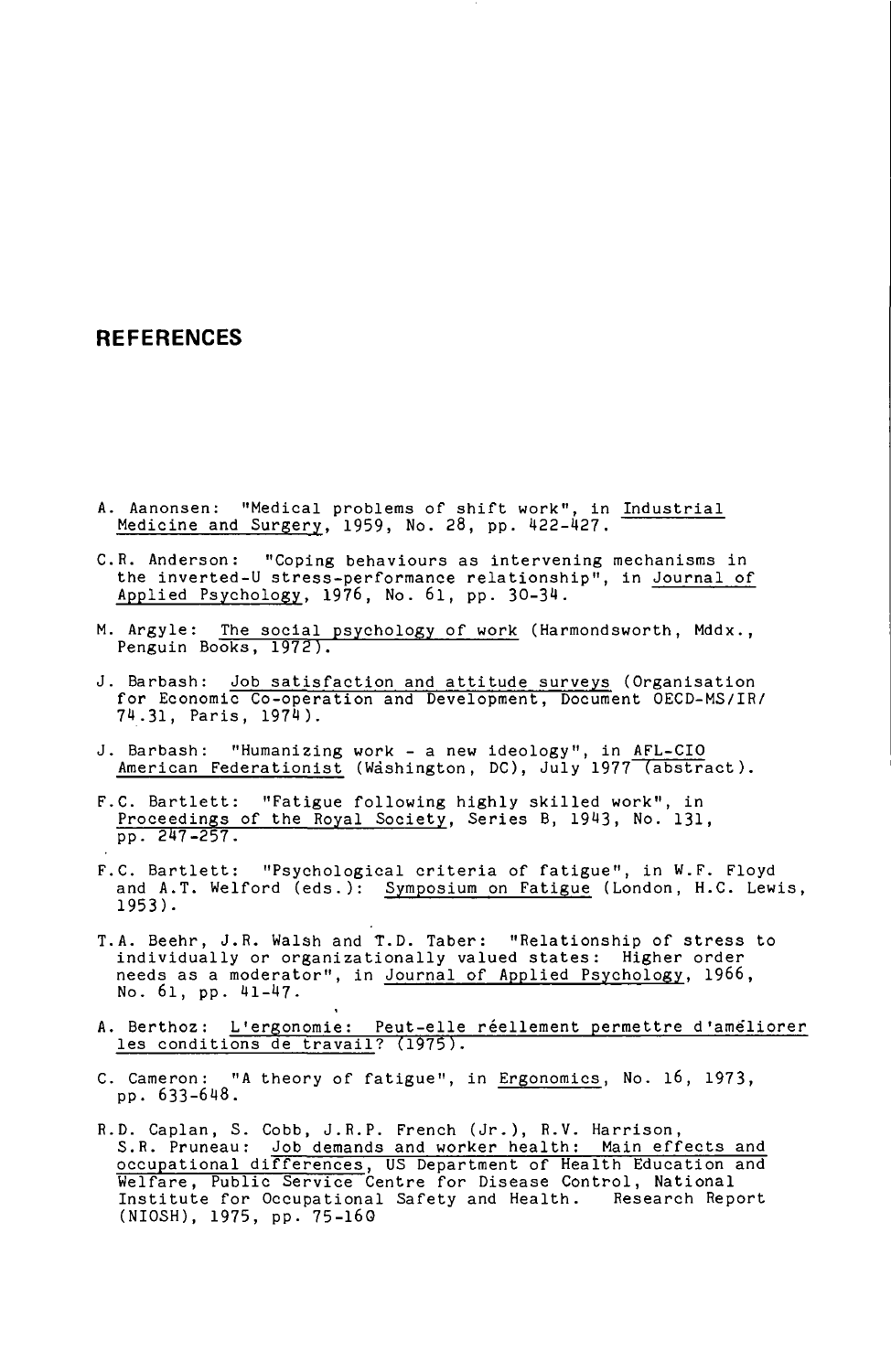## **REFERENCES**

- A. Aanonsen: "Medical problems of shift work", in Industrial Medicine and Surgery, 1959, No. 28, pp. 422-427.
- C.R. Anderson: "Coping behaviours as intervening mechanisms in the inverted-U stress-performance relationship", in Journal of Applied Psychology, 1976, No. 6l, pp. 30-34.
- M. Argyle: The social psychology of work (Harmondsworth, Mddx., Penguin Books, 1972).
- J. Barbash: Job satisfaction and attitude surveys (Organisation for Economic Co-operation and Development, Document OECD-MS/IR/ 74.31, Paris, 1974).
- J. Barbash: "Humanizing work a new ideology", in AFL-CIO American Federationist (Washington, DC), July 1977 (abstract ).
- F.C. Bartlett: "Fatigue following highly skilled work", in Proceedings of the Royal Society, Series B, 1943, No. 131, pp. 247-257.
- F.C. Bartlett: "Psychological criteria of fatigue", in W.F. Floyd and A.T. Welford (eds.): Symposium on Fatigue (London, H.C. Lewis, 1953).
- T.A. Beehr, J.R. Walsh and T.D. Taber: "Relationship of stress to individually or organizationally valued states: Higher order needs as a moderator", in Journal of Applied Psychology, 1966, No. 61, pp. 41-47.
- A. Berthoz: L'ergonomie: Peut-elle réellement permettre d'améliorer les conditions de travail? (1975).
- C. Cameron: "A theory of fatigue", in Ergonomics, No. 16, 1973, pp. 633-648.
- R.D. Caplan, S. Cobb, J.R.P. French (Jr.), R.V. Harrison, S.R. Pruneau: Job demands and worker health: Main effects and occupational differences, US Department of Health Education and Welfare, Public Service Centre for Disease Control, National Institute for Occupational Safety and Health. Research Report (NIOSH), 1975, pp. 75-160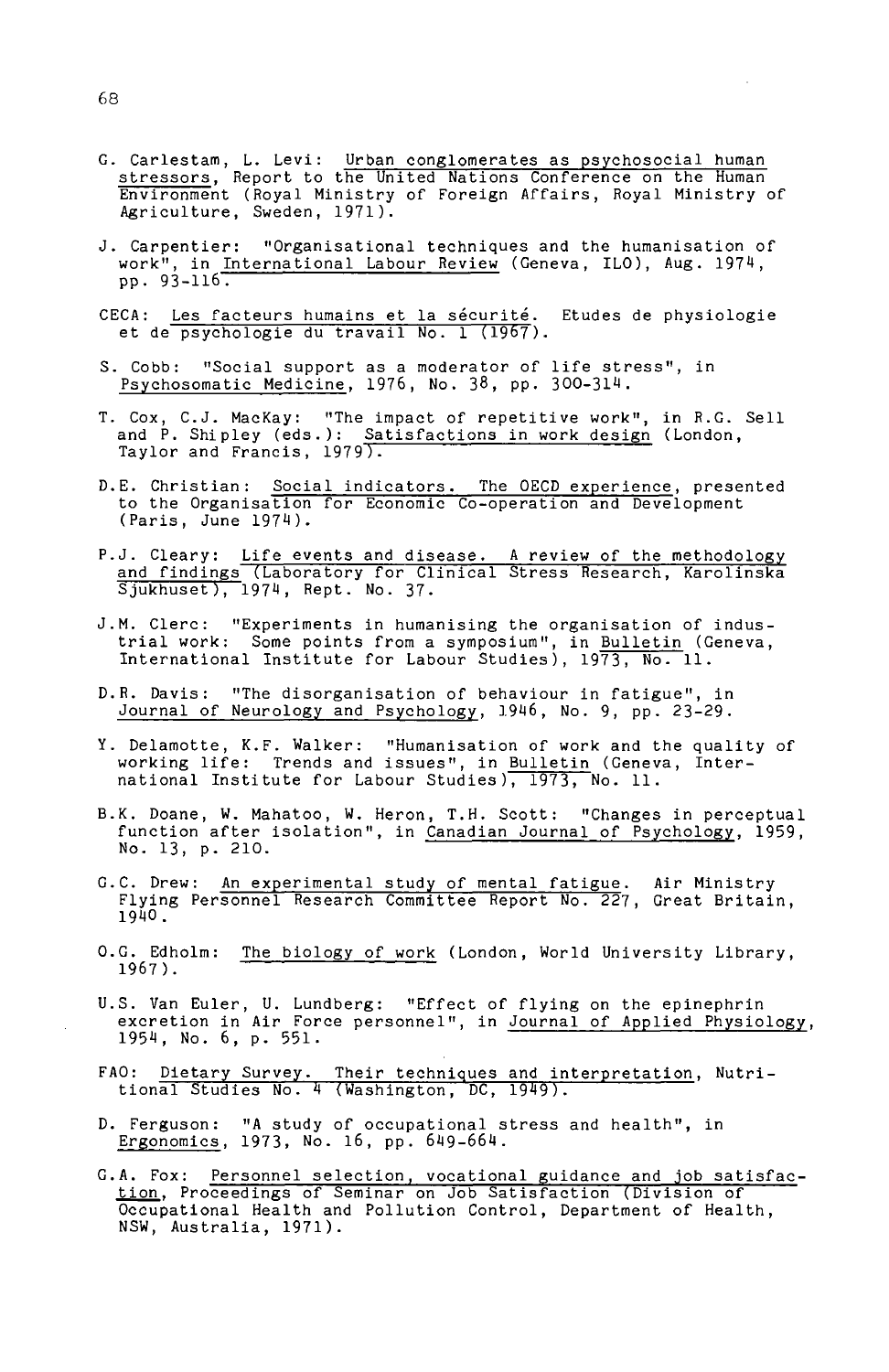- G. Carlestam, L. Levi: Urban conglomerates as psychosocial human stressors, Report to the United Nations Conference on the Human Environment (Royal Ministry of Foreign Affairs, Royal Ministry of Agriculture, Sweden, 1971).
- J. Carpentieri "Organisational techniques and the humanisation of work", in International Labour Review (Geneva, ILO), Aug. 1974, pp. 93-116.
- CECA: Les facteurs humains et la sécurité. Etudes de physiologie et de psychologie du travail No. 1 (1967).
- S. Cobb: "Social support as a moderator of life stress", in Psychosomatic Medicine, 1976, No. 38, pp. 300-31'».
- T. Cox, C.J. MacKay: "The impact of repetitive work", in R.G. Sell and P. Shipley (eds.): <u>Satisfactions in work design</u> (London, Taylor and Francis, *1979T-*
- D.E. Christian: Social indicators. The OECD experience, presented to the Organisation for Economic Co-operation and Development (Paris, June 1974).
- P.J. Cleary: Life events and disease. A review of the methodology and findings (Laboratory for Clinical Stress Research, Karolinska Sjukhuset), 1974, Rept. No. 37.
- J.M. Clerc: "Experiments in humanising the organisation of industrial work: Some points from a symposium", in Bulletin (Geneva, International Institute for Labour Studies), 1973, No. 11.
- D.R. Davis: "The disorganisation of behaviour in fatigue", in Journal of Neurology and Psychology, 1946, No. 9, pp. 23-29.
- Y. Delamotte, K.F. Walker: "Humanisation of work and the quality of working life: Trends and issues", in Bulletin (Geneva, International Institute for Labour Studies), 1973, No. 11.
- B.K. Doane, W. Mahatoo, W. Heron, T.H. Scott: "Changes in perceptual function after isolation", in Canadian Journal of Psychology, 1959, No. 13, p. 210.
- G.C. Drew: An experimental study of mental fatigue. Air Ministry Flying Personnel Research Committee Report No. 227, Great Britain, 1940 .
- O.G. Edholm: The biology of work (London, World University Library, 1967).
- U.S. Van Euler, U. Lundberg: "Effect of flying on the epinephrin excretion in Air Force personnel", in Journal of Applied Physiology, 1954, No. 6, p. 551.
- FAO: Dietary Survey. Their techniques and interpretation, Nutritional Studies No. 4 (Washington, DC, 1949).
- D. Ferguson: "A study of occupational stress and health", in Ergonomics, 1973, No. 16, pp. 649-664.
- G.A. Fox: Personnel selection, vocational guidance and job satisfaction, Proceedings of Seminar on Job Satisfaction (Division of Occupational Health and Pollution Control, Department of Health, NSW, Australia, 1971).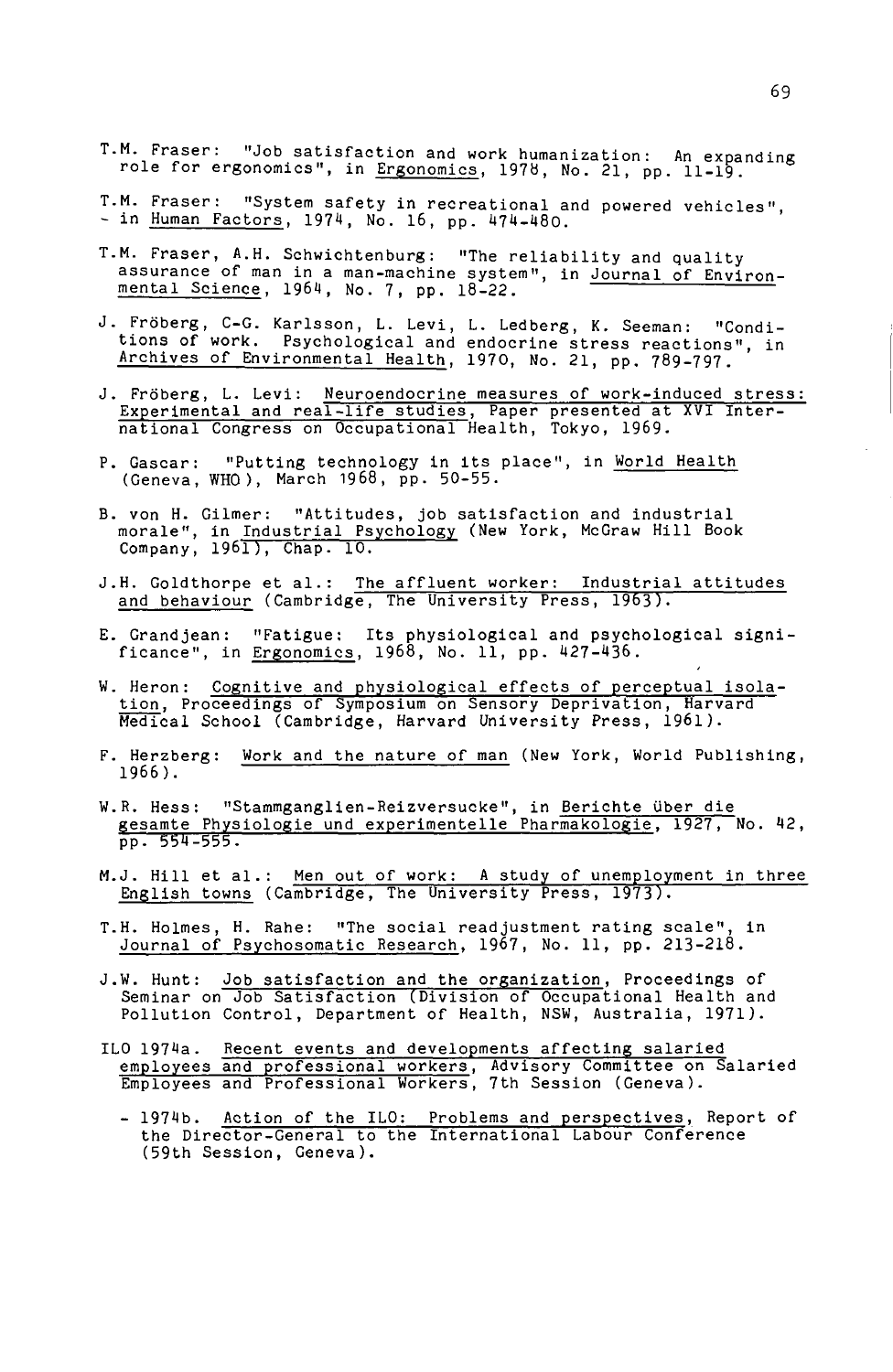- T.M. Fraser: "Job satisfaction and work humanization: An expanding role for ergonomics", in Ergonomics, 1978, No. 21, pp. 11-19.
- T.M. Fraser: "System safety in recreational and powered vehicles", - in Human Factors, 1974, No. 16, pp. 474-480.
- T.M. Fraser, A.H. Schwichtenburg: "The reliability and quality assurance of man in a man-machine system", in Journal of Environmental Science, 1964, No. 7, pp. 18-22.
- J. Fröberg, C-G. Karlsson, L. Levi, L. Ledberg, K. Seeman: "Conditions of work. Psychological and endocrine stress reactions", in Archives of Environmental Health, 1970, No. 21, pp. 789-797.
- J. Fröberg, L. Levi: Neuroendocrine measures of work-induced stress: Experimental and real-life studies, Paper presented at XVI International Congress on Occupational Health, Tokyo, 1969.
- P. Gascar: "Putting technology in its place", in World Health (Geneva, WHO ), March 1968, pp. 50-55.
- B. von H. Gilmer: "Attitudes, job satisfaction and industrial morale", in <u>Industrial Psychology</u> (New York, McGraw Hill Book Company, 1961), Chap. 10.
- J.H. Goldthorpe et al.: The affluent worker: Industrial attitudes and behaviour (Cambridge, The University Press, 1963).
- E. Grandjean: "Fatigue: Its physiological and psychological significance", in Ergonomics, 1968, No. 11, pp. 427-436.
- W. Heron: Cognitive and physiological effects of perceptual isolation, Proceedings of Symposium on Sensory Deprivation, Harvard Medical School (Cambridge, Harvard University Press, 1961).
- F. Herzberg: Work and the nature of man (New York, World Publishing, 1966).
- W.R. Hess: "Stammganglien-Reizversucke", in Berichte über die gesamte Physiologie und experimentelle Pharmakologie, 1927, No. 42, pp. 554-555.
- M.J. Hill et al.: Men out of work: A study of unemployment in three English towns (Cambridge, The University Press, 1973).
- T.H. Holmes, H. Rahe: "The social readjustment rating scale", in Journal of Psychosomatic Research, 1967, No. 11, pp. 213-218.
- J.W. Hunt: Job satisfaction and the organization, Proceedings of Seminar on Job Satisfaction (Division of Occupational Health and Pollution Control, Department of Health, NSW, Australia, 1971).
- ILO 1974a. Recent events and developments affecting salaried employees and professional workers, Advisory Committee on Salaried Employees and Professional Workers, 7th Session (Geneva).
	- 1974b. Action of the ILO: Problems and perspectives, Report of the Director-General to the International Labour Conference (59th Session, Geneva).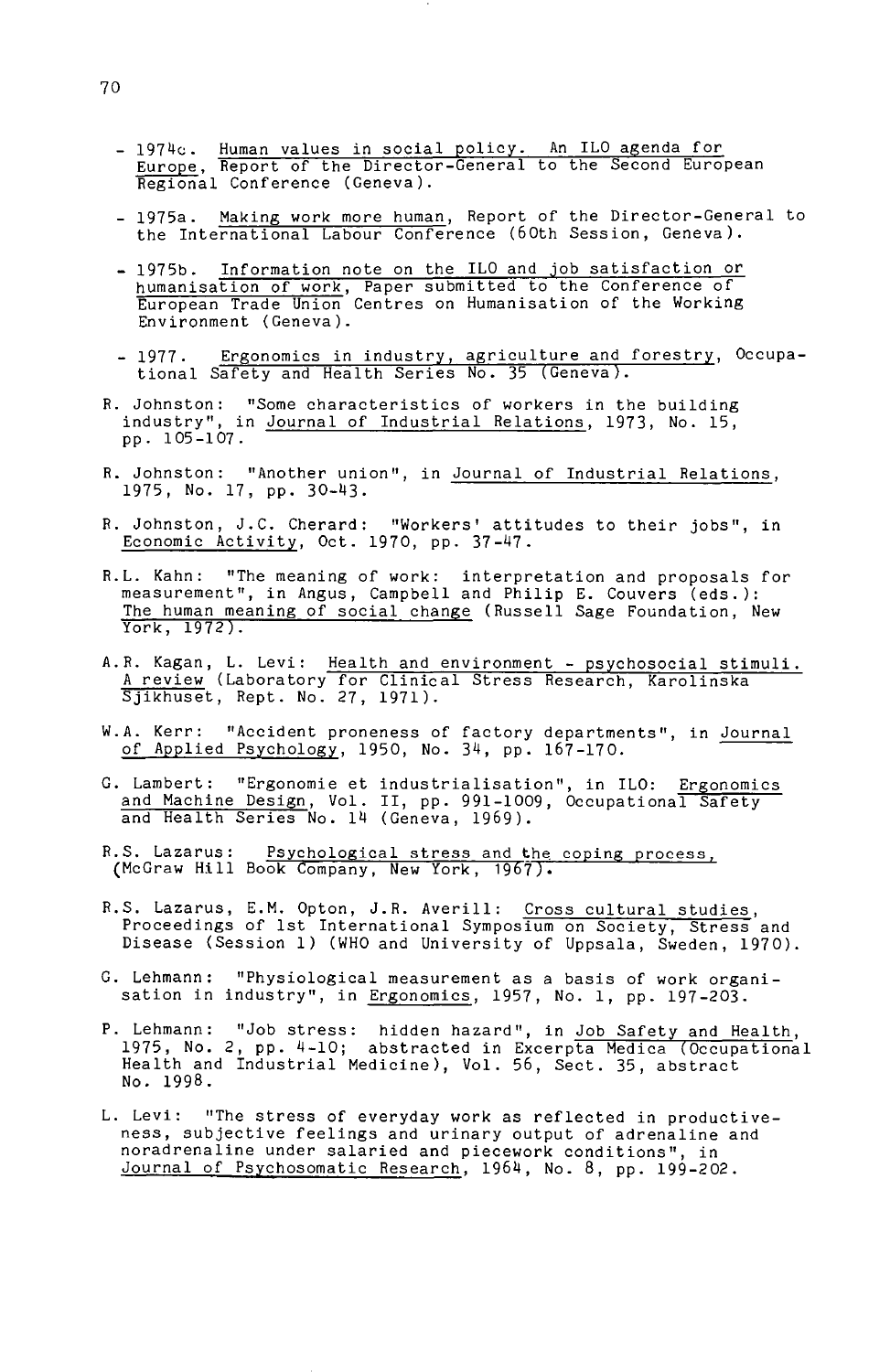- 1974c. Human values in social policy. An ILO agenda for Europe, Report of the Director-General to the Second European Regional Conference (Geneva).
- 1975a. Making work more human, Report of the Director-General to the International Labour Conference (60th Session, Geneva).
- 1975b. Information note on the ILO and job satisfaction or humanisation of work, Paper submitted to the Conference of European Trade Union Centres on Humanisation of the Working Environment (Geneva).
- 1977. Ergonomics in Industry, agriculture and forestry, Occupational Safety and Health Series No. 35 (Geneva ).
- R. Johnston: "Some characteristics of workers in the building industry", in Journal of Industrial Relations, 1973, No. 15, pp. 105-107.
- R. Johnston: "Another union", in Journal of Industrial Relations, 1975, No. 17, pp. 30-43.
- R. Johnston, J.C. Cherard: "Workers' attitudes to their jobs", in Economic Activity, Oct. 1970, pp. 37-47.
- R.L. Kahn: "The meaning of work: interpretation and proposals for measurement", in Angus, Campbell and Philip E. Couvers (eds.): The human meaning of social change (Russell Sage Foundation, New York, 1972).
- A.R. Kagan, L. Levi: Health and environment psychosocial stimuli. A review (Laboratory for Clinical Stress Research, Karolinska Sjikhuset, Rept. No. 27, 1971).
- W.A. Kerr: "Accident proneness of factory departments", in Journal of Applied Psychology, 1950, No. 34, pp. 167-170.
- G. Lambert: "Ergonomie et industrialisation", in ILO: Ergonomics and Machine Design, Vol. II, pp. 991-1009, Occupational Safety and Health Series No. 14 (Geneva, 1969).
- R.S. Lazarus: <u>Psychological stress and the coping process,</u> <br> (McGraw Hill Book Company, New York, 1967).
- R.S. Lazarus, E.M. Opton, J.R. Averill: Cross cultural studies, Proceedings of 1st International Symposium on Society, Stress and Disease (Session 1) (WHO and University of Uppsala, Sweden, 1970).
- G. Lehmann: "Physiological measurement as a basis of work organisation in industry", in Ergonomics, 1957, No. 1, pp. 197-203.
- P. Lehmann: "Job stress: hidden hazard", in Job Safety and Health, 1975, No. 2, pp. 4-10; abstracted in Excerpta Medica (Occupational Health and Industrial Medicine), Vol. 56, Sect. 35, abstract No. 1998.
- L. Levi: "The stress of everyday work as reflected in productiveness, subjective feelings and urinary output of adrenaline and noradrenaline under salaried and piecework conditions", in Journal of Psychosomatic Research, 1964, No. 8, pp. 199-202.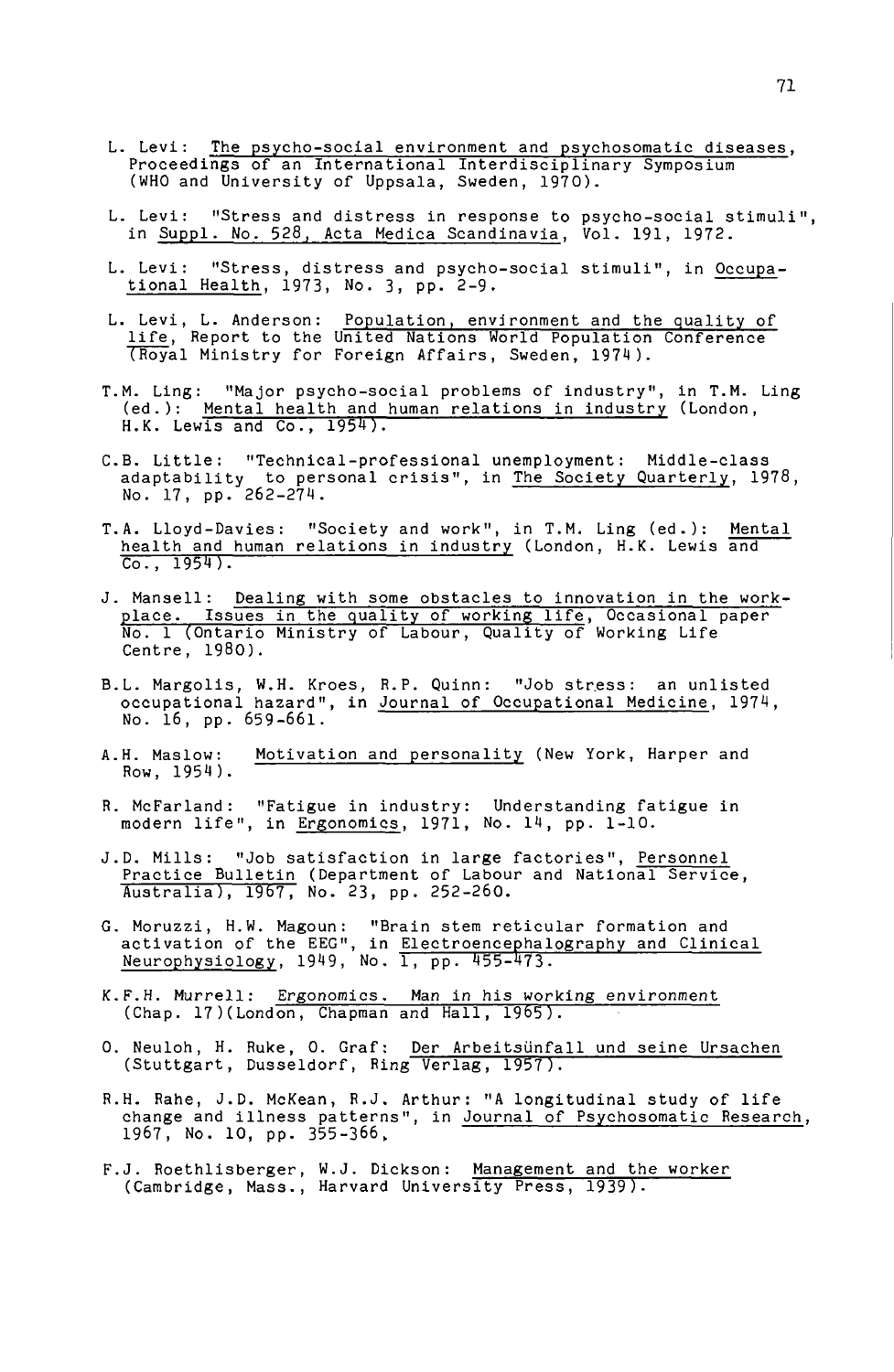- L. Levi: The psycho-social environment and psychosomatic diseases, Proceedings of an International Interdisciplinary Symposium (WHO and University of Uppsala, Sweden, 1970).
- L. Levi: "Stress and distress in response to psycho-social stimuli" in Suppl. No. 528, Acta Medica Scandinavia, Vol. 191, 1972.
- L. Levi: "Stress, distress and psycho-social stimuli", in Occupational Health, 1973, No. 3, pp. 2-9.
- L. Levi, L. Anderson: Population, environment and the quality of life, Report to the United Nations World Population Conference (Royal Ministry for Foreign Affairs, Sweden, 1974).
- T.M. Ling: "Major psycho-social problems of industry", in T.M. Ling (ed.): Mental health and human relations in industry (London, H.K. Lewis and Co., 1954).
- C.B. Little: "Technical-professional unemployment: Middle-class adaptability to personal crisis", in The Society Quarterly, 1978, No. 17, pp. 262-274.
- T.A. Lloyd-Davies: "Society and work", in T.M. Ling (ed.): Mental health and human relations in industry (London, H.K. Lewis and Co., 1954).
- J. Mansell: Dealing with some obstacles to innovation in the workplace. Issues in the quality of working life, Occasional paper No. I (Ontario Ministry of Labour, Quality of Working Life Centre, 1980).
- B.L. Margolis, W.H. Kroes, R.P. Quinn: "Job stress: an unlisted occupational hazard", in Journal of Occupational Medicine, 1974, No. 16, pp. 659-661.
- A.H. Maslow: Motivation and personality (New York, Harper and Row, 1954).
- R. McFarland: "Fatigue in industry: Understanding fatigue in modern life", in Ergonomics, 1971, No. 14, pp. 1-10.
- J.D. Mills: "Job satisfaction in large factories", Personnel Practice Bulletin (Department of Labour and National Service, Australia), 19b7, No. 23, pp. 252-260.
- G. Moruzzi, H.W. Magoun: "Brain stem reticular formation and activation of the EEG", in Electroencephalography and Clinical Neurophysiology, 1949, No. 1, pp. 455-473.
- K.F.H. Murrell: Ergonomics. Man in his working environment (Chap. 17)(London, Chapman and Hall, 1965).
- 0. Neuloh, H. Ruke, 0. Graf: Der Arbeitsunfall und seine Ursachen (Stuttgart, Dusseldorf, Ring Verlag, 1957).
- R.H. Rahe, J.D. McKean, R.J. Arthur: "A longitudinal study of life change and illness patterns", in Journal of Psychosomatic Research, 1967, No. 10, pp. 355-366,
- F.J. Roethlisberger, W.J. Dickson: Management and the worker (Cambridge, Mass., Harvard University Press, 1939 ).